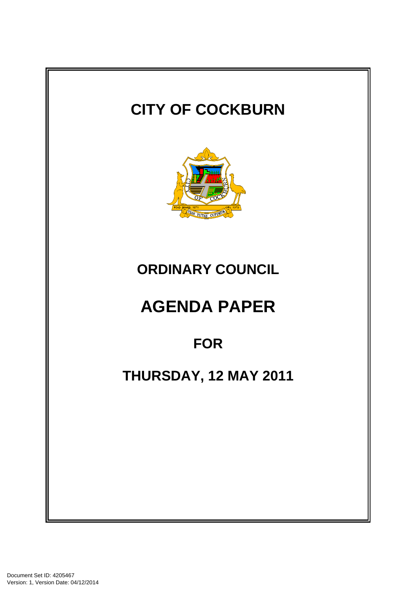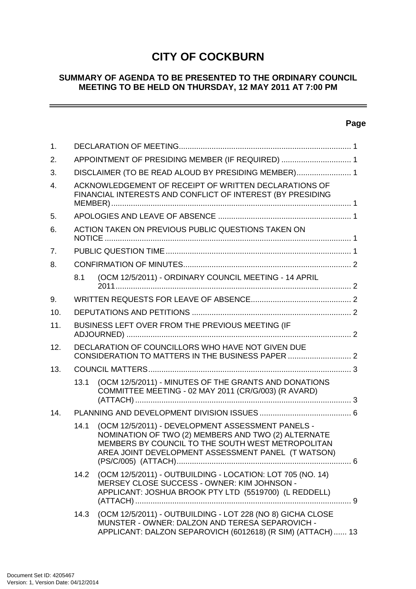# **CITY OF COCKBURN**

#### **SUMMARY OF AGENDA TO BE PRESENTED TO THE ORDINARY COUNCIL MEETING TO BE HELD ON THURSDAY, 12 MAY 2011 AT 7:00 PM**

# **Page**

 $\sim$ 

| $\mathbf{1}$ . |                                                                                                        |                                                                                                                                                                                                                     |  |
|----------------|--------------------------------------------------------------------------------------------------------|---------------------------------------------------------------------------------------------------------------------------------------------------------------------------------------------------------------------|--|
| 2.             | APPOINTMENT OF PRESIDING MEMBER (IF REQUIRED)  1                                                       |                                                                                                                                                                                                                     |  |
| 3.             | DISCLAIMER (TO BE READ ALOUD BY PRESIDING MEMBER) 1                                                    |                                                                                                                                                                                                                     |  |
| 4.             |                                                                                                        | ACKNOWLEDGEMENT OF RECEIPT OF WRITTEN DECLARATIONS OF<br>FINANCIAL INTERESTS AND CONFLICT OF INTEREST (BY PRESIDING                                                                                                 |  |
| 5.             |                                                                                                        |                                                                                                                                                                                                                     |  |
| 6.             |                                                                                                        | ACTION TAKEN ON PREVIOUS PUBLIC QUESTIONS TAKEN ON                                                                                                                                                                  |  |
| 7.             |                                                                                                        |                                                                                                                                                                                                                     |  |
| 8.             |                                                                                                        |                                                                                                                                                                                                                     |  |
|                | 8.1                                                                                                    | (OCM 12/5/2011) - ORDINARY COUNCIL MEETING - 14 APRIL                                                                                                                                                               |  |
| 9.             |                                                                                                        |                                                                                                                                                                                                                     |  |
| 10.            |                                                                                                        |                                                                                                                                                                                                                     |  |
| 11.            | BUSINESS LEFT OVER FROM THE PREVIOUS MEETING (IF                                                       |                                                                                                                                                                                                                     |  |
| 12.            | DECLARATION OF COUNCILLORS WHO HAVE NOT GIVEN DUE<br>CONSIDERATION TO MATTERS IN THE BUSINESS PAPER  2 |                                                                                                                                                                                                                     |  |
| 13.            |                                                                                                        |                                                                                                                                                                                                                     |  |
|                | 13.1                                                                                                   | (OCM 12/5/2011) - MINUTES OF THE GRANTS AND DONATIONS<br>COMMITTEE MEETING - 02 MAY 2011 (CR/G/003) (R AVARD)                                                                                                       |  |
| 14.            |                                                                                                        |                                                                                                                                                                                                                     |  |
|                | 14.1                                                                                                   | (OCM 12/5/2011) - DEVELOPMENT ASSESSMENT PANELS -<br>NOMINATION OF TWO (2) MEMBERS AND TWO (2) ALTERNATE<br>MEMBERS BY COUNCIL TO THE SOUTH WEST METROPOLITAN<br>AREA JOINT DEVELOPMENT ASSESSMENT PANEL (T WATSON) |  |
|                | 14.2                                                                                                   | (OCM 12/5/2011) - OUTBUILDING - LOCATION: LOT 705 (NO. 14)<br>MERSEY CLOSE SUCCESS - OWNER: KIM JOHNSON -<br>APPLICANT: JOSHUA BROOK PTY LTD (5519700) (L REDDELL)                                                  |  |
|                |                                                                                                        | 14.3 (OCM 12/5/2011) - OUTBUILDING - LOT 228 (NO 8) GICHA CLOSE<br>MUNSTER - OWNER: DALZON AND TERESA SEPAROVICH -<br>APPLICANT: DALZON SEPAROVICH (6012618) (R SIM) (ATTACH)  13                                   |  |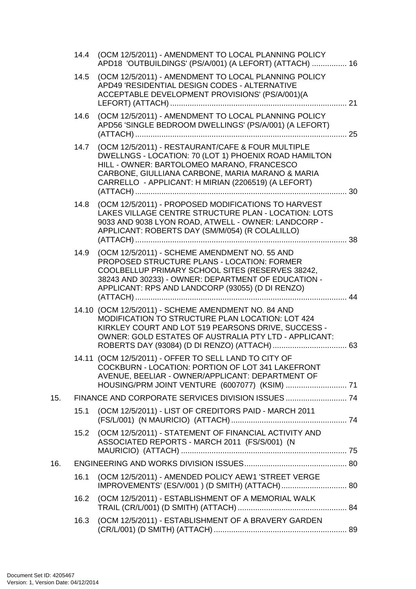|     | 14.4 | (OCM 12/5/2011) - AMENDMENT TO LOCAL PLANNING POLICY<br>APD18 'OUTBUILDINGS' (PS/A/001) (A LEFORT) (ATTACH)  16                                                                                                                                                     |  |
|-----|------|---------------------------------------------------------------------------------------------------------------------------------------------------------------------------------------------------------------------------------------------------------------------|--|
|     | 14.5 | (OCM 12/5/2011) - AMENDMENT TO LOCAL PLANNING POLICY<br>APD49 'RESIDENTIAL DESIGN CODES - ALTERNATIVE<br>ACCEPTABLE DEVELOPMENT PROVISIONS' (PS/A/001)(A                                                                                                            |  |
|     | 14.6 | (OCM 12/5/2011) - AMENDMENT TO LOCAL PLANNING POLICY<br>APD56 'SINGLE BEDROOM DWELLINGS' (PS/A/001) (A LEFORT)                                                                                                                                                      |  |
|     | 14.7 | (OCM 12/5/2011) - RESTAURANT/CAFE & FOUR MULTIPLE<br>DWELLNGS - LOCATION: 70 (LOT 1) PHOENIX ROAD HAMILTON<br>HILL - OWNER: BARTOLOMEO MARANO, FRANCESCO<br>CARBONE, GIULLIANA CARBONE, MARIA MARANO & MARIA<br>CARRELLO - APPLICANT: H MIRIAN (2206519) (A LEFORT) |  |
|     | 14.8 | (OCM 12/5/2011) - PROPOSED MODIFICATIONS TO HARVEST<br>LAKES VILLAGE CENTRE STRUCTURE PLAN - LOCATION: LOTS<br>9033 AND 9038 LYON ROAD, ATWELL - OWNER: LANDCORP -<br>APPLICANT: ROBERTS DAY (SM/M/054) (R COLALILLO)                                               |  |
|     | 14.9 | (OCM 12/5/2011) - SCHEME AMENDMENT NO. 55 AND<br>PROPOSED STRUCTURE PLANS - LOCATION: FORMER<br>COOLBELLUP PRIMARY SCHOOL SITES (RESERVES 38242,<br>38243 AND 30233) - OWNER: DEPARTMENT OF EDUCATION -<br>APPLICANT: RPS AND LANDCORP (93055) (D DI RENZO)         |  |
|     |      | 14.10 (OCM 12/5/2011) - SCHEME AMENDMENT NO. 84 AND<br>MODIFICATION TO STRUCTURE PLAN LOCATION: LOT 424<br>KIRKLEY COURT AND LOT 519 PEARSONS DRIVE, SUCCESS -<br>OWNER: GOLD ESTATES OF AUSTRALIA PTY LTD - APPLICANT:                                             |  |
|     |      | 14.11 (OCM 12/5/2011) - OFFER TO SELL LAND TO CITY OF<br>COCKBURN - LOCATION: PORTION OF LOT 341 LAKEFRONT<br>AVENUE, BEELIAR - OWNER/APPLICANT: DEPARTMENT OF                                                                                                      |  |
| 15. |      |                                                                                                                                                                                                                                                                     |  |
|     | 15.1 | (OCM 12/5/2011) - LIST OF CREDITORS PAID - MARCH 2011                                                                                                                                                                                                               |  |
|     | 15.2 | (OCM 12/5/2011) - STATEMENT OF FINANCIAL ACTIVITY AND<br>ASSOCIATED REPORTS - MARCH 2011 (FS/S/001) (N                                                                                                                                                              |  |
| 16. |      |                                                                                                                                                                                                                                                                     |  |
|     | 16.1 | (OCM 12/5/2011) - AMENDED POLICY AEW1 'STREET VERGE                                                                                                                                                                                                                 |  |
|     |      | 16.2 (OCM 12/5/2011) - ESTABLISHMENT OF A MEMORIAL WALK                                                                                                                                                                                                             |  |
|     | 16.3 | (OCM 12/5/2011) - ESTABLISHMENT OF A BRAVERY GARDEN                                                                                                                                                                                                                 |  |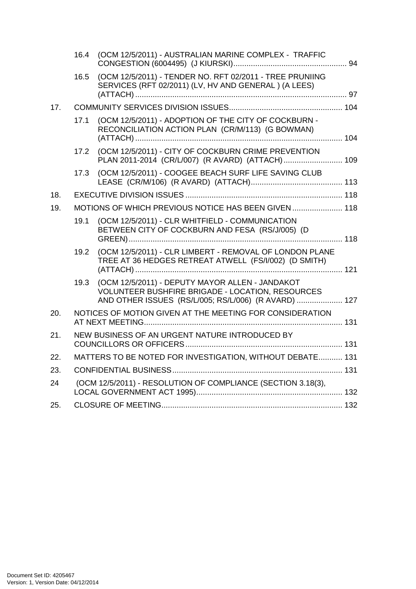|     | 16.4                                                      | (OCM 12/5/2011) - AUSTRALIAN MARINE COMPLEX - TRAFFIC                                                                                                              |  |
|-----|-----------------------------------------------------------|--------------------------------------------------------------------------------------------------------------------------------------------------------------------|--|
|     | 16.5                                                      | (OCM 12/5/2011) - TENDER NO. RFT 02/2011 - TREE PRUNIING<br>SERVICES (RFT 02/2011) (LV, HV AND GENERAL) (A LEES)                                                   |  |
| 17. |                                                           |                                                                                                                                                                    |  |
|     | 17.1                                                      | (OCM 12/5/2011) - ADOPTION OF THE CITY OF COCKBURN -<br>RECONCILIATION ACTION PLAN (CR/M/113) (G BOWMAN)                                                           |  |
|     | 17.2                                                      | (OCM 12/5/2011) - CITY OF COCKBURN CRIME PREVENTION<br>PLAN 2011-2014 (CR/L/007) (R AVARD) (ATTACH) 109                                                            |  |
|     | 17.3                                                      | (OCM 12/5/2011) - COOGEE BEACH SURF LIFE SAVING CLUB                                                                                                               |  |
| 18. |                                                           |                                                                                                                                                                    |  |
| 19. |                                                           | MOTIONS OF WHICH PREVIOUS NOTICE HAS BEEN GIVEN 118                                                                                                                |  |
|     | 19.1                                                      | (OCM 12/5/2011) - CLR WHITFIELD - COMMUNICATION<br>BETWEEN CITY OF COCKBURN AND FESA (RS/J/005) (D                                                                 |  |
|     | 19.2                                                      | (OCM 12/5/2011) - CLR LIMBERT - REMOVAL OF LONDON PLANE<br>TREE AT 36 HEDGES RETREAT ATWELL (FS/I/002) (D SMITH)                                                   |  |
|     | 19.3                                                      | (OCM 12/5/2011) - DEPUTY MAYOR ALLEN - JANDAKOT<br><b>VOLUNTEER BUSHFIRE BRIGADE - LOCATION, RESOURCES</b><br>AND OTHER ISSUES (RS/L/005; RS/L/006) (R AVARD)  127 |  |
| 20. |                                                           | NOTICES OF MOTION GIVEN AT THE MEETING FOR CONSIDERATION                                                                                                           |  |
| 21. |                                                           | NEW BUSINESS OF AN URGENT NATURE INTRODUCED BY                                                                                                                     |  |
| 22. | MATTERS TO BE NOTED FOR INVESTIGATION, WITHOUT DEBATE 131 |                                                                                                                                                                    |  |
| 23. |                                                           |                                                                                                                                                                    |  |
| 24  |                                                           | (OCM 12/5/2011) - RESOLUTION OF COMPLIANCE (SECTION 3.18(3),                                                                                                       |  |
| 25. |                                                           |                                                                                                                                                                    |  |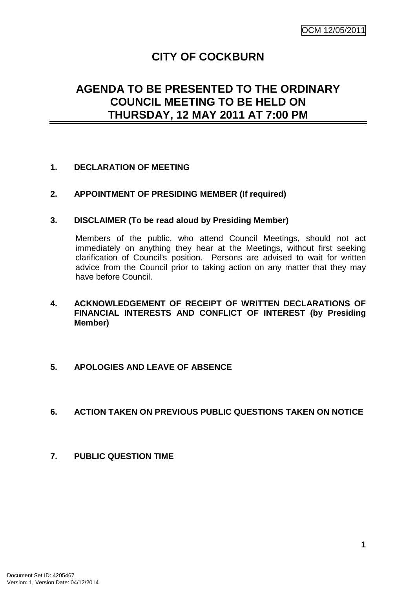# **CITY OF COCKBURN**

# **AGENDA TO BE PRESENTED TO THE ORDINARY COUNCIL MEETING TO BE HELD ON THURSDAY, 12 MAY 2011 AT 7:00 PM**

## **1. DECLARATION OF MEETING**

#### **2. APPOINTMENT OF PRESIDING MEMBER (If required)**

#### **3. DISCLAIMER (To be read aloud by Presiding Member)**

Members of the public, who attend Council Meetings, should not act immediately on anything they hear at the Meetings, without first seeking clarification of Council's position. Persons are advised to wait for written advice from the Council prior to taking action on any matter that they may have before Council.

## **4. ACKNOWLEDGEMENT OF RECEIPT OF WRITTEN DECLARATIONS OF FINANCIAL INTERESTS AND CONFLICT OF INTEREST (by Presiding Member)**

#### **5. APOLOGIES AND LEAVE OF ABSENCE**

#### **6. ACTION TAKEN ON PREVIOUS PUBLIC QUESTIONS TAKEN ON NOTICE**

**7. PUBLIC QUESTION TIME**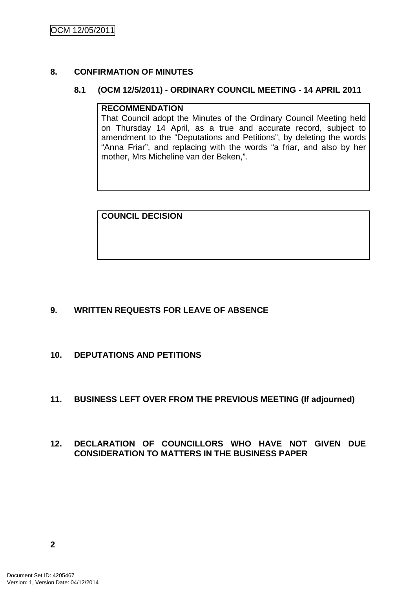## **8. CONFIRMATION OF MINUTES**

#### **8.1 (OCM 12/5/2011) - ORDINARY COUNCIL MEETING - 14 APRIL 2011**

#### **RECOMMENDATION**

That Council adopt the Minutes of the Ordinary Council Meeting held on Thursday 14 April, as a true and accurate record, subject to amendment to the "Deputations and Petitions", by deleting the words "Anna Friar", and replacing with the words "a friar, and also by her mother, Mrs Micheline van der Beken,".

**COUNCIL DECISION**

# **9. WRITTEN REQUESTS FOR LEAVE OF ABSENCE**

**10. DEPUTATIONS AND PETITIONS** 

# **11. BUSINESS LEFT OVER FROM THE PREVIOUS MEETING (If adjourned)**

# **12. DECLARATION OF COUNCILLORS WHO HAVE NOT GIVEN DUE CONSIDERATION TO MATTERS IN THE BUSINESS PAPER**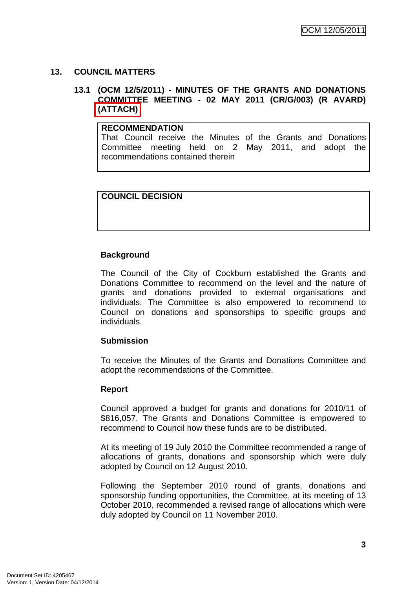## **13. COUNCIL MATTERS**

#### **13.1 (OCM 12/5/2011) - MINUTES OF THE GRANTS AND DONATIONS COMMITTEE MEETING - 02 MAY 2011 (CR/G/003) (R AVARD) (ATTACH)**

#### **RECOMMENDATION**

That Council receive the Minutes of the Grants and Donations Committee meeting held on 2 May 2011, and adopt the recommendations contained therein

# **COUNCIL DECISION**

## **Background**

The Council of the City of Cockburn established the Grants and Donations Committee to recommend on the level and the nature of grants and donations provided to external organisations and individuals. The Committee is also empowered to recommend to Council on donations and sponsorships to specific groups and individuals.

#### **Submission**

To receive the Minutes of the Grants and Donations Committee and adopt the recommendations of the Committee.

#### **Report**

Council approved a budget for grants and donations for 2010/11 of \$816,057. The Grants and Donations Committee is empowered to recommend to Council how these funds are to be distributed.

At its meeting of 19 July 2010 the Committee recommended a range of allocations of grants, donations and sponsorship which were duly adopted by Council on 12 August 2010.

Following the September 2010 round of grants, donations and sponsorship funding opportunities, the Committee, at its meeting of 13 October 2010, recommended a revised range of allocations which were duly adopted by Council on 11 November 2010.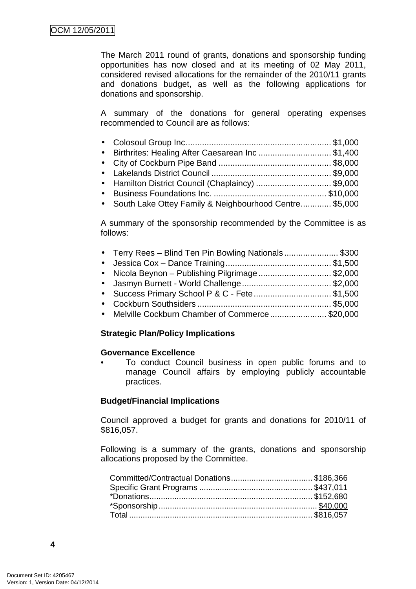The March 2011 round of grants, donations and sponsorship funding opportunities has now closed and at its meeting of 02 May 2011, considered revised allocations for the remainder of the 2010/11 grants and donations budget, as well as the following applications for donations and sponsorship.

A summary of the donations for general operating expenses recommended to Council are as follows:

- Colosoul Group Inc .............................................................. \$1,000 • Birthrites: Healing After Caesarean Inc ............................... \$1,400
- City of Cockburn Pipe Band ................................................ \$8,000
- Lakelands District Council ................................................... \$9,000
- Hamilton District Council (Chaplaincy) ................................... \$9.000
- Business Foundations Inc. ................................................ \$10,000
- South Lake Ottey Family & Neighbourhood Centre............. \$5,000

A summary of the sponsorship recommended by the Committee is as follows:

| • Terry Rees - Blind Ten Pin Bowling Nationals\$300 |  |
|-----------------------------------------------------|--|
|                                                     |  |
| • Nicola Beynon - Publishing Pilgrimage\$2,000      |  |
|                                                     |  |
| • Success Primary School P & C - Fete\$1,500        |  |
|                                                     |  |
| • Melville Cockburn Chamber of Commerce\$20,000     |  |
|                                                     |  |

#### **Strategic Plan/Policy Implications**

#### **Governance Excellence**

• To conduct Council business in open public forums and to manage Council affairs by employing publicly accountable practices.

#### **Budget/Financial Implications**

Council approved a budget for grants and donations for 2010/11 of \$816,057.

Following is a summary of the grants, donations and sponsorship allocations proposed by the Committee.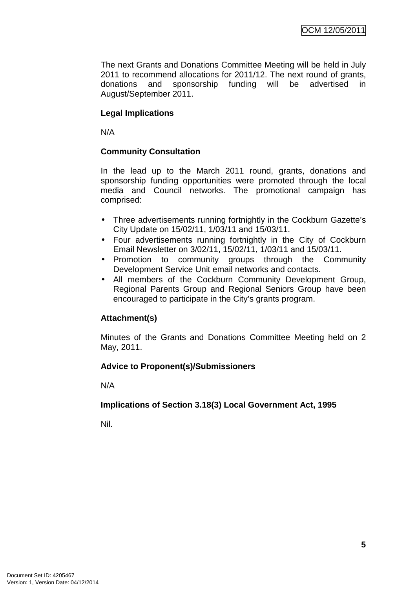The next Grants and Donations Committee Meeting will be held in July 2011 to recommend allocations for 2011/12. The next round of grants, donations and sponsorship funding will be advertised in August/September 2011.

## **Legal Implications**

N/A

## **Community Consultation**

In the lead up to the March 2011 round, grants, donations and sponsorship funding opportunities were promoted through the local media and Council networks. The promotional campaign has comprised:

- Three advertisements running fortnightly in the Cockburn Gazette's City Update on 15/02/11, 1/03/11 and 15/03/11.
- Four advertisements running fortnightly in the City of Cockburn Email Newsletter on 3/02/11, 15/02/11, 1/03/11 and 15/03/11.
- Promotion to community groups through the Community Development Service Unit email networks and contacts.
- All members of the Cockburn Community Development Group, Regional Parents Group and Regional Seniors Group have been encouraged to participate in the City's grants program.

#### **Attachment(s)**

Minutes of the Grants and Donations Committee Meeting held on 2 May, 2011.

#### **Advice to Proponent(s)/Submissioners**

N/A

#### **Implications of Section 3.18(3) Local Government Act, 1995**

Nil.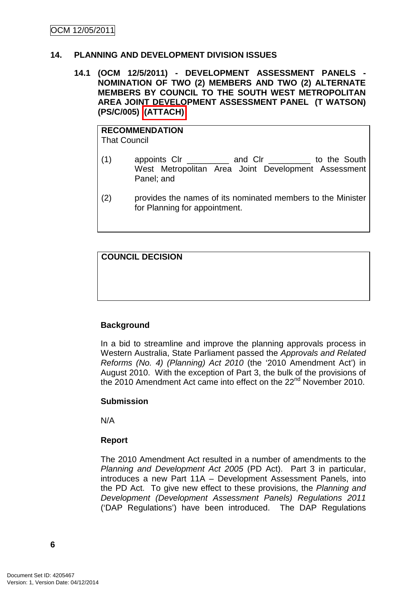#### **14. PLANNING AND DEVELOPMENT DIVISION ISSUES**

#### **14.1 (OCM 12/5/2011) - DEVELOPMENT ASSESSMENT PANELS - NOMINATION OF TWO (2) MEMBERS AND TWO (2) ALTERNATE MEMBERS BY COUNCIL TO THE SOUTH WEST METROPOLITAN AREA JOINT DEVELOPMENT ASSESSMENT PANEL (T WATSON) (PS/C/005) (ATTACH)**

**RECOMMENDATION** That Council

- (1) appoints Clr \_\_\_\_\_\_\_\_\_ and Clr \_\_\_\_\_\_\_\_\_ to the South West Metropolitan Area Joint Development Assessment Panel; and
- (2) provides the names of its nominated members to the Minister for Planning for appointment.

**COUNCIL DECISION**

# **Background**

In a bid to streamline and improve the planning approvals process in Western Australia, State Parliament passed the Approvals and Related Reforms (No. 4) (Planning) Act 2010 (the '2010 Amendment Act') in August 2010. With the exception of Part 3, the bulk of the provisions of the 2010 Amendment Act came into effect on the 22<sup>nd</sup> November 2010.

#### **Submission**

N/A

# **Report**

The 2010 Amendment Act resulted in a number of amendments to the Planning and Development Act 2005 (PD Act). Part 3 in particular, introduces a new Part 11A – Development Assessment Panels, into the PD Act. To give new effect to these provisions, the Planning and Development (Development Assessment Panels) Regulations 2011 ('DAP Regulations') have been introduced. The DAP Regulations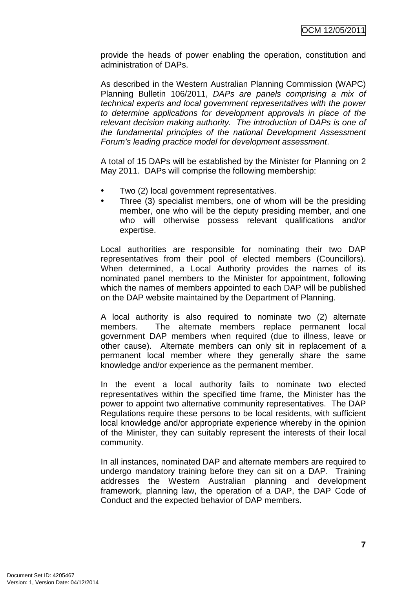provide the heads of power enabling the operation, constitution and administration of DAPs.

As described in the Western Australian Planning Commission (WAPC) Planning Bulletin 106/2011, DAPs are panels comprising a mix of technical experts and local government representatives with the power to determine applications for development approvals in place of the relevant decision making authority. The introduction of DAPs is one of the fundamental principles of the national Development Assessment Forum's leading practice model for development assessment.

A total of 15 DAPs will be established by the Minister for Planning on 2 May 2011. DAPs will comprise the following membership:

- Two (2) local government representatives.
- Three (3) specialist members, one of whom will be the presiding member, one who will be the deputy presiding member, and one who will otherwise possess relevant qualifications and/or expertise.

Local authorities are responsible for nominating their two DAP representatives from their pool of elected members (Councillors). When determined, a Local Authority provides the names of its nominated panel members to the Minister for appointment, following which the names of members appointed to each DAP will be published on the DAP website maintained by the Department of Planning.

A local authority is also required to nominate two (2) alternate members. The alternate members replace permanent local government DAP members when required (due to illness, leave or other cause). Alternate members can only sit in replacement of a permanent local member where they generally share the same knowledge and/or experience as the permanent member.

In the event a local authority fails to nominate two elected representatives within the specified time frame, the Minister has the power to appoint two alternative community representatives. The DAP Regulations require these persons to be local residents, with sufficient local knowledge and/or appropriate experience whereby in the opinion of the Minister, they can suitably represent the interests of their local community.

In all instances, nominated DAP and alternate members are required to undergo mandatory training before they can sit on a DAP. Training addresses the Western Australian planning and development framework, planning law, the operation of a DAP, the DAP Code of Conduct and the expected behavior of DAP members.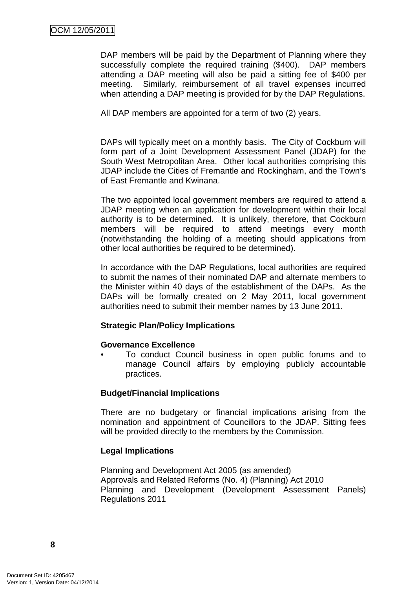DAP members will be paid by the Department of Planning where they successfully complete the required training (\$400). DAP members attending a DAP meeting will also be paid a sitting fee of \$400 per meeting. Similarly, reimbursement of all travel expenses incurred when attending a DAP meeting is provided for by the DAP Regulations.

All DAP members are appointed for a term of two (2) years.

DAPs will typically meet on a monthly basis. The City of Cockburn will form part of a Joint Development Assessment Panel (JDAP) for the South West Metropolitan Area. Other local authorities comprising this JDAP include the Cities of Fremantle and Rockingham, and the Town's of East Fremantle and Kwinana.

The two appointed local government members are required to attend a JDAP meeting when an application for development within their local authority is to be determined. It is unlikely, therefore, that Cockburn members will be required to attend meetings every month (notwithstanding the holding of a meeting should applications from other local authorities be required to be determined).

In accordance with the DAP Regulations, local authorities are required to submit the names of their nominated DAP and alternate members to the Minister within 40 days of the establishment of the DAPs. As the DAPs will be formally created on 2 May 2011, local government authorities need to submit their member names by 13 June 2011.

#### **Strategic Plan/Policy Implications**

#### **Governance Excellence**

• To conduct Council business in open public forums and to manage Council affairs by employing publicly accountable practices.

#### **Budget/Financial Implications**

There are no budgetary or financial implications arising from the nomination and appointment of Councillors to the JDAP. Sitting fees will be provided directly to the members by the Commission.

#### **Legal Implications**

Planning and Development Act 2005 (as amended) Approvals and Related Reforms (No. 4) (Planning) Act 2010 Planning and Development (Development Assessment Panels) Regulations 2011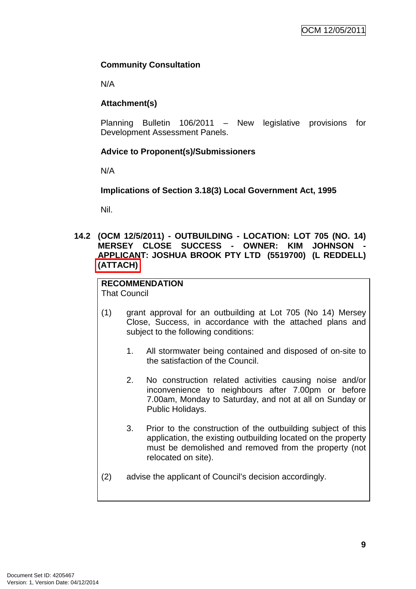# **Community Consultation**

N/A

# **Attachment(s)**

Planning Bulletin 106/2011 – New legislative provisions for Development Assessment Panels.

# **Advice to Proponent(s)/Submissioners**

N/A

**Implications of Section 3.18(3) Local Government Act, 1995**

Nil.

#### **14.2 (OCM 12/5/2011) - OUTBUILDING - LOCATION: LOT 705 (NO. 14) MERSEY CLOSE SUCCESS - OWNER: KIM JOHNSON APPLICANT: JOSHUA BROOK PTY LTD (5519700) (L REDDELL) (ATTACH)**

#### **RECOMMENDATION** That Council

- (1) grant approval for an outbuilding at Lot 705 (No 14) Mersey Close, Success, in accordance with the attached plans and subject to the following conditions:
	- 1. All stormwater being contained and disposed of on-site to the satisfaction of the Council.
	- 2. No construction related activities causing noise and/or inconvenience to neighbours after 7.00pm or before 7.00am, Monday to Saturday, and not at all on Sunday or Public Holidays.
	- 3. Prior to the construction of the outbuilding subject of this application, the existing outbuilding located on the property must be demolished and removed from the property (not relocated on site).
- (2) advise the applicant of Council's decision accordingly.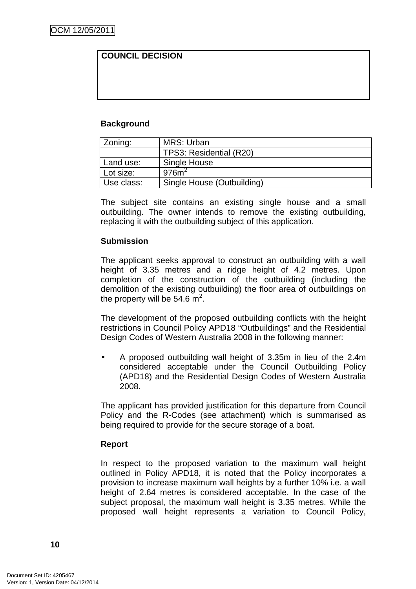## **COUNCIL DECISION**

#### **Background**

| MRS: Urban<br>Zoning: |                            |
|-----------------------|----------------------------|
|                       | TPS3: Residential (R20)    |
| Land use:             | Single House               |
| Lot size:             | 976m <sup>2</sup>          |
| Use class:            | Single House (Outbuilding) |

The subject site contains an existing single house and a small outbuilding. The owner intends to remove the existing outbuilding, replacing it with the outbuilding subject of this application.

#### **Submission**

The applicant seeks approval to construct an outbuilding with a wall height of 3.35 metres and a ridge height of 4.2 metres. Upon completion of the construction of the outbuilding (including the demolition of the existing outbuilding) the floor area of outbuildings on the property will be 54.6  $\mathsf{m}^2$ .

The development of the proposed outbuilding conflicts with the height restrictions in Council Policy APD18 "Outbuildings" and the Residential Design Codes of Western Australia 2008 in the following manner:

• A proposed outbuilding wall height of 3.35m in lieu of the 2.4m considered acceptable under the Council Outbuilding Policy (APD18) and the Residential Design Codes of Western Australia 2008.

The applicant has provided justification for this departure from Council Policy and the R-Codes (see attachment) which is summarised as being required to provide for the secure storage of a boat.

#### **Report**

In respect to the proposed variation to the maximum wall height outlined in Policy APD18, it is noted that the Policy incorporates a provision to increase maximum wall heights by a further 10% i.e. a wall height of 2.64 metres is considered acceptable. In the case of the subject proposal, the maximum wall height is 3.35 metres. While the proposed wall height represents a variation to Council Policy,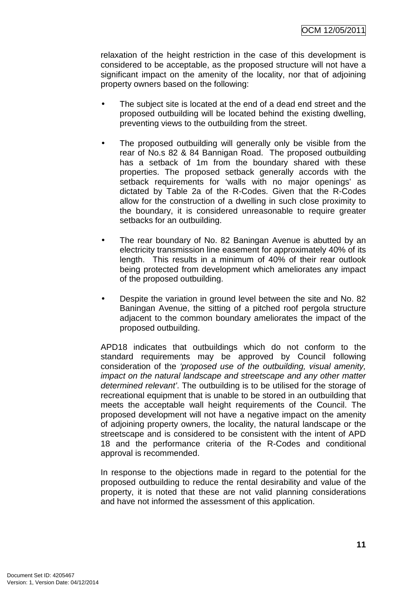relaxation of the height restriction in the case of this development is considered to be acceptable, as the proposed structure will not have a significant impact on the amenity of the locality, nor that of adjoining property owners based on the following:

- The subject site is located at the end of a dead end street and the proposed outbuilding will be located behind the existing dwelling, preventing views to the outbuilding from the street.
- The proposed outbuilding will generally only be visible from the rear of No.s 82 & 84 Bannigan Road. The proposed outbuilding has a setback of 1m from the boundary shared with these properties. The proposed setback generally accords with the setback requirements for 'walls with no major openings' as dictated by Table 2a of the R-Codes. Given that the R-Codes allow for the construction of a dwelling in such close proximity to the boundary, it is considered unreasonable to require greater setbacks for an outbuilding.
- The rear boundary of No. 82 Baningan Avenue is abutted by an electricity transmission line easement for approximately 40% of its length. This results in a minimum of 40% of their rear outlook being protected from development which ameliorates any impact of the proposed outbuilding.
- Despite the variation in ground level between the site and No. 82 Baningan Avenue, the sitting of a pitched roof pergola structure adjacent to the common boundary ameliorates the impact of the proposed outbuilding.

APD18 indicates that outbuildings which do not conform to the standard requirements may be approved by Council following consideration of the 'proposed use of the outbuilding, visual amenity, impact on the natural landscape and streetscape and any other matter determined relevant'. The outbuilding is to be utilised for the storage of recreational equipment that is unable to be stored in an outbuilding that meets the acceptable wall height requirements of the Council. The proposed development will not have a negative impact on the amenity of adjoining property owners, the locality, the natural landscape or the streetscape and is considered to be consistent with the intent of APD 18 and the performance criteria of the R-Codes and conditional approval is recommended.

In response to the objections made in regard to the potential for the proposed outbuilding to reduce the rental desirability and value of the property, it is noted that these are not valid planning considerations and have not informed the assessment of this application.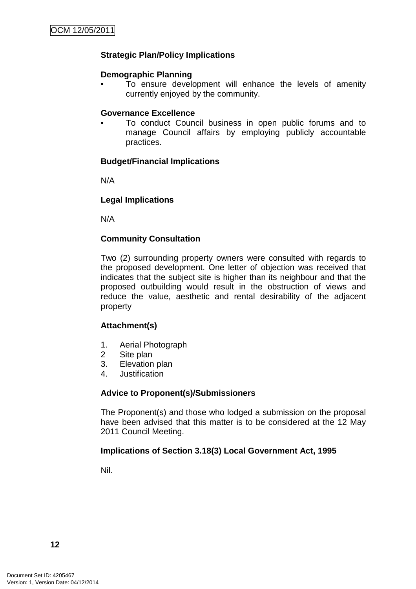## **Strategic Plan/Policy Implications**

#### **Demographic Planning**

To ensure development will enhance the levels of amenity currently enjoyed by the community.

#### **Governance Excellence**

• To conduct Council business in open public forums and to manage Council affairs by employing publicly accountable practices.

#### **Budget/Financial Implications**

N/A

#### **Legal Implications**

N/A

#### **Community Consultation**

Two (2) surrounding property owners were consulted with regards to the proposed development. One letter of objection was received that indicates that the subject site is higher than its neighbour and that the proposed outbuilding would result in the obstruction of views and reduce the value, aesthetic and rental desirability of the adjacent property

#### **Attachment(s)**

- 1. Aerial Photograph
- 2 Site plan
- 3. Elevation plan
- 4. Justification

#### **Advice to Proponent(s)/Submissioners**

The Proponent(s) and those who lodged a submission on the proposal have been advised that this matter is to be considered at the 12 May 2011 Council Meeting.

#### **Implications of Section 3.18(3) Local Government Act, 1995**

Nil.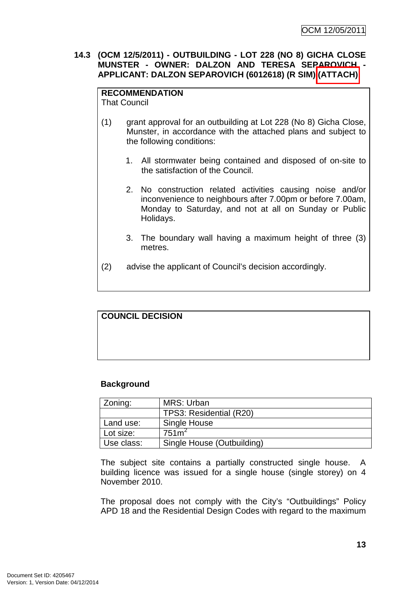#### **14.3 (OCM 12/5/2011) - OUTBUILDING - LOT 228 (NO 8) GICHA CLOSE MUNSTER - OWNER: DALZON AND TERESA SEPAROVICH - APPLICANT: DALZON SEPAROVICH (6012618) (R SIM) (ATTACH)**

# **RECOMMENDATION**

That Council

- (1) grant approval for an outbuilding at Lot 228 (No 8) Gicha Close, Munster, in accordance with the attached plans and subject to the following conditions:
	- 1. All stormwater being contained and disposed of on-site to the satisfaction of the Council.
	- 2. No construction related activities causing noise and/or inconvenience to neighbours after 7.00pm or before 7.00am, Monday to Saturday, and not at all on Sunday or Public Holidays.
	- 3. The boundary wall having a maximum height of three (3) metres.
- (2) advise the applicant of Council's decision accordingly.

# **COUNCIL DECISION**

# **Background**

| Zoning:    | MRS: Urban                 |
|------------|----------------------------|
|            | TPS3: Residential (R20)    |
| Land use:  | Single House               |
| Lot size:  | 751m <sup>2</sup>          |
| Use class: | Single House (Outbuilding) |

The subject site contains a partially constructed single house. A building licence was issued for a single house (single storey) on 4 November 2010.

The proposal does not comply with the City's "Outbuildings" Policy APD 18 and the Residential Design Codes with regard to the maximum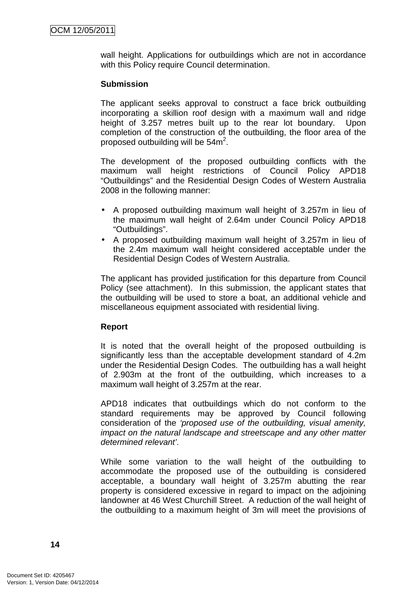wall height. Applications for outbuildings which are not in accordance with this Policy require Council determination.

#### **Submission**

The applicant seeks approval to construct a face brick outbuilding incorporating a skillion roof design with a maximum wall and ridge height of 3.257 metres built up to the rear lot boundary. Upon completion of the construction of the outbuilding, the floor area of the proposed outbuilding will be  $54m^2$ .

The development of the proposed outbuilding conflicts with the maximum wall height restrictions of Council Policy APD18 "Outbuildings" and the Residential Design Codes of Western Australia 2008 in the following manner:

- A proposed outbuilding maximum wall height of 3.257m in lieu of the maximum wall height of 2.64m under Council Policy APD18 "Outbuildings".
- A proposed outbuilding maximum wall height of 3.257m in lieu of the 2.4m maximum wall height considered acceptable under the Residential Design Codes of Western Australia.

The applicant has provided justification for this departure from Council Policy (see attachment). In this submission, the applicant states that the outbuilding will be used to store a boat, an additional vehicle and miscellaneous equipment associated with residential living.

#### **Report**

It is noted that the overall height of the proposed outbuilding is significantly less than the acceptable development standard of 4.2m under the Residential Design Codes. The outbuilding has a wall height of 2.903m at the front of the outbuilding, which increases to a maximum wall height of 3.257m at the rear.

APD18 indicates that outbuildings which do not conform to the standard requirements may be approved by Council following consideration of the 'proposed use of the outbuilding, visual amenity, impact on the natural landscape and streetscape and any other matter determined relevant'.

While some variation to the wall height of the outbuilding to accommodate the proposed use of the outbuilding is considered acceptable, a boundary wall height of 3.257m abutting the rear property is considered excessive in regard to impact on the adjoining landowner at 46 West Churchill Street. A reduction of the wall height of the outbuilding to a maximum height of 3m will meet the provisions of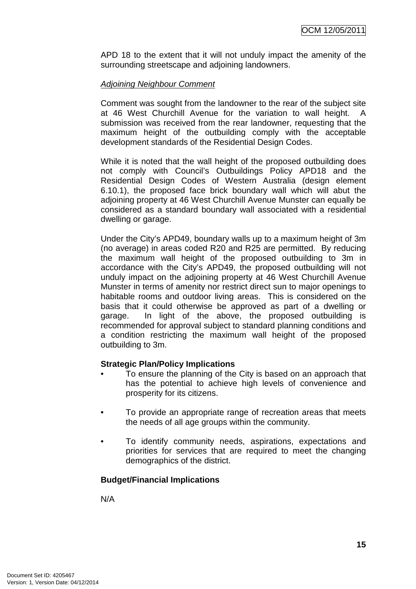APD 18 to the extent that it will not unduly impact the amenity of the surrounding streetscape and adjoining landowners.

## Adjoining Neighbour Comment

Comment was sought from the landowner to the rear of the subject site at 46 West Churchill Avenue for the variation to wall height. A submission was received from the rear landowner, requesting that the maximum height of the outbuilding comply with the acceptable development standards of the Residential Design Codes.

While it is noted that the wall height of the proposed outbuilding does not comply with Council's Outbuildings Policy APD18 and the Residential Design Codes of Western Australia (design element 6.10.1), the proposed face brick boundary wall which will abut the adjoining property at 46 West Churchill Avenue Munster can equally be considered as a standard boundary wall associated with a residential dwelling or garage.

Under the City's APD49, boundary walls up to a maximum height of 3m (no average) in areas coded R20 and R25 are permitted. By reducing the maximum wall height of the proposed outbuilding to 3m in accordance with the City's APD49, the proposed outbuilding will not unduly impact on the adjoining property at 46 West Churchill Avenue Munster in terms of amenity nor restrict direct sun to major openings to habitable rooms and outdoor living areas. This is considered on the basis that it could otherwise be approved as part of a dwelling or garage. In light of the above, the proposed outbuilding is recommended for approval subject to standard planning conditions and a condition restricting the maximum wall height of the proposed outbuilding to 3m.

#### **Strategic Plan/Policy Implications**

- To ensure the planning of the City is based on an approach that has the potential to achieve high levels of convenience and prosperity for its citizens.
- To provide an appropriate range of recreation areas that meets the needs of all age groups within the community.
- To identify community needs, aspirations, expectations and priorities for services that are required to meet the changing demographics of the district.

#### **Budget/Financial Implications**

N/A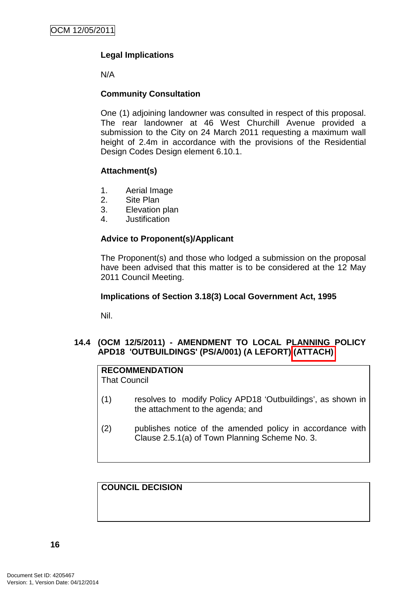# **Legal Implications**

N/A

#### **Community Consultation**

One (1) adjoining landowner was consulted in respect of this proposal. The rear landowner at 46 West Churchill Avenue provided a submission to the City on 24 March 2011 requesting a maximum wall height of 2.4m in accordance with the provisions of the Residential Design Codes Design element 6.10.1.

#### **Attachment(s)**

- 1. Aerial Image
- 2. Site Plan
- 3. Elevation plan
- 4. Justification

# **Advice to Proponent(s)/Applicant**

The Proponent(s) and those who lodged a submission on the proposal have been advised that this matter is to be considered at the 12 May 2011 Council Meeting.

#### **Implications of Section 3.18(3) Local Government Act, 1995**

Nil.

## **14.4 (OCM 12/5/2011) - AMENDMENT TO LOCAL PLANNING POLICY APD18 'OUTBUILDINGS' (PS/A/001) (A LEFORT) (ATTACH)**

#### **RECOMMENDATION**

That Council

- (1) resolves to modify Policy APD18 'Outbuildings', as shown in the attachment to the agenda; and
- (2) publishes notice of the amended policy in accordance with Clause 2.5.1(a) of Town Planning Scheme No. 3.

**COUNCIL DECISION**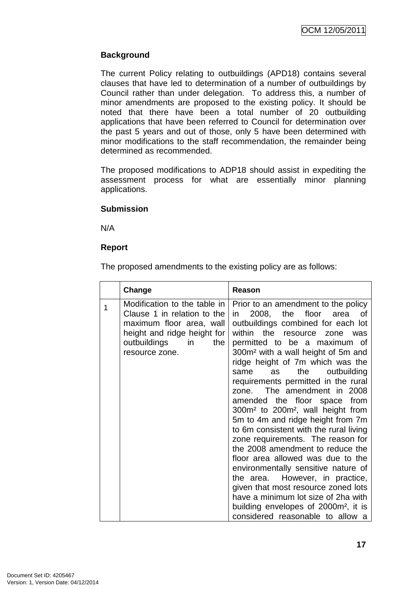# **Background**

The current Policy relating to outbuildings (APD18) contains several clauses that have led to determination of a number of outbuildings by Council rather than under delegation. To address this, a number of minor amendments are proposed to the existing policy. It should be noted that there have been a total number of 20 outbuilding applications that have been referred to Council for determination over the past 5 years and out of those, only 5 have been determined with minor modifications to the staff recommendation, the remainder being determined as recommended.

The proposed modifications to ADP18 should assist in expediting the assessment process for what are essentially minor planning applications.

## **Submission**

N/A

## **Report**

The proposed amendments to the existing policy are as follows:

|   | Change                                                                                                                                                                | Reason                                                                                                                                                                                                                                                                                                                                                                                                                                                                                                                                                                                                                                                                                                                                                                                                                                                                                                                                           |
|---|-----------------------------------------------------------------------------------------------------------------------------------------------------------------------|--------------------------------------------------------------------------------------------------------------------------------------------------------------------------------------------------------------------------------------------------------------------------------------------------------------------------------------------------------------------------------------------------------------------------------------------------------------------------------------------------------------------------------------------------------------------------------------------------------------------------------------------------------------------------------------------------------------------------------------------------------------------------------------------------------------------------------------------------------------------------------------------------------------------------------------------------|
| 1 | Modification to the table in<br>Clause 1 in relation to the<br>maximum floor area, wall<br>height and ridge height for<br>outbuildings<br>in<br>the<br>resource zone. | Prior to an amendment to the policy<br>floor<br>2008,<br>the<br>0f<br>area<br>in.<br>outbuildings combined for each lot<br>the resource<br>within<br>zone<br>was<br>permitted to be a maximum of<br>300m <sup>2</sup> with a wall height of 5m and<br>ridge height of 7m which was the<br>the<br>outbuilding<br>as<br>same<br>requirements permitted in the rural<br>The amendment in 2008<br>zone.<br>amended the floor space from<br>300m <sup>2</sup> to 200m <sup>2</sup> , wall height from<br>5m to 4m and ridge height from 7m<br>to 6m consistent with the rural living<br>zone requirements. The reason for<br>the 2008 amendment to reduce the<br>floor area allowed was due to the<br>environmentally sensitive nature of<br>However, in practice,<br>the area.<br>given that most resource zoned lots<br>have a minimum lot size of 2ha with<br>building envelopes of 2000m <sup>2</sup> , it is<br>considered reasonable to allow a |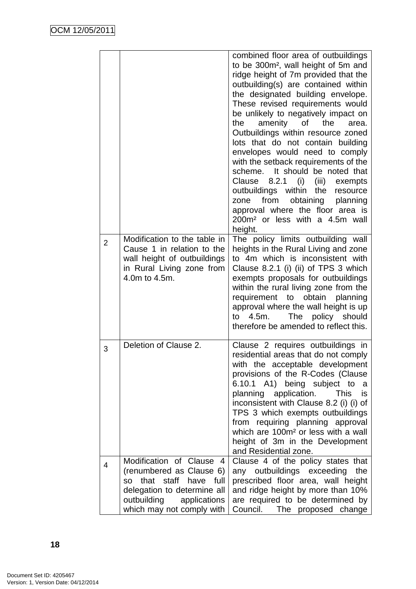|                |                                                                                                                                                                                         | combined floor area of outbuildings<br>to be 300m <sup>2</sup> , wall height of 5m and<br>ridge height of 7m provided that the<br>outbuilding(s) are contained within<br>the designated building envelope.<br>These revised requirements would<br>be unlikely to negatively impact on<br>amenity of the<br>the<br>area.<br>Outbuildings within resource zoned<br>lots that do not contain building<br>envelopes would need to comply<br>with the setback requirements of the<br>It should be noted that<br>scheme.<br>8.2.1<br>(i)<br>(iii)<br>Clause<br>exempts<br>outbuildings within the<br>resource<br>from<br>obtaining<br>planning<br>zone<br>approval where the floor area is<br>200m <sup>2</sup> or less with a 4.5m wall<br>height. |
|----------------|-----------------------------------------------------------------------------------------------------------------------------------------------------------------------------------------|-----------------------------------------------------------------------------------------------------------------------------------------------------------------------------------------------------------------------------------------------------------------------------------------------------------------------------------------------------------------------------------------------------------------------------------------------------------------------------------------------------------------------------------------------------------------------------------------------------------------------------------------------------------------------------------------------------------------------------------------------|
| $\overline{2}$ | Modification to the table in<br>Cause 1 in relation to the<br>wall height of outbuildings<br>in Rural Living zone from<br>4.0m to 4.5m.                                                 | The policy limits outbuilding wall<br>heights in the Rural Living and zone<br>to 4m which is inconsistent with<br>Clause 8.2.1 (i) (ii) of TPS 3 which<br>exempts proposals for outbuildings<br>within the rural living zone from the<br>requirement to obtain<br>planning<br>approval where the wall height is up<br>The policy should<br>to<br>4.5m.<br>therefore be amended to reflect this.                                                                                                                                                                                                                                                                                                                                               |
| 3              | Deletion of Clause 2.                                                                                                                                                                   | Clause 2 requires outbuildings in<br>residential areas that do not comply<br>with the acceptable development<br>provisions of the R-Codes (Clause<br>6.10.1 A1) being subject to<br>a<br>planning application.<br><b>This</b><br>is<br>inconsistent with Clause 8.2 (i) (i) of<br>TPS 3 which exempts outbuildings<br>from requiring planning approval<br>which are 100m <sup>2</sup> or less with a wall<br>height of 3m in the Development<br>and Residential zone.                                                                                                                                                                                                                                                                         |
| 4              | Modification of Clause<br>4<br>(renumbered as Clause 6)<br>that staff have full<br><b>SO</b><br>delegation to determine all<br>outbuilding<br>applications<br>which may not comply with | Clause 4 of the policy states that<br>any outbuildings exceeding<br>the<br>prescribed floor area, wall height<br>and ridge height by more than 10%<br>are required to be determined by<br>Council.<br>The proposed change                                                                                                                                                                                                                                                                                                                                                                                                                                                                                                                     |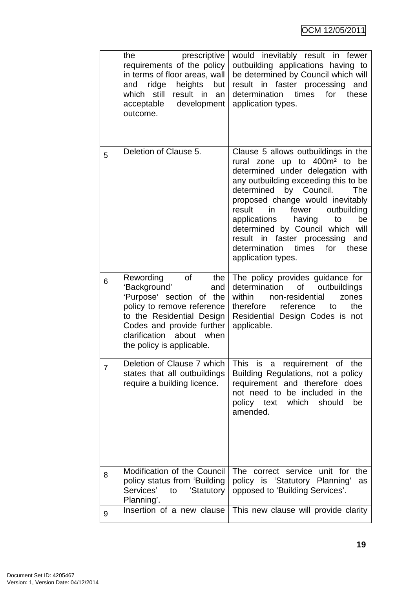|                | prescriptive<br>the<br>requirements of the policy<br>in terms of floor areas, wall<br>ridge<br>heights but<br>and<br>which still<br>result in<br>an<br>acceptable<br>development<br>outcome.                               | would inevitably result in fewer<br>outbuilding applications having to<br>be determined by Council which will<br>result in faster processing and<br>determination times for<br>these<br>application types.                                                                                                                                                                                                                                            |
|----------------|----------------------------------------------------------------------------------------------------------------------------------------------------------------------------------------------------------------------------|-------------------------------------------------------------------------------------------------------------------------------------------------------------------------------------------------------------------------------------------------------------------------------------------------------------------------------------------------------------------------------------------------------------------------------------------------------|
| 5              | Deletion of Clause 5.                                                                                                                                                                                                      | Clause 5 allows outbuildings in the<br>rural zone up to 400m <sup>2</sup> to be<br>determined under delegation with<br>any outbuilding exceeding this to be<br>determined by Council.<br>The<br>proposed change would inevitably<br>outbuilding<br>result<br>in<br>fewer<br>applications<br>having<br>be<br>to<br>determined by Council which will<br>result in faster processing<br>and<br>determination times<br>for<br>these<br>application types. |
| 6              | Rewording<br>of<br>the<br>'Background'<br>and<br>'Purpose' section of the<br>policy to remove reference<br>to the Residential Design<br>Codes and provide further<br>clarification about when<br>the policy is applicable. | The policy provides guidance for<br>determination of<br>outbuildings<br>within<br>non-residential<br>zones<br>therefore reference<br>the<br>to<br>Residential Design Codes is not<br>applicable.                                                                                                                                                                                                                                                      |
| $\overline{7}$ | Deletion of Clause 7 which<br>states that all outbuildings<br>require a building licence.                                                                                                                                  | This is a requirement of<br>the<br>Building Regulations, not a policy<br>requirement and therefore does<br>not need to be included in the<br>should<br>policy text which<br>be<br>amended.                                                                                                                                                                                                                                                            |
| 8              | Modification of the Council<br>policy status from 'Building<br>Services'<br>'Statutory<br>to<br>Planning'.                                                                                                                 | The correct service unit for<br>the<br>policy is 'Statutory Planning'<br>as<br>opposed to 'Building Services'.                                                                                                                                                                                                                                                                                                                                        |
| 9              | Insertion of a new clause                                                                                                                                                                                                  | This new clause will provide clarity                                                                                                                                                                                                                                                                                                                                                                                                                  |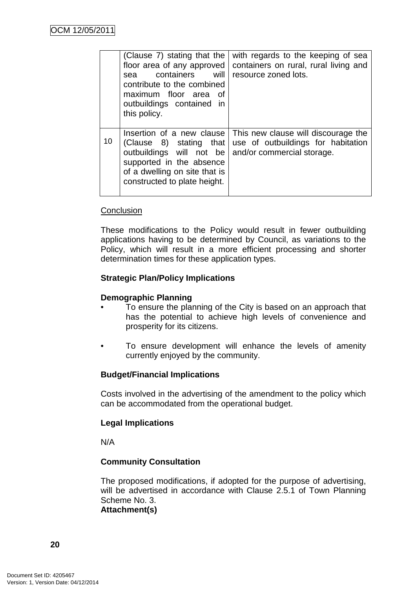|    | (Clause 7) stating that the<br>floor area of any approved<br>containers<br>will<br>sea<br>contribute to the combined<br>maximum floor area<br>. of<br>outbuildings contained in<br>this policy. | with regards to the keeping of sea<br>containers on rural, rural living and<br>resource zoned lots.     |
|----|-------------------------------------------------------------------------------------------------------------------------------------------------------------------------------------------------|---------------------------------------------------------------------------------------------------------|
| 10 | Insertion of a new clause<br>(Clause 8) stating that<br>outbuildings will not be<br>supported in the absence<br>of a dwelling on site that is<br>constructed to plate height.                   | This new clause will discourage the<br>use of outbuildings for habitation<br>and/or commercial storage. |

#### **Conclusion**

These modifications to the Policy would result in fewer outbuilding applications having to be determined by Council, as variations to the Policy, which will result in a more efficient processing and shorter determination times for these application types.

#### **Strategic Plan/Policy Implications**

#### **Demographic Planning**

- To ensure the planning of the City is based on an approach that has the potential to achieve high levels of convenience and prosperity for its citizens.
- To ensure development will enhance the levels of amenity currently enjoyed by the community.

#### **Budget/Financial Implications**

Costs involved in the advertising of the amendment to the policy which can be accommodated from the operational budget.

#### **Legal Implications**

N/A

#### **Community Consultation**

The proposed modifications, if adopted for the purpose of advertising, will be advertised in accordance with Clause 2.5.1 of Town Planning Scheme No. 3.

**Attachment(s)**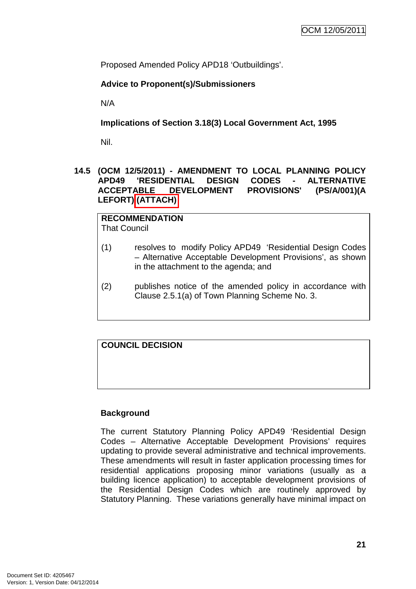Proposed Amended Policy APD18 'Outbuildings'.

# **Advice to Proponent(s)/Submissioners**

N/A

**Implications of Section 3.18(3) Local Government Act, 1995**

Nil.

#### **14.5 (OCM 12/5/2011) - AMENDMENT TO LOCAL PLANNING POLICY APD49 'RESIDENTIAL DESIGN CODES - ALTERNATIVE ACCEPTABLE DEVELOPMENT PROVISIONS' (PS/A/001)(A LEFORT) (ATTACH)**

**RECOMMENDATION** That Council

- (1) resolves to modify Policy APD49 'Residential Design Codes – Alternative Acceptable Development Provisions', as shown in the attachment to the agenda; and
- (2) publishes notice of the amended policy in accordance with Clause 2.5.1(a) of Town Planning Scheme No. 3.

**COUNCIL DECISION**

# **Background**

The current Statutory Planning Policy APD49 'Residential Design Codes – Alternative Acceptable Development Provisions' requires updating to provide several administrative and technical improvements. These amendments will result in faster application processing times for residential applications proposing minor variations (usually as a building licence application) to acceptable development provisions of the Residential Design Codes which are routinely approved by Statutory Planning. These variations generally have minimal impact on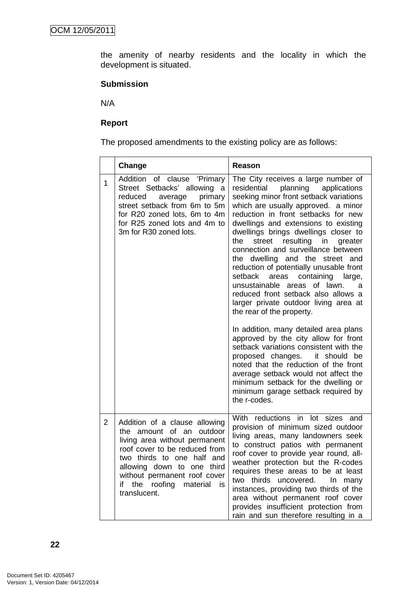the amenity of nearby residents and the locality in which the development is situated.

#### **Submission**

N/A

## **Report**

The proposed amendments to the existing policy are as follows:

|                | Change                                                                                                                                                                                                                                                                               | Reason                                                                                                                                                                                                                                                                                                                                                                                                                                                                                                                                                                                                                                                                                                                                                                                                                                                                                                                                                                                                 |
|----------------|--------------------------------------------------------------------------------------------------------------------------------------------------------------------------------------------------------------------------------------------------------------------------------------|--------------------------------------------------------------------------------------------------------------------------------------------------------------------------------------------------------------------------------------------------------------------------------------------------------------------------------------------------------------------------------------------------------------------------------------------------------------------------------------------------------------------------------------------------------------------------------------------------------------------------------------------------------------------------------------------------------------------------------------------------------------------------------------------------------------------------------------------------------------------------------------------------------------------------------------------------------------------------------------------------------|
| $\mathbf{1}$   | of clause 'Primary<br>Addition<br>Street Setbacks' allowing a<br>primary<br>reduced<br>average<br>street setback from 6m to 5m<br>for R20 zoned lots, 6m to 4m<br>for R25 zoned lots and 4m to<br>3m for R30 zoned lots.                                                             | The City receives a large number of<br>residential<br>planning<br>applications<br>seeking minor front setback variations<br>which are usually approved. a minor<br>reduction in front setbacks for new<br>dwellings and extensions to existing<br>dwellings brings dwellings closer to<br>resulting<br>the<br>street<br>in<br>greater<br>connection and surveillance between<br>the dwelling and the street and<br>reduction of potentially unusable front<br>setback<br>areas<br>containing<br>large,<br>unsustainable<br>areas of lawn.<br>a<br>reduced front setback also allows a<br>larger private outdoor living area at<br>the rear of the property.<br>In addition, many detailed area plans<br>approved by the city allow for front<br>setback variations consistent with the<br>proposed changes. it should be<br>noted that the reduction of the front<br>average setback would not affect the<br>minimum setback for the dwelling or<br>minimum garage setback required by<br>the r-codes. |
| $\overline{2}$ | Addition of a clause allowing<br>the amount of an<br>outdoor<br>living area without permanent<br>roof cover to be reduced from<br>two thirds to one half and<br>allowing down to one third<br>without permanent roof cover<br>the<br>roofing<br>material<br>if<br>is<br>translucent. | With reductions in lot<br>sizes and<br>provision of minimum sized outdoor<br>living areas, many landowners seek<br>to construct patios with permanent<br>roof cover to provide year round, all-<br>weather protection but the R-codes<br>requires these areas to be at least<br>two<br>thirds<br>uncovered.<br>In.<br>many<br>instances, providing two thirds of the<br>area without permanent roof cover<br>provides insufficient protection from<br>rain and sun therefore resulting in a                                                                                                                                                                                                                                                                                                                                                                                                                                                                                                            |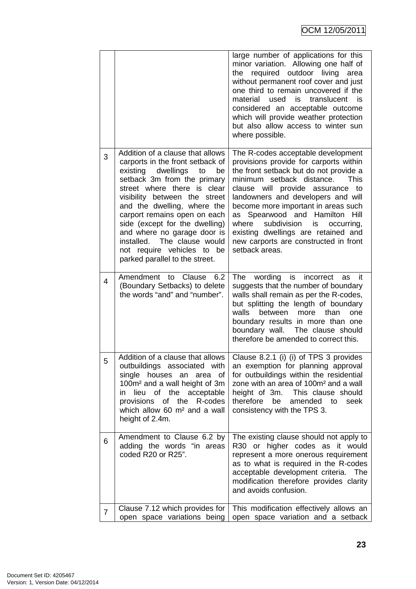|                |                                                                                                                                                                                                                                                                                                                                                                                                                                         | large number of applications for this<br>minor variation. Allowing one half of<br>required outdoor living<br>the<br>area<br>without permanent roof cover and just<br>one third to remain uncovered if the<br>material<br>used<br>is<br>translucent<br>is<br>considered an acceptable outcome<br>which will provide weather protection<br>but also allow access to winter sun<br>where possible.                                                                 |
|----------------|-----------------------------------------------------------------------------------------------------------------------------------------------------------------------------------------------------------------------------------------------------------------------------------------------------------------------------------------------------------------------------------------------------------------------------------------|-----------------------------------------------------------------------------------------------------------------------------------------------------------------------------------------------------------------------------------------------------------------------------------------------------------------------------------------------------------------------------------------------------------------------------------------------------------------|
| 3              | Addition of a clause that allows<br>carports in the front setback of<br>existing dwellings<br>to<br>be<br>setback 3m from the primary<br>street where there is clear<br>visibility between the street<br>and the dwelling, where the<br>carport remains open on each<br>side (except for the dwelling)<br>and where no garage door is<br>The clause would<br>installed.<br>not require vehicles to be<br>parked parallel to the street. | The R-codes acceptable development<br>provisions provide for carports within<br>the front setback but do not provide a<br>minimum setback distance.<br>This<br>clause will provide assurance<br>to<br>landowners and developers and will<br>become more important in areas such<br>as Spearwood and Hamilton Hill<br>is<br>where<br>subdivision<br>occurring,<br>existing dwellings are retained and<br>new carports are constructed in front<br>setback areas. |
| 4              | Amendment to Clause<br>6.2<br>(Boundary Setbacks) to delete<br>the words "and" and "number".                                                                                                                                                                                                                                                                                                                                            | wording<br>is incorrect<br>The<br>as<br>- it<br>suggests that the number of boundary<br>walls shall remain as per the R-codes,<br>but splitting the length of boundary<br>between<br>more<br>walls<br>than<br>one<br>boundary results in more than one<br>boundary wall.<br>The clause should<br>therefore be amended to correct this.                                                                                                                          |
| 5              | Addition of a clause that allows<br>outbuildings associated with<br>single houses an area of<br>100m <sup>2</sup> and a wall height of 3m<br>lieu of the acceptable<br>in.<br>of the R-codes<br>provisions<br>which allow 60 m <sup>2</sup> and a wall<br>height of 2.4m.                                                                                                                                                               | Clause 8.2.1 (i) (i) of TPS 3 provides<br>an exemption for planning approval<br>for outbuildings within the residential<br>zone with an area of 100m <sup>2</sup> and a wall<br>height of 3m. This clause should<br>therefore<br>be<br>amended to<br>seek<br>consistency with the TPS 3.                                                                                                                                                                        |
| 6              | Amendment to Clause 6.2 by<br>adding the words "in areas<br>coded R20 or R25".                                                                                                                                                                                                                                                                                                                                                          | The existing clause should not apply to<br>R30 or higher codes as it would<br>represent a more onerous requirement<br>as to what is required in the R-codes<br>acceptable development criteria.<br>The<br>modification therefore provides clarity<br>and avoids confusion.                                                                                                                                                                                      |
| $\overline{7}$ | Clause 7.12 which provides for<br>open space variations being                                                                                                                                                                                                                                                                                                                                                                           | This modification effectively allows an<br>open space variation and a setback                                                                                                                                                                                                                                                                                                                                                                                   |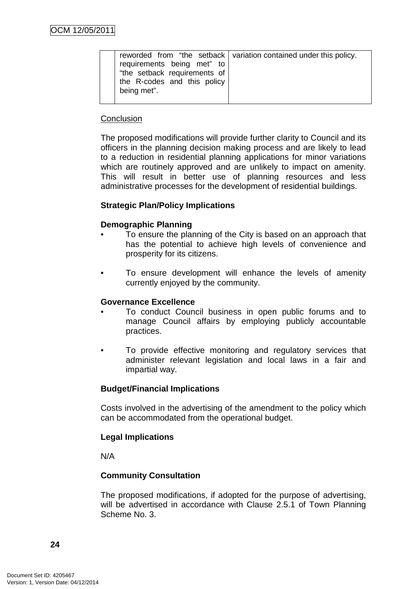| requirements being met" to<br>"the setback requirements of | reworded from "the setback   variation contained under this policy. |
|------------------------------------------------------------|---------------------------------------------------------------------|
|                                                            |                                                                     |
| the R-codes and this policy                                |                                                                     |
| being met".                                                |                                                                     |
|                                                            |                                                                     |

#### **Conclusion**

The proposed modifications will provide further clarity to Council and its officers in the planning decision making process and are likely to lead to a reduction in residential planning applications for minor variations which are routinely approved and are unlikely to impact on amenity. This will result in better use of planning resources and less administrative processes for the development of residential buildings.

## **Strategic Plan/Policy Implications**

#### **Demographic Planning**

- To ensure the planning of the City is based on an approach that has the potential to achieve high levels of convenience and prosperity for its citizens.
- To ensure development will enhance the levels of amenity currently enjoyed by the community.

#### **Governance Excellence**

- To conduct Council business in open public forums and to manage Council affairs by employing publicly accountable practices.
- To provide effective monitoring and regulatory services that administer relevant legislation and local laws in a fair and impartial way.

#### **Budget/Financial Implications**

Costs involved in the advertising of the amendment to the policy which can be accommodated from the operational budget.

#### **Legal Implications**

N/A

#### **Community Consultation**

The proposed modifications, if adopted for the purpose of advertising, will be advertised in accordance with Clause 2.5.1 of Town Planning Scheme No. 3.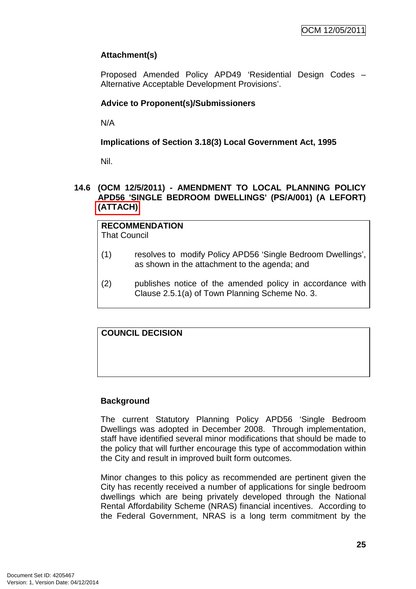# **Attachment(s)**

Proposed Amended Policy APD49 'Residential Design Codes – Alternative Acceptable Development Provisions'.

# **Advice to Proponent(s)/Submissioners**

N/A

## **Implications of Section 3.18(3) Local Government Act, 1995**

Nil.

#### **14.6 (OCM 12/5/2011) - AMENDMENT TO LOCAL PLANNING POLICY APD56 'SINGLE BEDROOM DWELLINGS' (PS/A/001) (A LEFORT) (ATTACH)**

| <b>RECOMMENDATION</b><br>That Council |                                                                                                              |  |
|---------------------------------------|--------------------------------------------------------------------------------------------------------------|--|
| (1)                                   | resolves to modify Policy APD56 'Single Bedroom Dwellings',<br>as shown in the attachment to the agenda; and |  |

(2) publishes notice of the amended policy in accordance with Clause 2.5.1(a) of Town Planning Scheme No. 3.

# **COUNCIL DECISION**

# **Background**

The current Statutory Planning Policy APD56 'Single Bedroom Dwellings was adopted in December 2008. Through implementation, staff have identified several minor modifications that should be made to the policy that will further encourage this type of accommodation within the City and result in improved built form outcomes.

Minor changes to this policy as recommended are pertinent given the City has recently received a number of applications for single bedroom dwellings which are being privately developed through the National Rental Affordability Scheme (NRAS) financial incentives. According to the Federal Government, NRAS is a long term commitment by the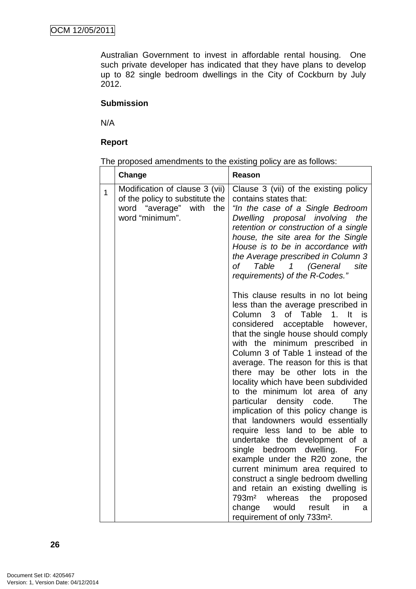Australian Government to invest in affordable rental housing. One such private developer has indicated that they have plans to develop up to 82 single bedroom dwellings in the City of Cockburn by July 2012.

# **Submission**

N/A

# **Report**

The proposed amendments to the existing policy are as follows:

|              | Change                                                                                                          | Reason                                                                                                                                                                                                                                                                                                                                                                                                                                                                                                                                                                                                                                                                                                                                                                                                                                                                                                                            |
|--------------|-----------------------------------------------------------------------------------------------------------------|-----------------------------------------------------------------------------------------------------------------------------------------------------------------------------------------------------------------------------------------------------------------------------------------------------------------------------------------------------------------------------------------------------------------------------------------------------------------------------------------------------------------------------------------------------------------------------------------------------------------------------------------------------------------------------------------------------------------------------------------------------------------------------------------------------------------------------------------------------------------------------------------------------------------------------------|
| $\mathbf{1}$ | Modification of clause 3 (vii)<br>of the policy to substitute the<br>word "average" with the<br>word "minimum". | Clause 3 (vii) of the existing policy<br>contains states that:<br>"In the case of a Single Bedroom<br>Dwelling proposal involving the<br>retention or construction of a single<br>house, the site area for the Single<br>House is to be in accordance with<br>the Average prescribed in Column 3<br>of Table 1 (General<br>site<br>requirements) of the R-Codes."                                                                                                                                                                                                                                                                                                                                                                                                                                                                                                                                                                 |
|              |                                                                                                                 | This clause results in no lot being<br>less than the average prescribed in<br>Column 3<br>of Table<br>It<br>1.<br>is<br>considered acceptable however,<br>that the single house should comply<br>with the minimum prescribed in<br>Column 3 of Table 1 instead of the<br>average. The reason for this is that<br>there may be other lots in the<br>locality which have been subdivided<br>to the minimum lot area of any<br>particular density code.<br>The<br>implication of this policy change is<br>that landowners would essentially<br>require less land to be able to<br>undertake the development of a<br>single bedroom dwelling.<br>For<br>example under the R20 zone, the<br>current minimum area required to<br>construct a single bedroom dwelling<br>and retain an existing dwelling is<br>793m <sup>2</sup> whereas<br>the proposed<br>would result<br>change<br>in<br>a<br>requirement of only 733m <sup>2</sup> . |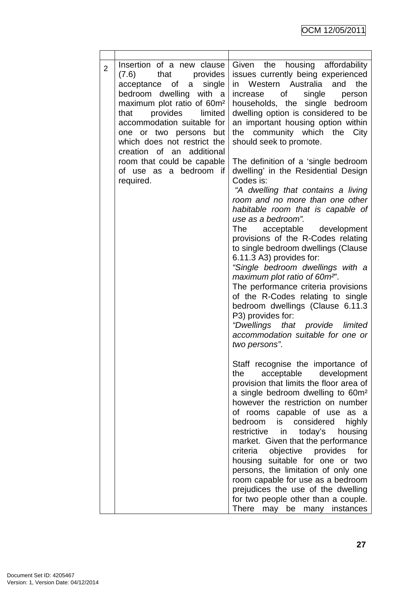| $\overline{2}$ | Insertion of a new clause<br>$(7.6)$ that<br>provides<br>acceptance of a single<br>bedroom dwelling with a<br>maximum plot ratio of 60m <sup>2</sup><br>provides limited<br>that<br>accommodation suitable for<br>one or two persons but<br>which does not restrict the<br>creation of an additional<br>room that could be capable<br>of use as a bedroom if<br>required. | Given the housing affordability<br>issues currently being experienced<br>in Western Australia and the<br>single<br>of<br>person<br>increase<br>households, the single bedroom<br>dwelling option is considered to be<br>an important housing option within<br>the community which the<br>City<br>should seek to promote.<br>The definition of a 'single bedroom<br>dwelling' in the Residential Design<br>Codes is:<br>"A dwelling that contains a living<br>room and no more than one other<br>habitable room that is capable of<br>use as a bedroom".<br>acceptable development<br>The<br>provisions of the R-Codes relating<br>to single bedroom dwellings (Clause<br>6.11.3 A3) provides for:<br>"Single bedroom dwellings with a<br>maximum plot ratio of 60m <sup>2"</sup> .<br>The performance criteria provisions<br>of the R-Codes relating to single<br>bedroom dwellings (Clause 6.11.3<br>P3) provides for:<br>"Dwellings that provide limited<br>accommodation suitable for one or |
|----------------|---------------------------------------------------------------------------------------------------------------------------------------------------------------------------------------------------------------------------------------------------------------------------------------------------------------------------------------------------------------------------|-------------------------------------------------------------------------------------------------------------------------------------------------------------------------------------------------------------------------------------------------------------------------------------------------------------------------------------------------------------------------------------------------------------------------------------------------------------------------------------------------------------------------------------------------------------------------------------------------------------------------------------------------------------------------------------------------------------------------------------------------------------------------------------------------------------------------------------------------------------------------------------------------------------------------------------------------------------------------------------------------|
|                |                                                                                                                                                                                                                                                                                                                                                                           | two persons".<br>Staff recognise the importance of<br>acceptable development<br>the<br>provision that limits the floor area of<br>a single bedroom dwelling to 60m <sup>2</sup><br>however the restriction on number<br>of rooms capable of use<br>as a<br>bedroom<br>is considered<br>highly<br>restrictive in<br>today's housing<br>market. Given that the performance<br>criteria objective provides<br>for<br>housing suitable for one or<br>two<br>persons, the limitation of only one<br>room capable for use as a bedroom<br>prejudices the use of the dwelling<br>for two people other than a couple.<br>There<br>may be<br>instances<br>many                                                                                                                                                                                                                                                                                                                                           |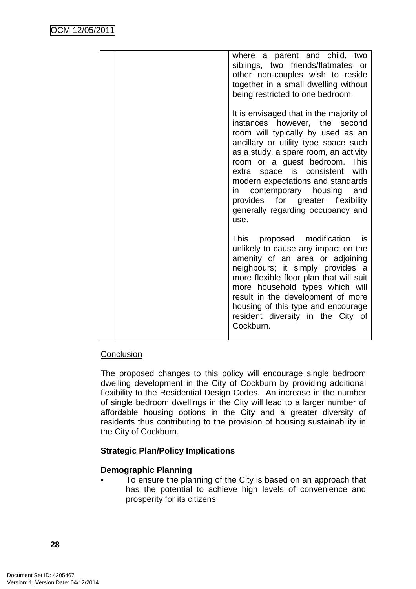| where a parent and child, two<br>siblings, two friends/flatmates or<br>other non-couples wish to reside<br>together in a small dwelling without<br>being restricted to one bedroom.                                                                                                                                                                                                                                          |
|------------------------------------------------------------------------------------------------------------------------------------------------------------------------------------------------------------------------------------------------------------------------------------------------------------------------------------------------------------------------------------------------------------------------------|
| It is envisaged that in the majority of<br>instances however, the second<br>room will typically by used as an<br>ancillary or utility type space such<br>as a study, a spare room, an activity<br>room or a guest bedroom. This<br>extra space is consistent with<br>modern expectations and standards<br>contemporary housing and<br>in in<br>provides for greater flexibility<br>generally regarding occupancy and<br>use. |
| This proposed modification<br>is.<br>unlikely to cause any impact on the<br>amenity of an area or adjoining<br>neighbours; it simply provides a<br>more flexible floor plan that will suit<br>more household types which will<br>result in the development of more<br>housing of this type and encourage<br>resident diversity in the City of<br>Cockburn.                                                                   |

# **Conclusion**

The proposed changes to this policy will encourage single bedroom dwelling development in the City of Cockburn by providing additional flexibility to the Residential Design Codes. An increase in the number of single bedroom dwellings in the City will lead to a larger number of affordable housing options in the City and a greater diversity of residents thus contributing to the provision of housing sustainability in the City of Cockburn.

# **Strategic Plan/Policy Implications**

# **Demographic Planning**

• To ensure the planning of the City is based on an approach that has the potential to achieve high levels of convenience and prosperity for its citizens.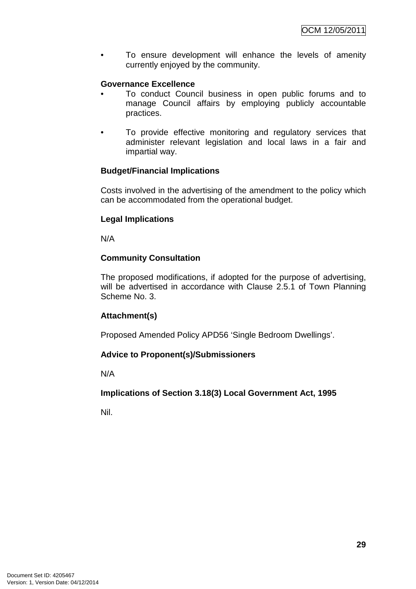To ensure development will enhance the levels of amenity currently enjoyed by the community.

# **Governance Excellence**

- To conduct Council business in open public forums and to manage Council affairs by employing publicly accountable practices.
- To provide effective monitoring and regulatory services that administer relevant legislation and local laws in a fair and impartial way.

# **Budget/Financial Implications**

Costs involved in the advertising of the amendment to the policy which can be accommodated from the operational budget.

## **Legal Implications**

N/A

# **Community Consultation**

The proposed modifications, if adopted for the purpose of advertising, will be advertised in accordance with Clause 2.5.1 of Town Planning Scheme No. 3.

# **Attachment(s)**

Proposed Amended Policy APD56 'Single Bedroom Dwellings'.

# **Advice to Proponent(s)/Submissioners**

N/A

# **Implications of Section 3.18(3) Local Government Act, 1995**

Nil.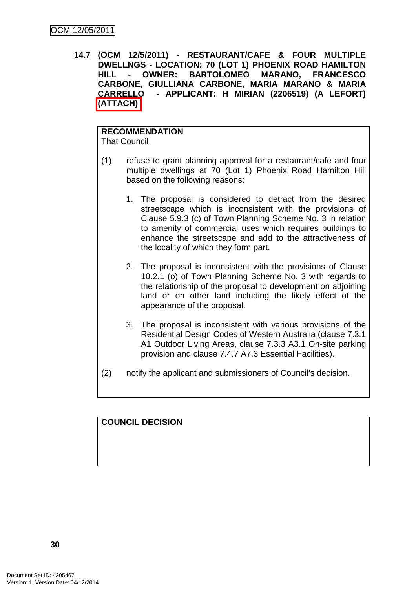**14.7 (OCM 12/5/2011) - RESTAURANT/CAFE & FOUR MULTIPLE DWELLNGS - LOCATION: 70 (LOT 1) PHOENIX ROAD HAMILTON HILL - OWNER: BARTOLOMEO MARANO, FRANCESCO CARBONE, GIULLIANA CARBONE, MARIA MARANO & MARIA CARRELLO - APPLICANT: H MIRIAN (2206519) (A LEFORT) (ATTACH)** 

# **RECOMMENDATION**

That Council

- (1) refuse to grant planning approval for a restaurant/cafe and four multiple dwellings at 70 (Lot 1) Phoenix Road Hamilton Hill based on the following reasons:
	- 1. The proposal is considered to detract from the desired streetscape which is inconsistent with the provisions of Clause 5.9.3 (c) of Town Planning Scheme No. 3 in relation to amenity of commercial uses which requires buildings to enhance the streetscape and add to the attractiveness of the locality of which they form part.
	- 2. The proposal is inconsistent with the provisions of Clause 10.2.1 (o) of Town Planning Scheme No. 3 with regards to the relationship of the proposal to development on adjoining land or on other land including the likely effect of the appearance of the proposal.
	- 3. The proposal is inconsistent with various provisions of the Residential Design Codes of Western Australia (clause 7.3.1 A1 Outdoor Living Areas, clause 7.3.3 A3.1 On-site parking provision and clause 7.4.7 A7.3 Essential Facilities).
- (2) notify the applicant and submissioners of Council's decision.

**COUNCIL DECISION**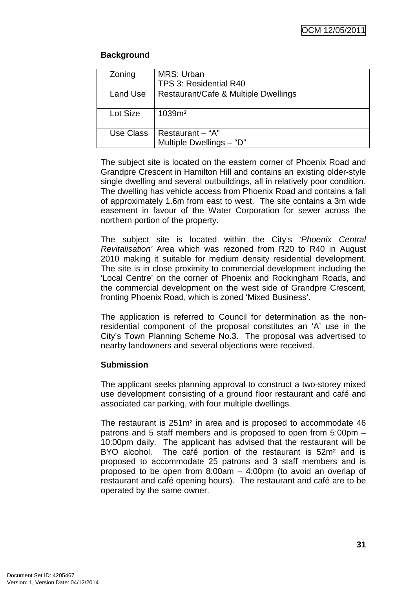# **Background**

| Zoning    | MRS: Urban<br>TPS 3: Residential R40         |
|-----------|----------------------------------------------|
| Land Use  | Restaurant/Cafe & Multiple Dwellings         |
| Lot Size  | 1039m <sup>2</sup>                           |
| Use Class | Restaurant - "A"<br>Multiple Dwellings - "D" |

The subject site is located on the eastern corner of Phoenix Road and Grandpre Crescent in Hamilton Hill and contains an existing older-style single dwelling and several outbuildings, all in relatively poor condition. The dwelling has vehicle access from Phoenix Road and contains a fall of approximately 1.6m from east to west. The site contains a 3m wide easement in favour of the Water Corporation for sewer across the northern portion of the property.

The subject site is located within the City's 'Phoenix Central Revitalisation' Area which was rezoned from R20 to R40 in August 2010 making it suitable for medium density residential development. The site is in close proximity to commercial development including the 'Local Centre' on the corner of Phoenix and Rockingham Roads, and the commercial development on the west side of Grandpre Crescent, fronting Phoenix Road, which is zoned 'Mixed Business'.

The application is referred to Council for determination as the nonresidential component of the proposal constitutes an 'A' use in the City's Town Planning Scheme No.3. The proposal was advertised to nearby landowners and several objections were received.

# **Submission**

The applicant seeks planning approval to construct a two-storey mixed use development consisting of a ground floor restaurant and café and associated car parking, with four multiple dwellings.

The restaurant is 251m² in area and is proposed to accommodate 46 patrons and 5 staff members and is proposed to open from 5:00pm – 10:00pm daily. The applicant has advised that the restaurant will be BYO alcohol. The café portion of the restaurant is 52m<sup>2</sup> and is proposed to accommodate 25 patrons and 3 staff members and is proposed to be open from 8:00am – 4:00pm (to avoid an overlap of restaurant and café opening hours). The restaurant and café are to be operated by the same owner.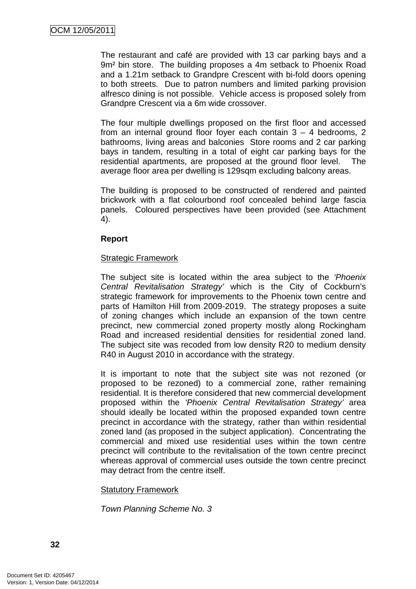The restaurant and café are provided with 13 car parking bays and a 9m² bin store. The building proposes a 4m setback to Phoenix Road and a 1.21m setback to Grandpre Crescent with bi-fold doors opening to both streets. Due to patron numbers and limited parking provision alfresco dining is not possible. Vehicle access is proposed solely from Grandpre Crescent via a 6m wide crossover.

The four multiple dwellings proposed on the first floor and accessed from an internal ground floor foyer each contain 3 – 4 bedrooms, 2 bathrooms, living areas and balconies Store rooms and 2 car parking bays in tandem, resulting in a total of eight car parking bays for the residential apartments, are proposed at the ground floor level. The average floor area per dwelling is 129sqm excluding balcony areas.

The building is proposed to be constructed of rendered and painted brickwork with a flat colourbond roof concealed behind large fascia panels. Coloured perspectives have been provided (see Attachment 4).

#### **Report**

#### Strategic Framework

The subject site is located within the area subject to the 'Phoenix Central Revitalisation Strategy' which is the City of Cockburn's strategic framework for improvements to the Phoenix town centre and parts of Hamilton Hill from 2009-2019. The strategy proposes a suite of zoning changes which include an expansion of the town centre precinct, new commercial zoned property mostly along Rockingham Road and increased residential densities for residential zoned land. The subject site was recoded from low density R20 to medium density R40 in August 2010 in accordance with the strategy.

It is important to note that the subject site was not rezoned (or proposed to be rezoned) to a commercial zone, rather remaining residential. It is therefore considered that new commercial development proposed within the 'Phoenix Central Revitalisation Strategy' area should ideally be located within the proposed expanded town centre precinct in accordance with the strategy, rather than within residential zoned land (as proposed in the subject application). Concentrating the commercial and mixed use residential uses within the town centre precinct will contribute to the revitalisation of the town centre precinct whereas approval of commercial uses outside the town centre precinct may detract from the centre itself.

#### Statutory Framework

Town Planning Scheme No. 3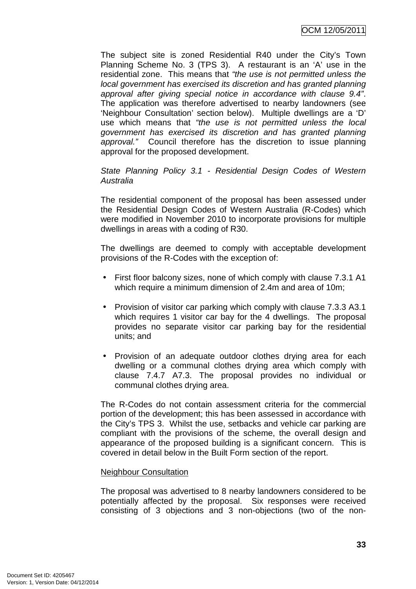The subject site is zoned Residential R40 under the City's Town Planning Scheme No. 3 (TPS 3). A restaurant is an 'A' use in the residential zone. This means that "the use is not permitted unless the local government has exercised its discretion and has granted planning approval after giving special notice in accordance with clause 9.4". The application was therefore advertised to nearby landowners (see 'Neighbour Consultation' section below). Multiple dwellings are a 'D' use which means that "the use is not permitted unless the local government has exercised its discretion and has granted planning approval." Council therefore has the discretion to issue planning approval for the proposed development.

# State Planning Policy 3.1 - Residential Design Codes of Western Australia

The residential component of the proposal has been assessed under the Residential Design Codes of Western Australia (R-Codes) which were modified in November 2010 to incorporate provisions for multiple dwellings in areas with a coding of R30.

The dwellings are deemed to comply with acceptable development provisions of the R-Codes with the exception of:

- First floor balcony sizes, none of which comply with clause 7.3.1 A1 which require a minimum dimension of 2.4m and area of 10m;
- Provision of visitor car parking which comply with clause 7.3.3 A3.1 which requires 1 visitor car bay for the 4 dwellings. The proposal provides no separate visitor car parking bay for the residential units; and
- Provision of an adequate outdoor clothes drying area for each dwelling or a communal clothes drying area which comply with clause 7.4.7 A7.3. The proposal provides no individual or communal clothes drying area.

The R-Codes do not contain assessment criteria for the commercial portion of the development; this has been assessed in accordance with the City's TPS 3. Whilst the use, setbacks and vehicle car parking are compliant with the provisions of the scheme, the overall design and appearance of the proposed building is a significant concern. This is covered in detail below in the Built Form section of the report.

## Neighbour Consultation

The proposal was advertised to 8 nearby landowners considered to be potentially affected by the proposal. Six responses were received consisting of 3 objections and 3 non-objections (two of the non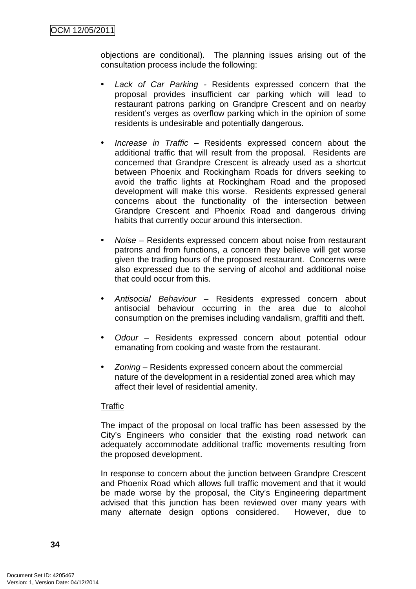objections are conditional). The planning issues arising out of the consultation process include the following:

- Lack of Car Parking Residents expressed concern that the proposal provides insufficient car parking which will lead to restaurant patrons parking on Grandpre Crescent and on nearby resident's verges as overflow parking which in the opinion of some residents is undesirable and potentially dangerous.
- Increase in Traffic Residents expressed concern about the additional traffic that will result from the proposal. Residents are concerned that Grandpre Crescent is already used as a shortcut between Phoenix and Rockingham Roads for drivers seeking to avoid the traffic lights at Rockingham Road and the proposed development will make this worse. Residents expressed general concerns about the functionality of the intersection between Grandpre Crescent and Phoenix Road and dangerous driving habits that currently occur around this intersection.
- Noise Residents expressed concern about noise from restaurant patrons and from functions, a concern they believe will get worse given the trading hours of the proposed restaurant. Concerns were also expressed due to the serving of alcohol and additional noise that could occur from this.
- Antisocial Behaviour Residents expressed concern about antisocial behaviour occurring in the area due to alcohol consumption on the premises including vandalism, graffiti and theft.
- Odour Residents expressed concern about potential odour emanating from cooking and waste from the restaurant.
- *Zoning* Residents expressed concern about the commercial nature of the development in a residential zoned area which may affect their level of residential amenity.

## **Traffic**

The impact of the proposal on local traffic has been assessed by the City's Engineers who consider that the existing road network can adequately accommodate additional traffic movements resulting from the proposed development.

In response to concern about the junction between Grandpre Crescent and Phoenix Road which allows full traffic movement and that it would be made worse by the proposal, the City's Engineering department advised that this junction has been reviewed over many years with many alternate design options considered. However, due to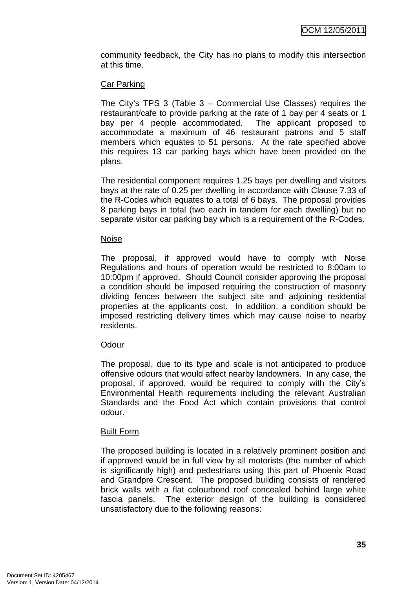community feedback, the City has no plans to modify this intersection at this time.

## Car Parking

The City's TPS 3 (Table 3 – Commercial Use Classes) requires the restaurant/cafe to provide parking at the rate of 1 bay per 4 seats or 1 bay per 4 people accommodated. The applicant proposed to accommodate a maximum of 46 restaurant patrons and 5 staff members which equates to 51 persons. At the rate specified above this requires 13 car parking bays which have been provided on the plans.

The residential component requires 1.25 bays per dwelling and visitors bays at the rate of 0.25 per dwelling in accordance with Clause 7.33 of the R-Codes which equates to a total of 6 bays. The proposal provides 8 parking bays in total (two each in tandem for each dwelling) but no separate visitor car parking bay which is a requirement of the R-Codes.

## Noise

The proposal, if approved would have to comply with Noise Regulations and hours of operation would be restricted to 8:00am to 10:00pm if approved. Should Council consider approving the proposal a condition should be imposed requiring the construction of masonry dividing fences between the subject site and adjoining residential properties at the applicants cost. In addition, a condition should be imposed restricting delivery times which may cause noise to nearby residents.

## **Odour**

The proposal, due to its type and scale is not anticipated to produce offensive odours that would affect nearby landowners. In any case, the proposal, if approved, would be required to comply with the City's Environmental Health requirements including the relevant Australian Standards and the Food Act which contain provisions that control odour.

## Built Form

The proposed building is located in a relatively prominent position and if approved would be in full view by all motorists (the number of which is significantly high) and pedestrians using this part of Phoenix Road and Grandpre Crescent. The proposed building consists of rendered brick walls with a flat colourbond roof concealed behind large white fascia panels. The exterior design of the building is considered unsatisfactory due to the following reasons: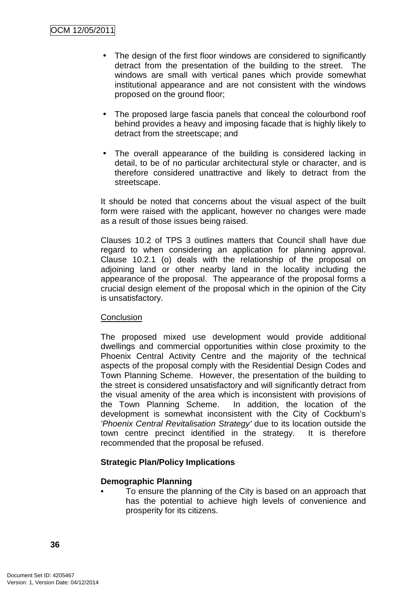- The design of the first floor windows are considered to significantly detract from the presentation of the building to the street. The windows are small with vertical panes which provide somewhat institutional appearance and are not consistent with the windows proposed on the ground floor;
- The proposed large fascia panels that conceal the colourbond roof behind provides a heavy and imposing facade that is highly likely to detract from the streetscape; and
- The overall appearance of the building is considered lacking in detail, to be of no particular architectural style or character, and is therefore considered unattractive and likely to detract from the streetscape.

It should be noted that concerns about the visual aspect of the built form were raised with the applicant, however no changes were made as a result of those issues being raised.

Clauses 10.2 of TPS 3 outlines matters that Council shall have due regard to when considering an application for planning approval. Clause 10.2.1 (o) deals with the relationship of the proposal on adjoining land or other nearby land in the locality including the appearance of the proposal. The appearance of the proposal forms a crucial design element of the proposal which in the opinion of the City is unsatisfactory.

## **Conclusion**

The proposed mixed use development would provide additional dwellings and commercial opportunities within close proximity to the Phoenix Central Activity Centre and the majority of the technical aspects of the proposal comply with the Residential Design Codes and Town Planning Scheme. However, the presentation of the building to the street is considered unsatisfactory and will significantly detract from the visual amenity of the area which is inconsistent with provisions of the Town Planning Scheme. In addition, the location of the development is somewhat inconsistent with the City of Cockburn's 'Phoenix Central Revitalisation Strategy' due to its location outside the town centre precinct identified in the strategy. It is therefore recommended that the proposal be refused.

# **Strategic Plan/Policy Implications**

## **Demographic Planning**

• To ensure the planning of the City is based on an approach that has the potential to achieve high levels of convenience and prosperity for its citizens.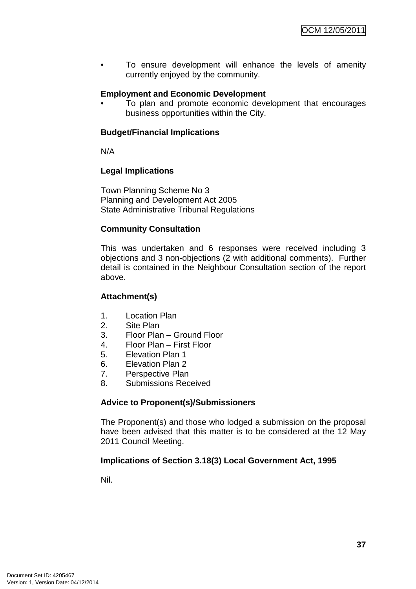• To ensure development will enhance the levels of amenity currently enjoyed by the community.

# **Employment and Economic Development**

• To plan and promote economic development that encourages business opportunities within the City.

## **Budget/Financial Implications**

N/A

## **Legal Implications**

Town Planning Scheme No 3 Planning and Development Act 2005 State Administrative Tribunal Regulations

# **Community Consultation**

This was undertaken and 6 responses were received including 3 objections and 3 non-objections (2 with additional comments). Further detail is contained in the Neighbour Consultation section of the report above.

## **Attachment(s)**

- 1. Location Plan
- 2. Site Plan
- 3. Floor Plan Ground Floor
- 4. Floor Plan First Floor
- 5. Elevation Plan 1
- 6. Elevation Plan 2
- 7. Perspective Plan
- 8. Submissions Received

## **Advice to Proponent(s)/Submissioners**

The Proponent(s) and those who lodged a submission on the proposal have been advised that this matter is to be considered at the 12 May 2011 Council Meeting.

## **Implications of Section 3.18(3) Local Government Act, 1995**

Nil.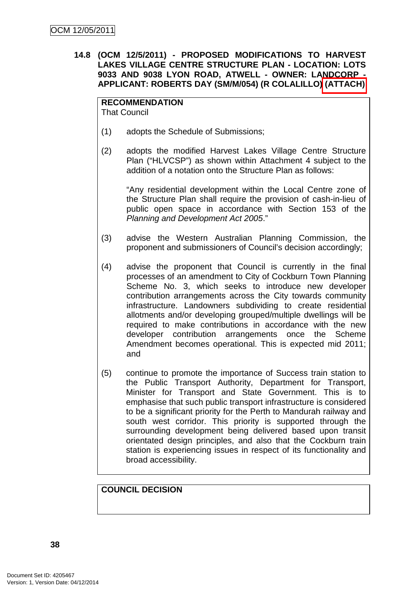**14.8 (OCM 12/5/2011) - PROPOSED MODIFICATIONS TO HARVEST LAKES VILLAGE CENTRE STRUCTURE PLAN - LOCATION: LOTS 9033 AND 9038 LYON ROAD, ATWELL - OWNER: LANDCORP - APPLICANT: ROBERTS DAY (SM/M/054) (R COLALILLO) (ATTACH)** 

#### **RECOMMENDATION**

That Council

- (1) adopts the Schedule of Submissions;
- (2) adopts the modified Harvest Lakes Village Centre Structure Plan ("HLVCSP") as shown within Attachment 4 subject to the addition of a notation onto the Structure Plan as follows:

"Any residential development within the Local Centre zone of the Structure Plan shall require the provision of cash-in-lieu of public open space in accordance with Section 153 of the Planning and Development Act 2005."

- (3) advise the Western Australian Planning Commission, the proponent and submissioners of Council's decision accordingly;
- (4) advise the proponent that Council is currently in the final processes of an amendment to City of Cockburn Town Planning Scheme No. 3, which seeks to introduce new developer contribution arrangements across the City towards community infrastructure. Landowners subdividing to create residential allotments and/or developing grouped/multiple dwellings will be required to make contributions in accordance with the new developer contribution arrangements once the Scheme Amendment becomes operational. This is expected mid 2011; and
- (5) continue to promote the importance of Success train station to the Public Transport Authority, Department for Transport, Minister for Transport and State Government. This is to emphasise that such public transport infrastructure is considered to be a significant priority for the Perth to Mandurah railway and south west corridor. This priority is supported through the surrounding development being delivered based upon transit orientated design principles, and also that the Cockburn train station is experiencing issues in respect of its functionality and broad accessibility.

## **COUNCIL DECISION**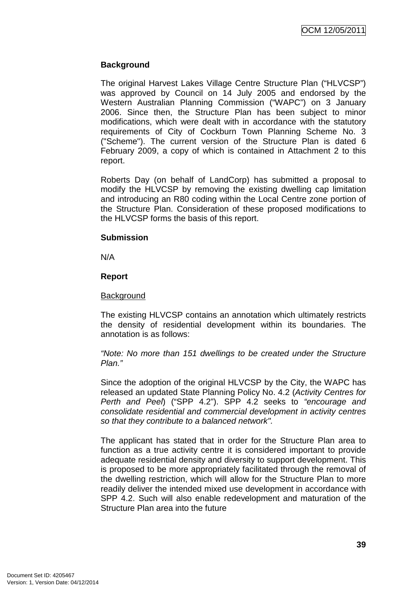## **Background**

The original Harvest Lakes Village Centre Structure Plan ("HLVCSP") was approved by Council on 14 July 2005 and endorsed by the Western Australian Planning Commission ("WAPC") on 3 January 2006. Since then, the Structure Plan has been subject to minor modifications, which were dealt with in accordance with the statutory requirements of City of Cockburn Town Planning Scheme No. 3 ("Scheme"). The current version of the Structure Plan is dated 6 February 2009, a copy of which is contained in Attachment 2 to this report.

Roberts Day (on behalf of LandCorp) has submitted a proposal to modify the HLVCSP by removing the existing dwelling cap limitation and introducing an R80 coding within the Local Centre zone portion of the Structure Plan. Consideration of these proposed modifications to the HLVCSP forms the basis of this report.

#### **Submission**

N/A

## **Report**

#### **Background**

The existing HLVCSP contains an annotation which ultimately restricts the density of residential development within its boundaries. The annotation is as follows:

"Note: No more than 151 dwellings to be created under the Structure Plan."

Since the adoption of the original HLVCSP by the City, the WAPC has released an updated State Planning Policy No. 4.2 (Activity Centres for Perth and Peel) ("SPP 4.2"). SPP 4.2 seeks to "encourage and consolidate residential and commercial development in activity centres so that they contribute to a balanced network".

The applicant has stated that in order for the Structure Plan area to function as a true activity centre it is considered important to provide adequate residential density and diversity to support development. This is proposed to be more appropriately facilitated through the removal of the dwelling restriction, which will allow for the Structure Plan to more readily deliver the intended mixed use development in accordance with SPP 4.2. Such will also enable redevelopment and maturation of the Structure Plan area into the future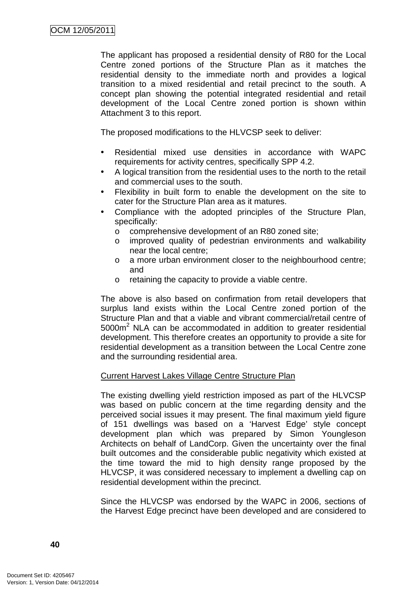The applicant has proposed a residential density of R80 for the Local Centre zoned portions of the Structure Plan as it matches the residential density to the immediate north and provides a logical transition to a mixed residential and retail precinct to the south. A concept plan showing the potential integrated residential and retail development of the Local Centre zoned portion is shown within Attachment 3 to this report.

The proposed modifications to the HLVCSP seek to deliver:

- Residential mixed use densities in accordance with WAPC requirements for activity centres, specifically SPP 4.2.
- A logical transition from the residential uses to the north to the retail and commercial uses to the south.
- Flexibility in built form to enable the development on the site to cater for the Structure Plan area as it matures.
- Compliance with the adopted principles of the Structure Plan, specifically:
	- o comprehensive development of an R80 zoned site;
	- o improved quality of pedestrian environments and walkability near the local centre;
	- o a more urban environment closer to the neighbourhood centre; and
	- o retaining the capacity to provide a viable centre.

The above is also based on confirmation from retail developers that surplus land exists within the Local Centre zoned portion of the Structure Plan and that a viable and vibrant commercial/retail centre of  $5000m<sup>2</sup>$  NLA can be accommodated in addition to greater residential development. This therefore creates an opportunity to provide a site for residential development as a transition between the Local Centre zone and the surrounding residential area.

## Current Harvest Lakes Village Centre Structure Plan

The existing dwelling yield restriction imposed as part of the HLVCSP was based on public concern at the time regarding density and the perceived social issues it may present. The final maximum yield figure of 151 dwellings was based on a 'Harvest Edge' style concept development plan which was prepared by Simon Youngleson Architects on behalf of LandCorp. Given the uncertainty over the final built outcomes and the considerable public negativity which existed at the time toward the mid to high density range proposed by the HLVCSP, it was considered necessary to implement a dwelling cap on residential development within the precinct.

Since the HLVCSP was endorsed by the WAPC in 2006, sections of the Harvest Edge precinct have been developed and are considered to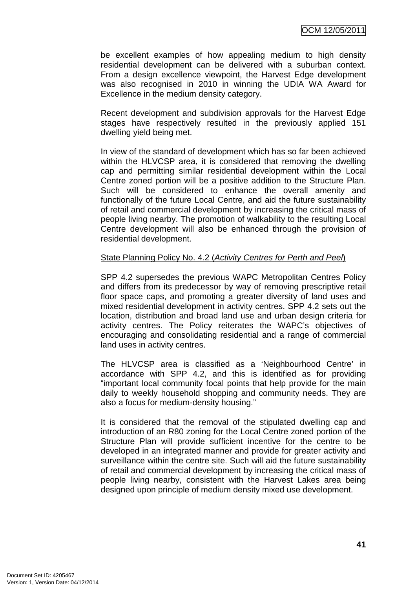be excellent examples of how appealing medium to high density residential development can be delivered with a suburban context. From a design excellence viewpoint, the Harvest Edge development was also recognised in 2010 in winning the UDIA WA Award for Excellence in the medium density category.

Recent development and subdivision approvals for the Harvest Edge stages have respectively resulted in the previously applied 151 dwelling yield being met.

In view of the standard of development which has so far been achieved within the HLVCSP area, it is considered that removing the dwelling cap and permitting similar residential development within the Local Centre zoned portion will be a positive addition to the Structure Plan. Such will be considered to enhance the overall amenity and functionally of the future Local Centre, and aid the future sustainability of retail and commercial development by increasing the critical mass of people living nearby. The promotion of walkability to the resulting Local Centre development will also be enhanced through the provision of residential development.

## State Planning Policy No. 4.2 (Activity Centres for Perth and Peel)

SPP 4.2 supersedes the previous WAPC Metropolitan Centres Policy and differs from its predecessor by way of removing prescriptive retail floor space caps, and promoting a greater diversity of land uses and mixed residential development in activity centres. SPP 4.2 sets out the location, distribution and broad land use and urban design criteria for activity centres. The Policy reiterates the WAPC's objectives of encouraging and consolidating residential and a range of commercial land uses in activity centres.

The HLVCSP area is classified as a 'Neighbourhood Centre' in accordance with SPP 4.2, and this is identified as for providing "important local community focal points that help provide for the main daily to weekly household shopping and community needs. They are also a focus for medium-density housing."

It is considered that the removal of the stipulated dwelling cap and introduction of an R80 zoning for the Local Centre zoned portion of the Structure Plan will provide sufficient incentive for the centre to be developed in an integrated manner and provide for greater activity and surveillance within the centre site. Such will aid the future sustainability of retail and commercial development by increasing the critical mass of people living nearby, consistent with the Harvest Lakes area being designed upon principle of medium density mixed use development.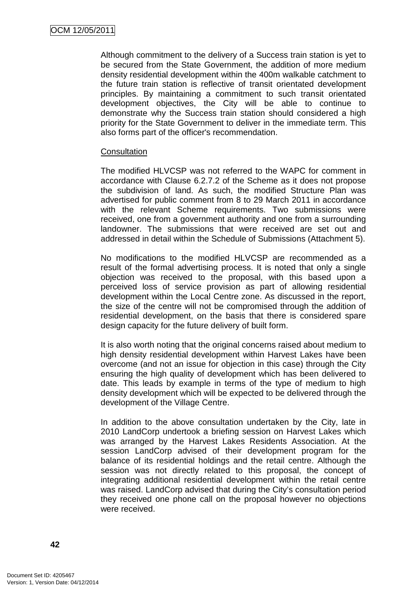Although commitment to the delivery of a Success train station is yet to be secured from the State Government, the addition of more medium density residential development within the 400m walkable catchment to the future train station is reflective of transit orientated development principles. By maintaining a commitment to such transit orientated development objectives, the City will be able to continue to demonstrate why the Success train station should considered a high priority for the State Government to deliver in the immediate term. This also forms part of the officer's recommendation.

#### **Consultation**

The modified HLVCSP was not referred to the WAPC for comment in accordance with Clause 6.2.7.2 of the Scheme as it does not propose the subdivision of land. As such, the modified Structure Plan was advertised for public comment from 8 to 29 March 2011 in accordance with the relevant Scheme requirements. Two submissions were received, one from a government authority and one from a surrounding landowner. The submissions that were received are set out and addressed in detail within the Schedule of Submissions (Attachment 5).

No modifications to the modified HLVCSP are recommended as a result of the formal advertising process. It is noted that only a single objection was received to the proposal, with this based upon a perceived loss of service provision as part of allowing residential development within the Local Centre zone. As discussed in the report, the size of the centre will not be compromised through the addition of residential development, on the basis that there is considered spare design capacity for the future delivery of built form.

It is also worth noting that the original concerns raised about medium to high density residential development within Harvest Lakes have been overcome (and not an issue for objection in this case) through the City ensuring the high quality of development which has been delivered to date. This leads by example in terms of the type of medium to high density development which will be expected to be delivered through the development of the Village Centre.

In addition to the above consultation undertaken by the City, late in 2010 LandCorp undertook a briefing session on Harvest Lakes which was arranged by the Harvest Lakes Residents Association. At the session LandCorp advised of their development program for the balance of its residential holdings and the retail centre. Although the session was not directly related to this proposal, the concept of integrating additional residential development within the retail centre was raised. LandCorp advised that during the City's consultation period they received one phone call on the proposal however no objections were received.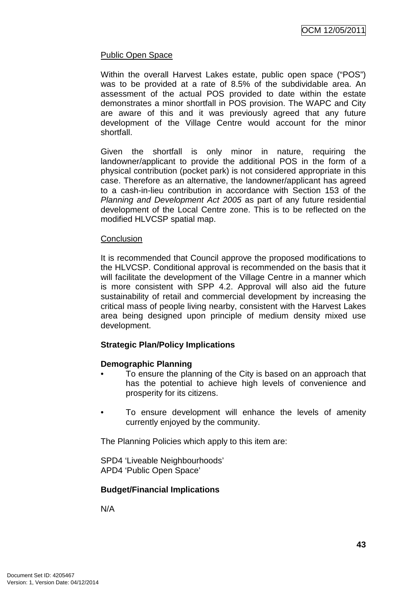# Public Open Space

Within the overall Harvest Lakes estate, public open space ("POS") was to be provided at a rate of 8.5% of the subdividable area. An assessment of the actual POS provided to date within the estate demonstrates a minor shortfall in POS provision. The WAPC and City are aware of this and it was previously agreed that any future development of the Village Centre would account for the minor shortfall.

Given the shortfall is only minor in nature, requiring the landowner/applicant to provide the additional POS in the form of a physical contribution (pocket park) is not considered appropriate in this case. Therefore as an alternative, the landowner/applicant has agreed to a cash-in-lieu contribution in accordance with Section 153 of the Planning and Development Act 2005 as part of any future residential development of the Local Centre zone. This is to be reflected on the modified HLVCSP spatial map.

## **Conclusion**

It is recommended that Council approve the proposed modifications to the HLVCSP. Conditional approval is recommended on the basis that it will facilitate the development of the Village Centre in a manner which is more consistent with SPP 4.2. Approval will also aid the future sustainability of retail and commercial development by increasing the critical mass of people living nearby, consistent with the Harvest Lakes area being designed upon principle of medium density mixed use development.

## **Strategic Plan/Policy Implications**

## **Demographic Planning**

- To ensure the planning of the City is based on an approach that has the potential to achieve high levels of convenience and prosperity for its citizens.
- To ensure development will enhance the levels of amenity currently enjoyed by the community.

The Planning Policies which apply to this item are:

SPD4 'Liveable Neighbourhoods' APD4 'Public Open Space'

## **Budget/Financial Implications**

N/A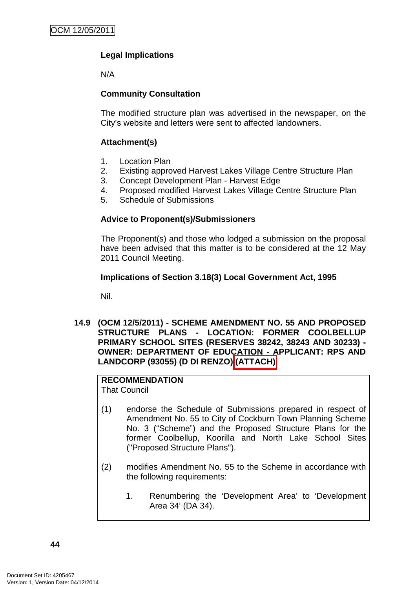# **Legal Implications**

N/A

# **Community Consultation**

The modified structure plan was advertised in the newspaper, on the City's website and letters were sent to affected landowners.

# **Attachment(s)**

- 1. Location Plan
- 2. Existing approved Harvest Lakes Village Centre Structure Plan
- 3. Concept Development Plan Harvest Edge
- 4. Proposed modified Harvest Lakes Village Centre Structure Plan
- 5. Schedule of Submissions

# **Advice to Proponent(s)/Submissioners**

The Proponent(s) and those who lodged a submission on the proposal have been advised that this matter is to be considered at the 12 May 2011 Council Meeting.

# **Implications of Section 3.18(3) Local Government Act, 1995**

Nil.

**14.9 (OCM 12/5/2011) - SCHEME AMENDMENT NO. 55 AND PROPOSED STRUCTURE PLANS - LOCATION: FORMER COOLBELLUP PRIMARY SCHOOL SITES (RESERVES 38242, 38243 AND 30233) - OWNER: DEPARTMENT OF EDUCATION - APPLICANT: RPS AND LANDCORP (93055) (D DI RENZO) (ATTACH)** 

# **RECOMMENDATION**

That Council

- (1) endorse the Schedule of Submissions prepared in respect of Amendment No. 55 to City of Cockburn Town Planning Scheme No. 3 ("Scheme") and the Proposed Structure Plans for the former Coolbellup, Koorilla and North Lake School Sites ("Proposed Structure Plans").
- (2) modifies Amendment No. 55 to the Scheme in accordance with the following requirements:
	- 1. Renumbering the 'Development Area' to 'Development Area 34' (DA 34).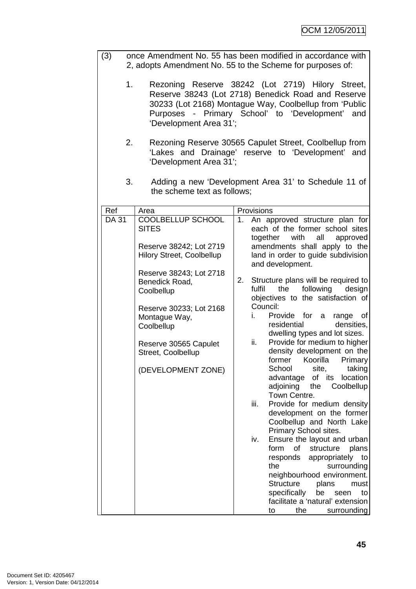| (3)          | once Amendment No. 55 has been modified in accordance with<br>2, adopts Amendment No. 55 to the Scheme for purposes of: |                                                                             |             |                |                                                                                                                                                                         |
|--------------|-------------------------------------------------------------------------------------------------------------------------|-----------------------------------------------------------------------------|-------------|----------------|-------------------------------------------------------------------------------------------------------------------------------------------------------------------------|
|              | 1.                                                                                                                      | Purposes - Primary School' to 'Development'<br>'Development Area 31';       |             |                | Rezoning Reserve 38242 (Lot 2719) Hilory Street,<br>Reserve 38243 (Lot 2718) Benedick Road and Reserve<br>30233 (Lot 2168) Montague Way, Coolbellup from 'Public<br>and |
|              | 2.                                                                                                                      | 'Development Area 31';                                                      |             |                | Rezoning Reserve 30565 Capulet Street, Coolbellup from<br>'Lakes and Drainage' reserve to 'Development' and                                                             |
|              | 3.                                                                                                                      | the scheme text as follows;                                                 |             |                | Adding a new 'Development Area 31' to Schedule 11 of                                                                                                                    |
| Ref          |                                                                                                                         | Area                                                                        |             | Provisions     |                                                                                                                                                                         |
| <b>DA 31</b> |                                                                                                                         | COOLBELLUP SCHOOL                                                           | $1_{\cdot}$ |                | An approved structure plan for                                                                                                                                          |
|              |                                                                                                                         | <b>SITES</b><br>Reserve 38242; Lot 2719<br><b>Hilory Street, Coolbellup</b> |             | together       | each of the former school sites<br>with<br>all<br>approved<br>amendments shall apply to the<br>land in order to guide subdivision                                       |
|              |                                                                                                                         |                                                                             |             |                | and development.                                                                                                                                                        |
|              |                                                                                                                         | Reserve 38243; Lot 2718<br>Benedick Road,<br>Coolbellup                     | 2.          | fulfil         | Structure plans will be required to<br>following<br>the<br>design<br>objectives to the satisfaction of                                                                  |
|              |                                                                                                                         | Reserve 30233; Lot 2168<br>Montague Way,<br>Coolbellup                      |             | Council:<br>i. | Provide for a<br>range of<br>residential<br>densities,<br>dwelling types and lot sizes.                                                                                 |
|              |                                                                                                                         | Reserve 30565 Capulet<br>Street, Coolbellup                                 |             | ii.            | Provide for medium to higher<br>density development on the<br>former Koorilla Primary                                                                                   |
|              |                                                                                                                         | (DEVELOPMENT ZONE)                                                          |             |                | School<br>site,<br>taking<br>advantage<br>of its<br>location<br>adjoining<br>the<br>Coolbellup                                                                          |
|              |                                                                                                                         |                                                                             |             | iii.           | Town Centre.<br>Provide for medium density<br>development on the former<br>Coolbellup and North Lake                                                                    |
|              |                                                                                                                         |                                                                             |             |                | Primary School sites.                                                                                                                                                   |
|              |                                                                                                                         |                                                                             |             | iv.            | Ensure the layout and urban<br>form<br>of<br>structure<br>plans                                                                                                         |
|              |                                                                                                                         |                                                                             |             |                | responds<br>appropriately<br>to                                                                                                                                         |
|              |                                                                                                                         |                                                                             |             |                | the<br>surrounding                                                                                                                                                      |
|              |                                                                                                                         |                                                                             |             |                | neighbourhood environment.<br><b>Structure</b><br>plans<br>must                                                                                                         |
|              |                                                                                                                         |                                                                             |             |                | specifically<br>be<br>seen<br>to                                                                                                                                        |
|              |                                                                                                                         |                                                                             |             |                | facilitate a 'natural' extension                                                                                                                                        |
|              |                                                                                                                         |                                                                             |             |                | the<br>surrounding<br>to                                                                                                                                                |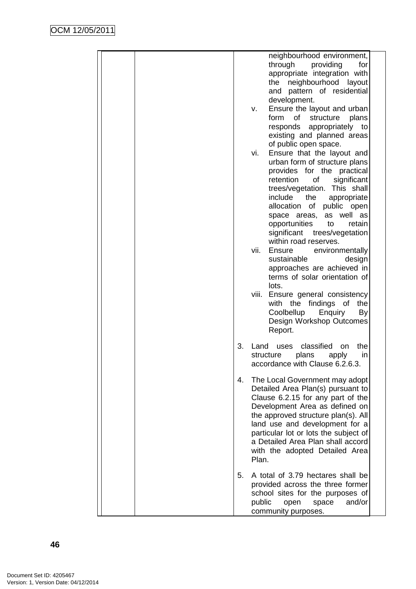|  |    | neighbourhood environment,<br>through providing<br>for<br>appropriate integration with<br>neighbourhood layout<br>the<br>and pattern of residential<br>development.<br>Ensure the layout and urban<br>v.<br>form<br>of<br>structure<br>plans<br>responds appropriately to<br>existing and planned areas                                                                                                                                                                                                                                                                                                                                                       |
|--|----|---------------------------------------------------------------------------------------------------------------------------------------------------------------------------------------------------------------------------------------------------------------------------------------------------------------------------------------------------------------------------------------------------------------------------------------------------------------------------------------------------------------------------------------------------------------------------------------------------------------------------------------------------------------|
|  |    | of public open space.<br>Ensure that the layout and<br>vi.<br>urban form of structure plans<br>provides for the practical<br>retention<br>of<br>significant<br>trees/vegetation. This shall<br>include<br>the<br>appropriate<br>allocation of public open<br>space areas,<br>as well as<br>opportunities<br>to<br>retain<br>significant trees/vegetation<br>within road reserves.<br>vii.<br>Ensure<br>environmentally<br>sustainable<br>design<br>approaches are achieved in<br>terms of solar orientation of<br>lots.<br>Ensure general consistency<br>viii.<br>with the findings of the<br>Coolbellup Enquiry<br>By<br>Design Workshop Outcomes<br>Report. |
|  | 3. | uses classified<br>Land<br>the<br><b>on</b><br>structure<br>plans<br>apply<br>in<br>accordance with Clause 6.2.6.3.                                                                                                                                                                                                                                                                                                                                                                                                                                                                                                                                           |
|  | 4. | The Local Government may adopt<br>Detailed Area Plan(s) pursuant to<br>Clause 6.2.15 for any part of the<br>Development Area as defined on<br>the approved structure plan(s). All<br>land use and development for a<br>particular lot or lots the subject of<br>a Detailed Area Plan shall accord<br>with the adopted Detailed Area<br>Plan.                                                                                                                                                                                                                                                                                                                  |
|  | 5. | A total of 3.79 hectares shall be<br>provided across the three former<br>school sites for the purposes of<br>public<br>and/or<br>open<br>space<br>community purposes.                                                                                                                                                                                                                                                                                                                                                                                                                                                                                         |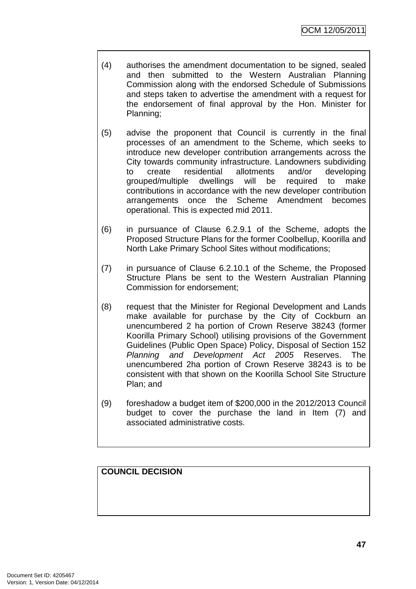- (4) authorises the amendment documentation to be signed, sealed and then submitted to the Western Australian Planning Commission along with the endorsed Schedule of Submissions and steps taken to advertise the amendment with a request for the endorsement of final approval by the Hon. Minister for Planning;
- (5) advise the proponent that Council is currently in the final processes of an amendment to the Scheme, which seeks to introduce new developer contribution arrangements across the City towards community infrastructure. Landowners subdividing to create residential allotments and/or developing grouped/multiple dwellings will be required to make contributions in accordance with the new developer contribution arrangements once the Scheme Amendment becomes operational. This is expected mid 2011.
- (6) in pursuance of Clause 6.2.9.1 of the Scheme, adopts the Proposed Structure Plans for the former Coolbellup, Koorilla and North Lake Primary School Sites without modifications;
- (7) in pursuance of Clause 6.2.10.1 of the Scheme, the Proposed Structure Plans be sent to the Western Australian Planning Commission for endorsement;
- (8) request that the Minister for Regional Development and Lands make available for purchase by the City of Cockburn an unencumbered 2 ha portion of Crown Reserve 38243 (former Koorilla Primary School) utilising provisions of the Government Guidelines (Public Open Space) Policy, Disposal of Section 152 Planning and Development Act 2005 Reserves. The unencumbered 2ha portion of Crown Reserve 38243 is to be consistent with that shown on the Koorilla School Site Structure Plan; and
- (9) foreshadow a budget item of \$200,000 in the 2012/2013 Council budget to cover the purchase the land in Item (7) and associated administrative costs.

# **COUNCIL DECISION**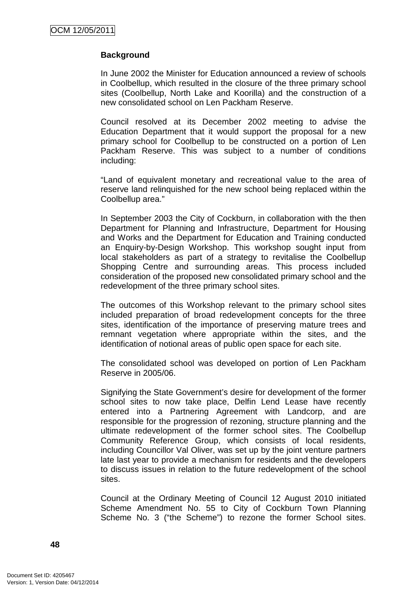# **Background**

In June 2002 the Minister for Education announced a review of schools in Coolbellup, which resulted in the closure of the three primary school sites (Coolbellup, North Lake and Koorilla) and the construction of a new consolidated school on Len Packham Reserve.

Council resolved at its December 2002 meeting to advise the Education Department that it would support the proposal for a new primary school for Coolbellup to be constructed on a portion of Len Packham Reserve. This was subject to a number of conditions including:

"Land of equivalent monetary and recreational value to the area of reserve land relinquished for the new school being replaced within the Coolbellup area."

In September 2003 the City of Cockburn, in collaboration with the then Department for Planning and Infrastructure, Department for Housing and Works and the Department for Education and Training conducted an Enquiry-by-Design Workshop. This workshop sought input from local stakeholders as part of a strategy to revitalise the Coolbellup Shopping Centre and surrounding areas. This process included consideration of the proposed new consolidated primary school and the redevelopment of the three primary school sites.

The outcomes of this Workshop relevant to the primary school sites included preparation of broad redevelopment concepts for the three sites, identification of the importance of preserving mature trees and remnant vegetation where appropriate within the sites, and the identification of notional areas of public open space for each site.

The consolidated school was developed on portion of Len Packham Reserve in 2005/06.

Signifying the State Government's desire for development of the former school sites to now take place, Delfin Lend Lease have recently entered into a Partnering Agreement with Landcorp, and are responsible for the progression of rezoning, structure planning and the ultimate redevelopment of the former school sites. The Coolbellup Community Reference Group, which consists of local residents, including Councillor Val Oliver, was set up by the joint venture partners late last year to provide a mechanism for residents and the developers to discuss issues in relation to the future redevelopment of the school sites.

Council at the Ordinary Meeting of Council 12 August 2010 initiated Scheme Amendment No. 55 to City of Cockburn Town Planning Scheme No. 3 ("the Scheme") to rezone the former School sites.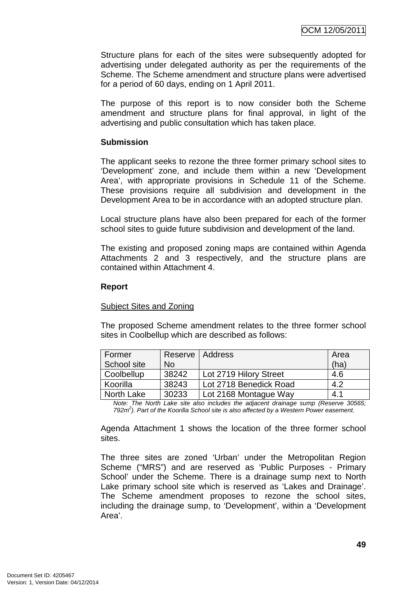Structure plans for each of the sites were subsequently adopted for advertising under delegated authority as per the requirements of the Scheme. The Scheme amendment and structure plans were advertised for a period of 60 days, ending on 1 April 2011.

The purpose of this report is to now consider both the Scheme amendment and structure plans for final approval, in light of the advertising and public consultation which has taken place.

## **Submission**

The applicant seeks to rezone the three former primary school sites to 'Development' zone, and include them within a new 'Development Area', with appropriate provisions in Schedule 11 of the Scheme. These provisions require all subdivision and development in the Development Area to be in accordance with an adopted structure plan.

Local structure plans have also been prepared for each of the former school sites to guide future subdivision and development of the land.

The existing and proposed zoning maps are contained within Agenda Attachments 2 and 3 respectively, and the structure plans are contained within Attachment 4.

## **Report**

## Subject Sites and Zoning

The proposed Scheme amendment relates to the three former school sites in Coolbellup which are described as follows:

| Former      | Reserve   Address |                        | Area |
|-------------|-------------------|------------------------|------|
| School site | <b>No</b>         |                        | (ha) |
| Coolbellup  | 38242             | Lot 2719 Hilory Street | 4.6  |
| Koorilla    | 38243             | Lot 2718 Benedick Road | 4.2  |
| North Lake  | 30233             | Lot 2168 Montague Way  | 4.1  |

Note: The North Lake site also includes the adjacent drainage sump (Reserve 30565; 792 $m<sup>2</sup>$ ). Part of the Koorilla School site is also affected by a Western Power easement.

Agenda Attachment 1 shows the location of the three former school sites.

The three sites are zoned 'Urban' under the Metropolitan Region Scheme ("MRS") and are reserved as 'Public Purposes - Primary School' under the Scheme. There is a drainage sump next to North Lake primary school site which is reserved as 'Lakes and Drainage'. The Scheme amendment proposes to rezone the school sites, including the drainage sump, to 'Development', within a 'Development Area'.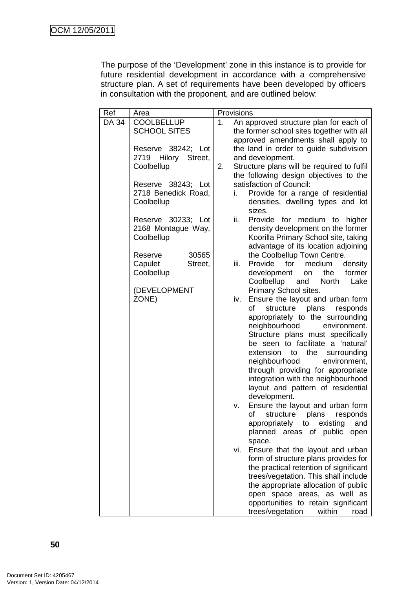The purpose of the 'Development' zone in this instance is to provide for future residential development in accordance with a comprehensive structure plan. A set of requirements have been developed by officers in consultation with the proponent, and are outlined below:

| Ref   | Area                   |    | Provisions |                                                                              |
|-------|------------------------|----|------------|------------------------------------------------------------------------------|
| DA 34 | <b>COOLBELLUP</b>      | 1. |            | An approved structure plan for each of                                       |
|       | <b>SCHOOL SITES</b>    |    |            | the former school sites together with all                                    |
|       |                        |    |            | approved amendments shall apply to                                           |
|       | Reserve 38242; Lot     |    |            | the land in order to guide subdivision                                       |
|       | 2719<br>Hilory Street, |    |            | and development.                                                             |
|       | Coolbellup             | 2. |            | Structure plans will be required to fulfil                                   |
|       |                        |    |            | the following design objectives to the                                       |
|       | Reserve 38243; Lot     |    |            | satisfaction of Council:                                                     |
|       | 2718 Benedick Road,    |    | i.         | Provide for a range of residential                                           |
|       | Coolbellup             |    |            | densities, dwelling types and lot<br>sizes.                                  |
|       | Reserve 30233; Lot     |    | ii.        | Provide for medium to<br>higher                                              |
|       | 2168 Montague Way,     |    |            | density development on the former                                            |
|       | Coolbellup             |    |            | Koorilla Primary School site, taking                                         |
|       |                        |    |            | advantage of its location adjoining                                          |
|       | Reserve<br>30565       |    |            | the Coolbellup Town Centre.                                                  |
|       | Capulet<br>Street,     |    | iii.       | Provide<br>for<br>medium<br>density                                          |
|       | Coolbellup             |    |            | the<br>former<br>development<br>on<br>Coolbellup and<br><b>North</b><br>Lake |
|       | (DEVELOPMENT           |    |            | Primary School sites.                                                        |
|       | ZONE)                  |    | iv.        | Ensure the layout and urban form                                             |
|       |                        |    |            | of<br>plans<br>structure<br>responds                                         |
|       |                        |    |            | appropriately to the surrounding                                             |
|       |                        |    |            | neighbourhood<br>environment.                                                |
|       |                        |    |            | Structure plans must specifically                                            |
|       |                        |    |            | be seen to facilitate a 'natural'                                            |
|       |                        |    |            | extension to<br>the<br>surrounding                                           |
|       |                        |    |            | neighbourhood<br>environment,                                                |
|       |                        |    |            | through providing for appropriate                                            |
|       |                        |    |            | integration with the neighbourhood                                           |
|       |                        |    |            | layout and pattern of residential                                            |
|       |                        |    |            | development.                                                                 |
|       |                        |    | v.         | Ensure the layout and urban form<br>of<br>structure<br>plans<br>responds     |
|       |                        |    |            | appropriately to<br>existing<br>and                                          |
|       |                        |    |            | planned<br>areas of public<br>open                                           |
|       |                        |    |            | space.                                                                       |
|       |                        |    | vi.        | Ensure that the layout and urban                                             |
|       |                        |    |            | form of structure plans provides for                                         |
|       |                        |    |            | the practical retention of significant                                       |
|       |                        |    |            | trees/vegetation. This shall include                                         |
|       |                        |    |            | the appropriate allocation of public                                         |
|       |                        |    |            | open space areas, as well as                                                 |
|       |                        |    |            | opportunities to retain significant                                          |
|       |                        |    |            | trees/vegetation<br>within<br>road                                           |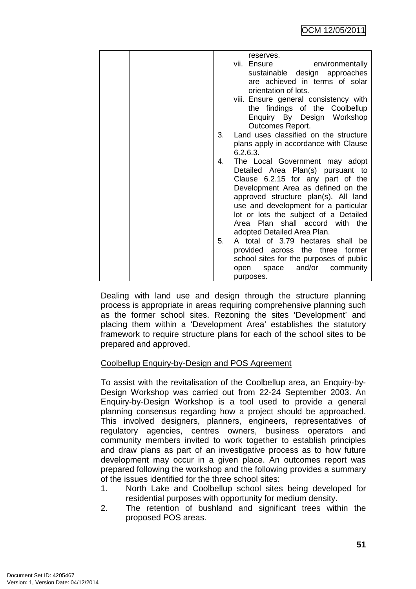| reserves.                                   |
|---------------------------------------------|
| vii. Ensure<br>environmentally              |
| sustainable design approaches               |
| are achieved in terms of solar              |
| orientation of lots.                        |
| viii. Ensure general consistency with       |
| the findings of the Coolbellup              |
|                                             |
| Enquiry By Design Workshop                  |
| <b>Outcomes Report.</b>                     |
| Land uses classified on the structure<br>3. |
| plans apply in accordance with Clause       |
| 6.2.6.3.                                    |
| 4.<br>The Local Government may adopt        |
| Detailed Area Plan(s) pursuant to           |
| Clause 6.2.15 for any part of the           |
| Development Area as defined on the          |
| approved structure plan(s). All land        |
| use and development for a particular        |
| lot or lots the subject of a Detailed       |
| Area Plan shall accord with the             |
| adopted Detailed Area Plan.                 |
| 5.<br>A total of 3.79 hectares shall be     |
| provided across the three former            |
|                                             |
| school sites for the purposes of public     |
| and/or community<br>open space              |
| purposes.                                   |

Dealing with land use and design through the structure planning process is appropriate in areas requiring comprehensive planning such as the former school sites. Rezoning the sites 'Development' and placing them within a 'Development Area' establishes the statutory framework to require structure plans for each of the school sites to be prepared and approved.

# Coolbellup Enquiry-by-Design and POS Agreement

To assist with the revitalisation of the Coolbellup area, an Enquiry-by-Design Workshop was carried out from 22-24 September 2003. An Enquiry-by-Design Workshop is a tool used to provide a general planning consensus regarding how a project should be approached. This involved designers, planners, engineers, representatives of regulatory agencies, centres owners, business operators and community members invited to work together to establish principles and draw plans as part of an investigative process as to how future development may occur in a given place. An outcomes report was prepared following the workshop and the following provides a summary of the issues identified for the three school sites:

- 1. North Lake and Coolbellup school sites being developed for residential purposes with opportunity for medium density.
- 2. The retention of bushland and significant trees within the proposed POS areas.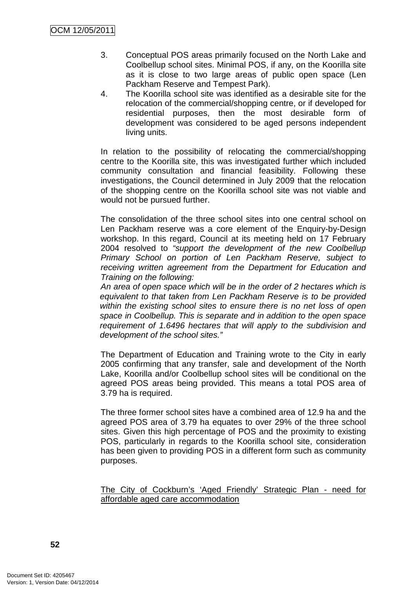- 3. Conceptual POS areas primarily focused on the North Lake and Coolbellup school sites. Minimal POS, if any, on the Koorilla site as it is close to two large areas of public open space (Len Packham Reserve and Tempest Park).
- 4. The Koorilla school site was identified as a desirable site for the relocation of the commercial/shopping centre, or if developed for residential purposes, then the most desirable form of development was considered to be aged persons independent living units.

In relation to the possibility of relocating the commercial/shopping centre to the Koorilla site, this was investigated further which included community consultation and financial feasibility. Following these investigations, the Council determined in July 2009 that the relocation of the shopping centre on the Koorilla school site was not viable and would not be pursued further.

The consolidation of the three school sites into one central school on Len Packham reserve was a core element of the Enquiry-by-Design workshop. In this regard, Council at its meeting held on 17 February 2004 resolved to "support the development of the new Coolbellup Primary School on portion of Len Packham Reserve, subject to receiving written agreement from the Department for Education and Training on the following:

An area of open space which will be in the order of 2 hectares which is equivalent to that taken from Len Packham Reserve is to be provided within the existing school sites to ensure there is no net loss of open space in Coolbellup. This is separate and in addition to the open space requirement of 1.6496 hectares that will apply to the subdivision and development of the school sites."

The Department of Education and Training wrote to the City in early 2005 confirming that any transfer, sale and development of the North Lake, Koorilla and/or Coolbellup school sites will be conditional on the agreed POS areas being provided. This means a total POS area of 3.79 ha is required.

The three former school sites have a combined area of 12.9 ha and the agreed POS area of 3.79 ha equates to over 29% of the three school sites. Given this high percentage of POS and the proximity to existing POS, particularly in regards to the Koorilla school site, consideration has been given to providing POS in a different form such as community purposes.

The City of Cockburn's 'Aged Friendly' Strategic Plan - need for affordable aged care accommodation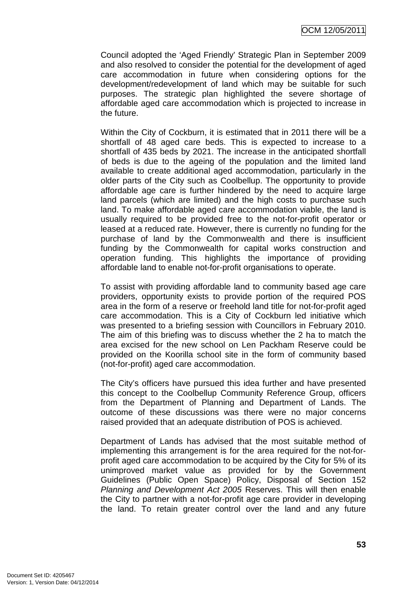Council adopted the 'Aged Friendly' Strategic Plan in September 2009 and also resolved to consider the potential for the development of aged care accommodation in future when considering options for the development/redevelopment of land which may be suitable for such purposes. The strategic plan highlighted the severe shortage of affordable aged care accommodation which is projected to increase in the future.

Within the City of Cockburn, it is estimated that in 2011 there will be a shortfall of 48 aged care beds. This is expected to increase to a shortfall of 435 beds by 2021. The increase in the anticipated shortfall of beds is due to the ageing of the population and the limited land available to create additional aged accommodation, particularly in the older parts of the City such as Coolbellup. The opportunity to provide affordable age care is further hindered by the need to acquire large land parcels (which are limited) and the high costs to purchase such land. To make affordable aged care accommodation viable, the land is usually required to be provided free to the not-for-profit operator or leased at a reduced rate. However, there is currently no funding for the purchase of land by the Commonwealth and there is insufficient funding by the Commonwealth for capital works construction and operation funding. This highlights the importance of providing affordable land to enable not-for-profit organisations to operate.

To assist with providing affordable land to community based age care providers, opportunity exists to provide portion of the required POS area in the form of a reserve or freehold land title for not-for-profit aged care accommodation. This is a City of Cockburn led initiative which was presented to a briefing session with Councillors in February 2010. The aim of this briefing was to discuss whether the 2 ha to match the area excised for the new school on Len Packham Reserve could be provided on the Koorilla school site in the form of community based (not-for-profit) aged care accommodation.

The City's officers have pursued this idea further and have presented this concept to the Coolbellup Community Reference Group, officers from the Department of Planning and Department of Lands. The outcome of these discussions was there were no major concerns raised provided that an adequate distribution of POS is achieved.

Department of Lands has advised that the most suitable method of implementing this arrangement is for the area required for the not-forprofit aged care accommodation to be acquired by the City for 5% of its unimproved market value as provided for by the Government Guidelines (Public Open Space) Policy, Disposal of Section 152 Planning and Development Act 2005 Reserves. This will then enable the City to partner with a not-for-profit age care provider in developing the land. To retain greater control over the land and any future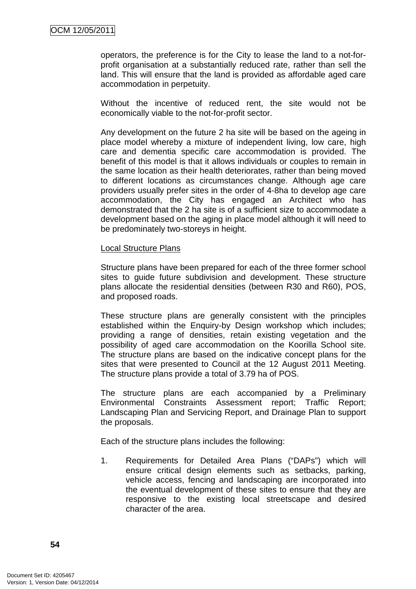operators, the preference is for the City to lease the land to a not-forprofit organisation at a substantially reduced rate, rather than sell the land. This will ensure that the land is provided as affordable aged care accommodation in perpetuity.

Without the incentive of reduced rent, the site would not be economically viable to the not-for-profit sector.

Any development on the future 2 ha site will be based on the ageing in place model whereby a mixture of independent living, low care, high care and dementia specific care accommodation is provided. The benefit of this model is that it allows individuals or couples to remain in the same location as their health deteriorates, rather than being moved to different locations as circumstances change. Although age care providers usually prefer sites in the order of 4-8ha to develop age care accommodation, the City has engaged an Architect who has demonstrated that the 2 ha site is of a sufficient size to accommodate a development based on the aging in place model although it will need to be predominately two-storeys in height.

#### Local Structure Plans

Structure plans have been prepared for each of the three former school sites to guide future subdivision and development. These structure plans allocate the residential densities (between R30 and R60), POS, and proposed roads.

These structure plans are generally consistent with the principles established within the Enquiry-by Design workshop which includes; providing a range of densities, retain existing vegetation and the possibility of aged care accommodation on the Koorilla School site. The structure plans are based on the indicative concept plans for the sites that were presented to Council at the 12 August 2011 Meeting. The structure plans provide a total of 3.79 ha of POS.

The structure plans are each accompanied by a Preliminary Environmental Constraints Assessment report; Traffic Report; Landscaping Plan and Servicing Report, and Drainage Plan to support the proposals.

Each of the structure plans includes the following:

1. Requirements for Detailed Area Plans ("DAPs") which will ensure critical design elements such as setbacks, parking, vehicle access, fencing and landscaping are incorporated into the eventual development of these sites to ensure that they are responsive to the existing local streetscape and desired character of the area.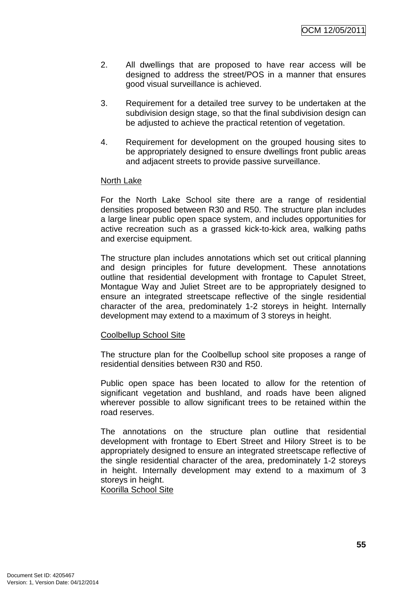- 2. All dwellings that are proposed to have rear access will be designed to address the street/POS in a manner that ensures good visual surveillance is achieved.
- 3. Requirement for a detailed tree survey to be undertaken at the subdivision design stage, so that the final subdivision design can be adjusted to achieve the practical retention of vegetation.
- 4. Requirement for development on the grouped housing sites to be appropriately designed to ensure dwellings front public areas and adjacent streets to provide passive surveillance.

#### North Lake

For the North Lake School site there are a range of residential densities proposed between R30 and R50. The structure plan includes a large linear public open space system, and includes opportunities for active recreation such as a grassed kick-to-kick area, walking paths and exercise equipment.

The structure plan includes annotations which set out critical planning and design principles for future development. These annotations outline that residential development with frontage to Capulet Street, Montague Way and Juliet Street are to be appropriately designed to ensure an integrated streetscape reflective of the single residential character of the area, predominately 1-2 storeys in height. Internally development may extend to a maximum of 3 storeys in height.

#### Coolbellup School Site

The structure plan for the Coolbellup school site proposes a range of residential densities between R30 and R50.

Public open space has been located to allow for the retention of significant vegetation and bushland, and roads have been aligned wherever possible to allow significant trees to be retained within the road reserves.

The annotations on the structure plan outline that residential development with frontage to Ebert Street and Hilory Street is to be appropriately designed to ensure an integrated streetscape reflective of the single residential character of the area, predominately 1-2 storeys in height. Internally development may extend to a maximum of 3 storeys in height.

Koorilla School Site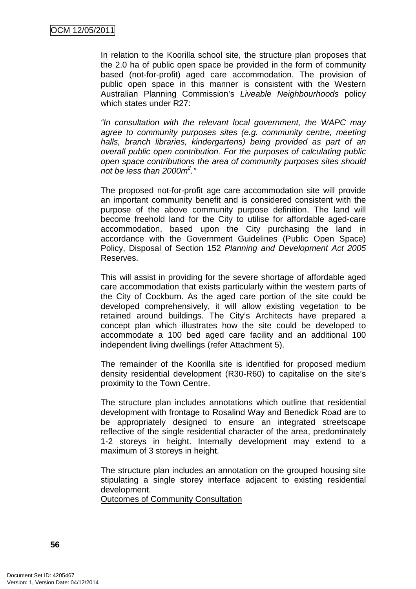In relation to the Koorilla school site, the structure plan proposes that the 2.0 ha of public open space be provided in the form of community based (not-for-profit) aged care accommodation. The provision of public open space in this manner is consistent with the Western Australian Planning Commission's Liveable Neighbourhoods policy which states under R27:

"In consultation with the relevant local government, the WAPC may agree to community purposes sites (e.g. community centre, meeting halls, branch libraries, kindergartens) being provided as part of an overall public open contribution. For the purposes of calculating public open space contributions the area of community purposes sites should not be less than 2000 $m^2$ ."

The proposed not-for-profit age care accommodation site will provide an important community benefit and is considered consistent with the purpose of the above community purpose definition. The land will become freehold land for the City to utilise for affordable aged-care accommodation, based upon the City purchasing the land in accordance with the Government Guidelines (Public Open Space) Policy, Disposal of Section 152 Planning and Development Act 2005 Reserves.

This will assist in providing for the severe shortage of affordable aged care accommodation that exists particularly within the western parts of the City of Cockburn. As the aged care portion of the site could be developed comprehensively, it will allow existing vegetation to be retained around buildings. The City's Architects have prepared a concept plan which illustrates how the site could be developed to accommodate a 100 bed aged care facility and an additional 100 independent living dwellings (refer Attachment 5).

The remainder of the Koorilla site is identified for proposed medium density residential development (R30-R60) to capitalise on the site's proximity to the Town Centre.

The structure plan includes annotations which outline that residential development with frontage to Rosalind Way and Benedick Road are to be appropriately designed to ensure an integrated streetscape reflective of the single residential character of the area, predominately 1-2 storeys in height. Internally development may extend to a maximum of 3 storeys in height.

The structure plan includes an annotation on the grouped housing site stipulating a single storey interface adjacent to existing residential development.

Outcomes of Community Consultation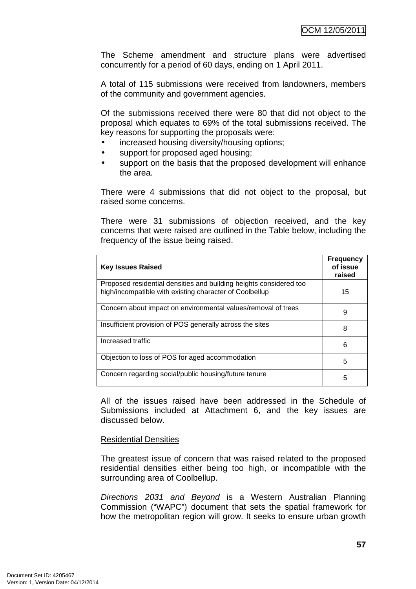The Scheme amendment and structure plans were advertised concurrently for a period of 60 days, ending on 1 April 2011.

A total of 115 submissions were received from landowners, members of the community and government agencies.

Of the submissions received there were 80 that did not object to the proposal which equates to 69% of the total submissions received. The key reasons for supporting the proposals were:

- increased housing diversity/housing options;
- support for proposed aged housing;
- support on the basis that the proposed development will enhance the area.

There were 4 submissions that did not object to the proposal, but raised some concerns.

There were 31 submissions of objection received, and the key concerns that were raised are outlined in the Table below, including the frequency of the issue being raised.

| <b>Key Issues Raised</b>                                                                                                      | <b>Frequency</b><br>of issue<br>raised |
|-------------------------------------------------------------------------------------------------------------------------------|----------------------------------------|
| Proposed residential densities and building heights considered too<br>high/incompatible with existing character of Coolbellup | 15                                     |
| Concern about impact on environmental values/removal of trees                                                                 | 9                                      |
| Insufficient provision of POS generally across the sites                                                                      | 8                                      |
| Increased traffic                                                                                                             | 6                                      |
| Objection to loss of POS for aged accommodation                                                                               | 5                                      |
| Concern regarding social/public housing/future tenure                                                                         | 5                                      |

All of the issues raised have been addressed in the Schedule of Submissions included at Attachment 6, and the key issues are discussed below.

#### Residential Densities

The greatest issue of concern that was raised related to the proposed residential densities either being too high, or incompatible with the surrounding area of Coolbellup.

Directions 2031 and Beyond is a Western Australian Planning Commission ("WAPC") document that sets the spatial framework for how the metropolitan region will grow. It seeks to ensure urban growth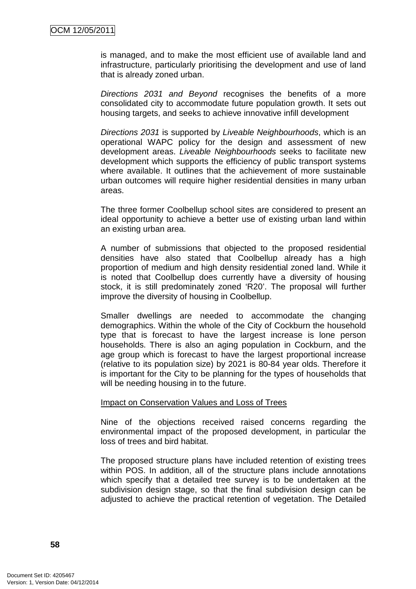is managed, and to make the most efficient use of available land and infrastructure, particularly prioritising the development and use of land that is already zoned urban.

Directions 2031 and Beyond recognises the benefits of a more consolidated city to accommodate future population growth. It sets out housing targets, and seeks to achieve innovative infill development

Directions 2031 is supported by Liveable Neighbourhoods, which is an operational WAPC policy for the design and assessment of new development areas. Liveable Neighbourhoods seeks to facilitate new development which supports the efficiency of public transport systems where available. It outlines that the achievement of more sustainable urban outcomes will require higher residential densities in many urban areas.

The three former Coolbellup school sites are considered to present an ideal opportunity to achieve a better use of existing urban land within an existing urban area.

A number of submissions that objected to the proposed residential densities have also stated that Coolbellup already has a high proportion of medium and high density residential zoned land. While it is noted that Coolbellup does currently have a diversity of housing stock, it is still predominately zoned 'R20'. The proposal will further improve the diversity of housing in Coolbellup.

Smaller dwellings are needed to accommodate the changing demographics. Within the whole of the City of Cockburn the household type that is forecast to have the largest increase is lone person households. There is also an aging population in Cockburn, and the age group which is forecast to have the largest proportional increase (relative to its population size) by 2021 is 80-84 year olds. Therefore it is important for the City to be planning for the types of households that will be needing housing in to the future.

#### Impact on Conservation Values and Loss of Trees

Nine of the objections received raised concerns regarding the environmental impact of the proposed development, in particular the loss of trees and bird habitat.

The proposed structure plans have included retention of existing trees within POS. In addition, all of the structure plans include annotations which specify that a detailed tree survey is to be undertaken at the subdivision design stage, so that the final subdivision design can be adjusted to achieve the practical retention of vegetation. The Detailed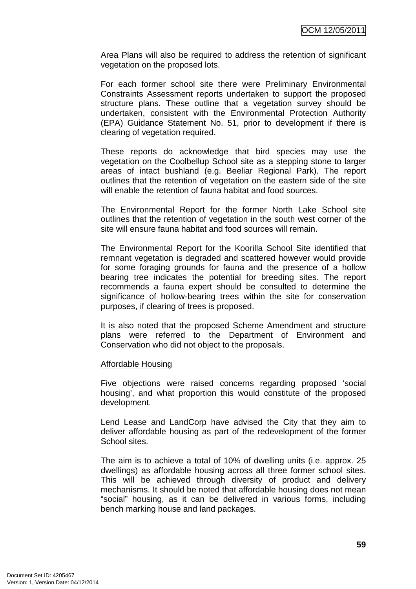Area Plans will also be required to address the retention of significant vegetation on the proposed lots.

For each former school site there were Preliminary Environmental Constraints Assessment reports undertaken to support the proposed structure plans. These outline that a vegetation survey should be undertaken, consistent with the Environmental Protection Authority (EPA) Guidance Statement No. 51, prior to development if there is clearing of vegetation required.

These reports do acknowledge that bird species may use the vegetation on the Coolbellup School site as a stepping stone to larger areas of intact bushland (e.g. Beeliar Regional Park). The report outlines that the retention of vegetation on the eastern side of the site will enable the retention of fauna habitat and food sources.

The Environmental Report for the former North Lake School site outlines that the retention of vegetation in the south west corner of the site will ensure fauna habitat and food sources will remain.

The Environmental Report for the Koorilla School Site identified that remnant vegetation is degraded and scattered however would provide for some foraging grounds for fauna and the presence of a hollow bearing tree indicates the potential for breeding sites. The report recommends a fauna expert should be consulted to determine the significance of hollow-bearing trees within the site for conservation purposes, if clearing of trees is proposed.

It is also noted that the proposed Scheme Amendment and structure plans were referred to the Department of Environment and Conservation who did not object to the proposals.

#### Affordable Housing

Five objections were raised concerns regarding proposed 'social housing', and what proportion this would constitute of the proposed development.

Lend Lease and LandCorp have advised the City that they aim to deliver affordable housing as part of the redevelopment of the former School sites.

The aim is to achieve a total of 10% of dwelling units (i.e. approx. 25 dwellings) as affordable housing across all three former school sites. This will be achieved through diversity of product and delivery mechanisms. It should be noted that affordable housing does not mean "social" housing, as it can be delivered in various forms, including bench marking house and land packages.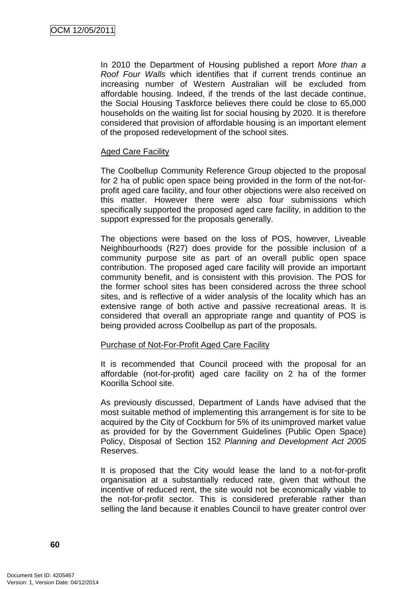In 2010 the Department of Housing published a report More than a Roof Four Walls which identifies that if current trends continue an increasing number of Western Australian will be excluded from affordable housing. Indeed, if the trends of the last decade continue, the Social Housing Taskforce believes there could be close to 65,000 households on the waiting list for social housing by 2020. It is therefore considered that provision of affordable housing is an important element of the proposed redevelopment of the school sites.

## Aged Care Facility

The Coolbellup Community Reference Group objected to the proposal for 2 ha of public open space being provided in the form of the not-forprofit aged care facility, and four other objections were also received on this matter. However there were also four submissions which specifically supported the proposed aged care facility, in addition to the support expressed for the proposals generally.

The objections were based on the loss of POS, however, Liveable Neighbourhoods (R27) does provide for the possible inclusion of a community purpose site as part of an overall public open space contribution. The proposed aged care facility will provide an important community benefit, and is consistent with this provision. The POS for the former school sites has been considered across the three school sites, and is reflective of a wider analysis of the locality which has an extensive range of both active and passive recreational areas. It is considered that overall an appropriate range and quantity of POS is being provided across Coolbellup as part of the proposals.

#### Purchase of Not-For-Profit Aged Care Facility

It is recommended that Council proceed with the proposal for an affordable (not-for-profit) aged care facility on 2 ha of the former Koorilla School site.

As previously discussed, Department of Lands have advised that the most suitable method of implementing this arrangement is for site to be acquired by the City of Cockburn for 5% of its unimproved market value as provided for by the Government Guidelines (Public Open Space) Policy, Disposal of Section 152 Planning and Development Act 2005 Reserves.

It is proposed that the City would lease the land to a not-for-profit organisation at a substantially reduced rate, given that without the incentive of reduced rent, the site would not be economically viable to the not-for-profit sector. This is considered preferable rather than selling the land because it enables Council to have greater control over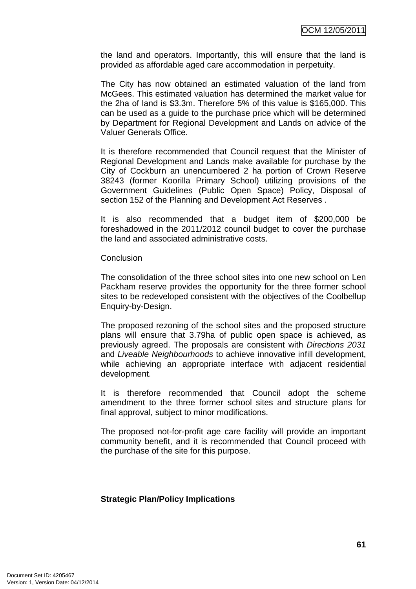the land and operators. Importantly, this will ensure that the land is provided as affordable aged care accommodation in perpetuity.

The City has now obtained an estimated valuation of the land from McGees. This estimated valuation has determined the market value for the 2ha of land is \$3.3m. Therefore 5% of this value is \$165,000. This can be used as a guide to the purchase price which will be determined by Department for Regional Development and Lands on advice of the Valuer Generals Office.

It is therefore recommended that Council request that the Minister of Regional Development and Lands make available for purchase by the City of Cockburn an unencumbered 2 ha portion of Crown Reserve 38243 (former Koorilla Primary School) utilizing provisions of the Government Guidelines (Public Open Space) Policy, Disposal of section 152 of the Planning and Development Act Reserves .

It is also recommended that a budget item of \$200,000 be foreshadowed in the 2011/2012 council budget to cover the purchase the land and associated administrative costs.

#### **Conclusion**

The consolidation of the three school sites into one new school on Len Packham reserve provides the opportunity for the three former school sites to be redeveloped consistent with the objectives of the Coolbellup Enquiry-by-Design.

The proposed rezoning of the school sites and the proposed structure plans will ensure that 3.79ha of public open space is achieved, as previously agreed. The proposals are consistent with Directions 2031 and Liveable Neighbourhoods to achieve innovative infill development, while achieving an appropriate interface with adjacent residential development.

It is therefore recommended that Council adopt the scheme amendment to the three former school sites and structure plans for final approval, subject to minor modifications.

The proposed not-for-profit age care facility will provide an important community benefit, and it is recommended that Council proceed with the purchase of the site for this purpose.

## **Strategic Plan/Policy Implications**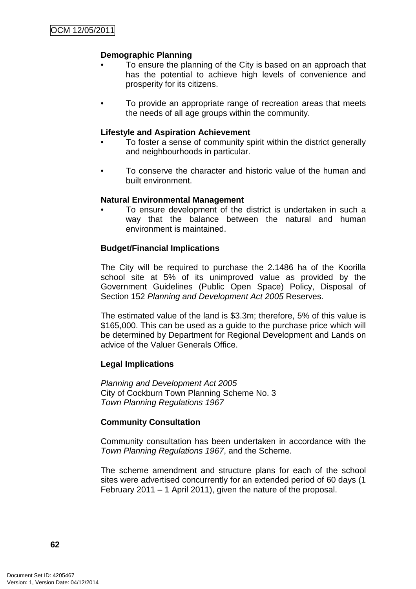# **Demographic Planning**

- To ensure the planning of the City is based on an approach that has the potential to achieve high levels of convenience and prosperity for its citizens.
- To provide an appropriate range of recreation areas that meets the needs of all age groups within the community.

## **Lifestyle and Aspiration Achievement**

- To foster a sense of community spirit within the district generally and neighbourhoods in particular.
- To conserve the character and historic value of the human and built environment.

#### **Natural Environmental Management**

• To ensure development of the district is undertaken in such a way that the balance between the natural and human environment is maintained.

## **Budget/Financial Implications**

The City will be required to purchase the 2.1486 ha of the Koorilla school site at 5% of its unimproved value as provided by the Government Guidelines (Public Open Space) Policy, Disposal of Section 152 Planning and Development Act 2005 Reserves.

The estimated value of the land is \$3.3m; therefore, 5% of this value is \$165,000. This can be used as a guide to the purchase price which will be determined by Department for Regional Development and Lands on advice of the Valuer Generals Office.

## **Legal Implications**

Planning and Development Act 2005 City of Cockburn Town Planning Scheme No. 3 Town Planning Regulations 1967

## **Community Consultation**

Community consultation has been undertaken in accordance with the Town Planning Regulations 1967, and the Scheme.

The scheme amendment and structure plans for each of the school sites were advertised concurrently for an extended period of 60 days (1 February 2011 – 1 April 2011), given the nature of the proposal.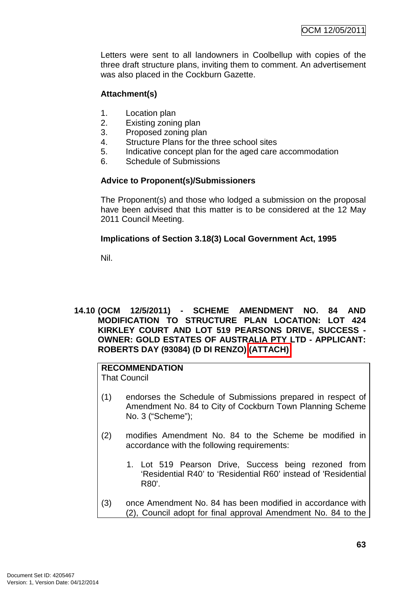Letters were sent to all landowners in Coolbellup with copies of the three draft structure plans, inviting them to comment. An advertisement was also placed in the Cockburn Gazette.

# **Attachment(s)**

- 1. Location plan
- 2. Existing zoning plan
- 3. Proposed zoning plan
- 4. Structure Plans for the three school sites
- 5. Indicative concept plan for the aged care accommodation
- 6. Schedule of Submissions

# **Advice to Proponent(s)/Submissioners**

The Proponent(s) and those who lodged a submission on the proposal have been advised that this matter is to be considered at the 12 May 2011 Council Meeting.

# **Implications of Section 3.18(3) Local Government Act, 1995**

Nil.

## **14.10 (OCM 12/5/2011) - SCHEME AMENDMENT NO. 84 AND MODIFICATION TO STRUCTURE PLAN LOCATION: LOT 424 KIRKLEY COURT AND LOT 519 PEARSONS DRIVE, SUCCESS - OWNER: GOLD ESTATES OF AUSTRALIA PTY LTD - APPLICANT: ROBERTS DAY (93084) (D DI RENZO) (ATTACH)**

# **RECOMMENDATION**

That Council

- (1) endorses the Schedule of Submissions prepared in respect of Amendment No. 84 to City of Cockburn Town Planning Scheme No. 3 ("Scheme");
- (2) modifies Amendment No. 84 to the Scheme be modified in accordance with the following requirements:
	- 1. Lot 519 Pearson Drive, Success being rezoned from 'Residential R40' to 'Residential R60' instead of 'Residential R80'.
- (3) once Amendment No. 84 has been modified in accordance with (2), Council adopt for final approval Amendment No. 84 to the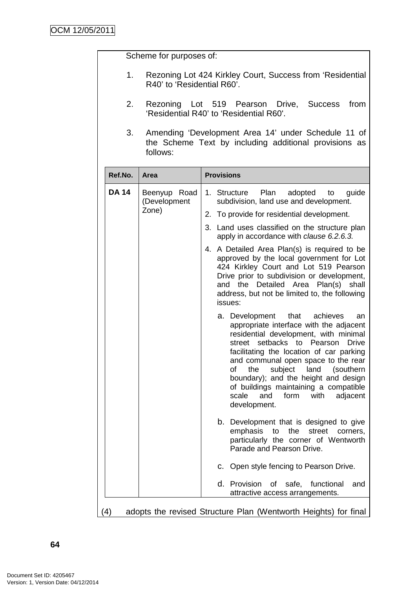Scheme for purposes of:

- 1. Rezoning Lot 424 Kirkley Court, Success from 'Residential R40' to 'Residential R60'.
- 2. Rezoning Lot 519 Pearson Drive, Success from 'Residential R40' to 'Residential R60'.
- 3. Amending 'Development Area 14' under Schedule 11 of the Scheme Text by including additional provisions as follows:

| Ref.No.      | <b>Area</b>                                                     | <b>Provisions</b>                                                                                                                                                                                                                                                                                                                                                                                                                                       |  |  |
|--------------|-----------------------------------------------------------------|---------------------------------------------------------------------------------------------------------------------------------------------------------------------------------------------------------------------------------------------------------------------------------------------------------------------------------------------------------------------------------------------------------------------------------------------------------|--|--|
| <b>DA 14</b> | Beenyup Road<br>(Development                                    | Plan<br>1. Structure<br>adopted<br>guide<br>to<br>subdivision, land use and development.                                                                                                                                                                                                                                                                                                                                                                |  |  |
|              | Zone)                                                           | To provide for residential development.<br>2.                                                                                                                                                                                                                                                                                                                                                                                                           |  |  |
|              |                                                                 | Land uses classified on the structure plan<br>3.<br>apply in accordance with clause 6.2.6.3.                                                                                                                                                                                                                                                                                                                                                            |  |  |
|              |                                                                 | A Detailed Area Plan(s) is required to be<br>4.<br>approved by the local government for Lot<br>424 Kirkley Court and Lot 519 Pearson<br>Drive prior to subdivision or development,<br>and the Detailed Area Plan(s)<br>shall<br>address, but not be limited to, the following<br>issues:                                                                                                                                                                |  |  |
|              |                                                                 | a. Development<br>that<br>achieves<br>an<br>appropriate interface with the adjacent<br>residential development, with minimal<br>street setbacks to Pearson<br><b>Drive</b><br>facilitating the location of car parking<br>and communal open space to the rear<br>subject<br>land<br>of<br>the<br>(southern<br>boundary); and the height and design<br>of buildings maintaining a compatible<br>scale<br>and<br>form<br>with<br>adjacent<br>development. |  |  |
|              |                                                                 | b. Development that is designed to give<br>emphasis<br>the<br>street<br>to<br>corners,<br>particularly the corner of Wentworth<br>Parade and Pearson Drive.                                                                                                                                                                                                                                                                                             |  |  |
|              |                                                                 | c. Open style fencing to Pearson Drive.                                                                                                                                                                                                                                                                                                                                                                                                                 |  |  |
|              |                                                                 | d. Provision<br>of safe, functional<br>and<br>attractive access arrangements.                                                                                                                                                                                                                                                                                                                                                                           |  |  |
| (4)          | adopts the revised Structure Plan (Wentworth Heights) for final |                                                                                                                                                                                                                                                                                                                                                                                                                                                         |  |  |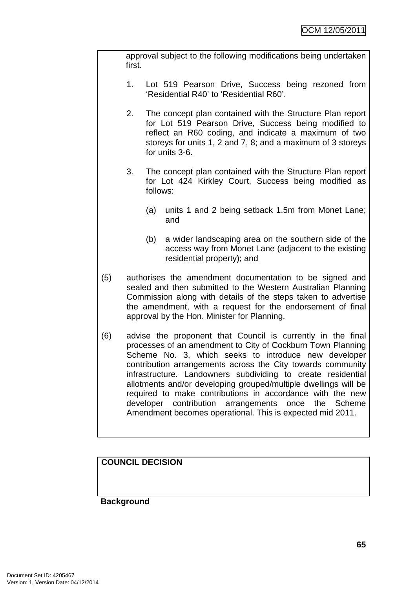approval subject to the following modifications being undertaken first.

- 1. Lot 519 Pearson Drive, Success being rezoned from 'Residential R40' to 'Residential R60'.
- 2. The concept plan contained with the Structure Plan report for Lot 519 Pearson Drive, Success being modified to reflect an R60 coding, and indicate a maximum of two storeys for units 1, 2 and 7, 8; and a maximum of 3 storeys for units 3-6.
- 3. The concept plan contained with the Structure Plan report for Lot 424 Kirkley Court, Success being modified as follows:
	- (a) units 1 and 2 being setback 1.5m from Monet Lane; and
	- (b) a wider landscaping area on the southern side of the access way from Monet Lane (adjacent to the existing residential property); and
- (5) authorises the amendment documentation to be signed and sealed and then submitted to the Western Australian Planning Commission along with details of the steps taken to advertise the amendment, with a request for the endorsement of final approval by the Hon. Minister for Planning.
- (6) advise the proponent that Council is currently in the final processes of an amendment to City of Cockburn Town Planning Scheme No. 3, which seeks to introduce new developer contribution arrangements across the City towards community infrastructure. Landowners subdividing to create residential allotments and/or developing grouped/multiple dwellings will be required to make contributions in accordance with the new developer contribution arrangements once the Scheme Amendment becomes operational. This is expected mid 2011.

**COUNCIL DECISION**

## **Background**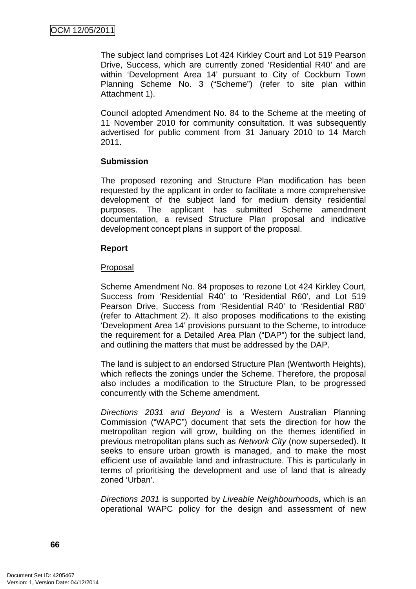The subject land comprises Lot 424 Kirkley Court and Lot 519 Pearson Drive, Success, which are currently zoned 'Residential R40' and are within 'Development Area 14' pursuant to City of Cockburn Town Planning Scheme No. 3 ("Scheme") (refer to site plan within Attachment 1).

Council adopted Amendment No. 84 to the Scheme at the meeting of 11 November 2010 for community consultation. It was subsequently advertised for public comment from 31 January 2010 to 14 March 2011.

## **Submission**

The proposed rezoning and Structure Plan modification has been requested by the applicant in order to facilitate a more comprehensive development of the subject land for medium density residential purposes. The applicant has submitted Scheme amendment documentation, a revised Structure Plan proposal and indicative development concept plans in support of the proposal.

## **Report**

# **Proposal**

Scheme Amendment No. 84 proposes to rezone Lot 424 Kirkley Court, Success from 'Residential R40' to 'Residential R60', and Lot 519 Pearson Drive, Success from 'Residential R40' to 'Residential R80' (refer to Attachment 2). It also proposes modifications to the existing 'Development Area 14' provisions pursuant to the Scheme, to introduce the requirement for a Detailed Area Plan ("DAP") for the subject land, and outlining the matters that must be addressed by the DAP.

The land is subject to an endorsed Structure Plan (Wentworth Heights), which reflects the zonings under the Scheme. Therefore, the proposal also includes a modification to the Structure Plan, to be progressed concurrently with the Scheme amendment.

Directions 2031 and Beyond is a Western Australian Planning Commission ("WAPC") document that sets the direction for how the metropolitan region will grow, building on the themes identified in previous metropolitan plans such as Network City (now superseded). It seeks to ensure urban growth is managed, and to make the most efficient use of available land and infrastructure. This is particularly in terms of prioritising the development and use of land that is already zoned 'Urban'.

Directions 2031 is supported by Liveable Neighbourhoods, which is an operational WAPC policy for the design and assessment of new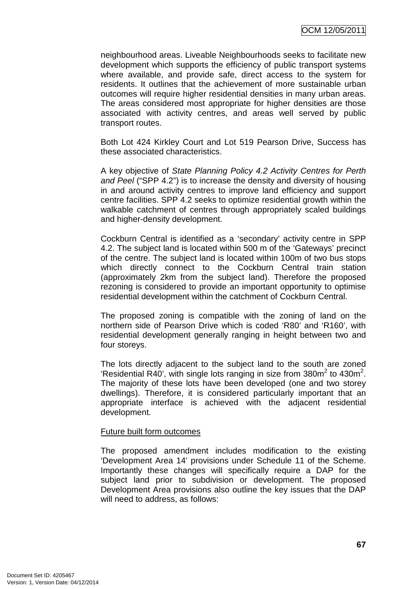neighbourhood areas. Liveable Neighbourhoods seeks to facilitate new development which supports the efficiency of public transport systems where available, and provide safe, direct access to the system for residents. It outlines that the achievement of more sustainable urban outcomes will require higher residential densities in many urban areas. The areas considered most appropriate for higher densities are those associated with activity centres, and areas well served by public transport routes.

Both Lot 424 Kirkley Court and Lot 519 Pearson Drive, Success has these associated characteristics.

A key objective of State Planning Policy 4.2 Activity Centres for Perth and Peel ("SPP 4.2") is to increase the density and diversity of housing in and around activity centres to improve land efficiency and support centre facilities. SPP 4.2 seeks to optimize residential growth within the walkable catchment of centres through appropriately scaled buildings and higher-density development.

Cockburn Central is identified as a 'secondary' activity centre in SPP 4.2. The subject land is located within 500 m of the 'Gateways' precinct of the centre. The subject land is located within 100m of two bus stops which directly connect to the Cockburn Central train station (approximately 2km from the subject land). Therefore the proposed rezoning is considered to provide an important opportunity to optimise residential development within the catchment of Cockburn Central.

The proposed zoning is compatible with the zoning of land on the northern side of Pearson Drive which is coded 'R80' and 'R160', with residential development generally ranging in height between two and four storeys.

The lots directly adjacent to the subject land to the south are zoned 'Residential R40', with single lots ranging in size from  $380m^2$  to  $430m^2$ . The majority of these lots have been developed (one and two storey dwellings). Therefore, it is considered particularly important that an appropriate interface is achieved with the adjacent residential development.

#### Future built form outcomes

The proposed amendment includes modification to the existing 'Development Area 14' provisions under Schedule 11 of the Scheme. Importantly these changes will specifically require a DAP for the subject land prior to subdivision or development. The proposed Development Area provisions also outline the key issues that the DAP will need to address, as follows: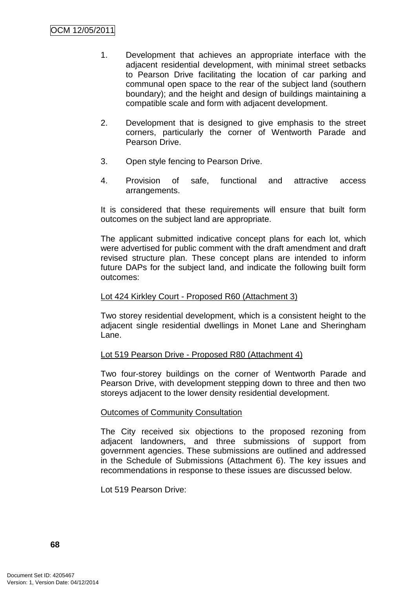- 1. Development that achieves an appropriate interface with the adjacent residential development, with minimal street setbacks to Pearson Drive facilitating the location of car parking and communal open space to the rear of the subject land (southern boundary); and the height and design of buildings maintaining a compatible scale and form with adjacent development.
- 2. Development that is designed to give emphasis to the street corners, particularly the corner of Wentworth Parade and Pearson Drive.
- 3. Open style fencing to Pearson Drive.
- 4. Provision of safe, functional and attractive access arrangements.

It is considered that these requirements will ensure that built form outcomes on the subject land are appropriate.

The applicant submitted indicative concept plans for each lot, which were advertised for public comment with the draft amendment and draft revised structure plan. These concept plans are intended to inform future DAPs for the subject land, and indicate the following built form outcomes:

#### Lot 424 Kirkley Court - Proposed R60 (Attachment 3)

Two storey residential development, which is a consistent height to the adjacent single residential dwellings in Monet Lane and Sheringham Lane.

## Lot 519 Pearson Drive - Proposed R80 (Attachment 4)

Two four-storey buildings on the corner of Wentworth Parade and Pearson Drive, with development stepping down to three and then two storeys adjacent to the lower density residential development.

#### Outcomes of Community Consultation

The City received six objections to the proposed rezoning from adjacent landowners, and three submissions of support from government agencies. These submissions are outlined and addressed in the Schedule of Submissions (Attachment 6). The key issues and recommendations in response to these issues are discussed below.

Lot 519 Pearson Drive: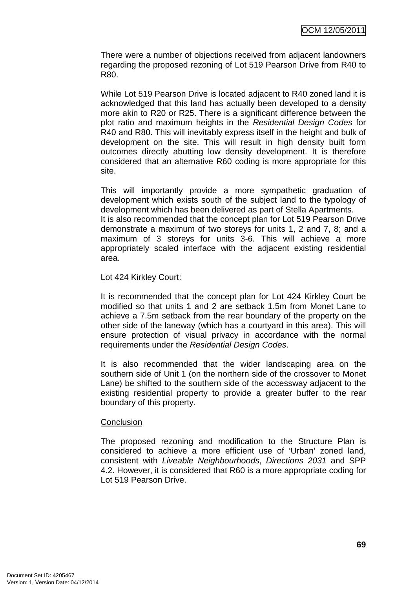There were a number of objections received from adjacent landowners regarding the proposed rezoning of Lot 519 Pearson Drive from R40 to R80.

While Lot 519 Pearson Drive is located adjacent to R40 zoned land it is acknowledged that this land has actually been developed to a density more akin to R20 or R25. There is a significant difference between the plot ratio and maximum heights in the Residential Design Codes for R40 and R80. This will inevitably express itself in the height and bulk of development on the site. This will result in high density built form outcomes directly abutting low density development. It is therefore considered that an alternative R60 coding is more appropriate for this site.

This will importantly provide a more sympathetic graduation of development which exists south of the subject land to the typology of development which has been delivered as part of Stella Apartments. It is also recommended that the concept plan for Lot 519 Pearson Drive demonstrate a maximum of two storeys for units 1, 2 and 7, 8; and a maximum of 3 storeys for units 3-6. This will achieve a more appropriately scaled interface with the adjacent existing residential area.

Lot 424 Kirkley Court:

It is recommended that the concept plan for Lot 424 Kirkley Court be modified so that units 1 and 2 are setback 1.5m from Monet Lane to achieve a 7.5m setback from the rear boundary of the property on the other side of the laneway (which has a courtyard in this area). This will ensure protection of visual privacy in accordance with the normal requirements under the Residential Design Codes.

It is also recommended that the wider landscaping area on the southern side of Unit 1 (on the northern side of the crossover to Monet Lane) be shifted to the southern side of the accessway adjacent to the existing residential property to provide a greater buffer to the rear boundary of this property.

## **Conclusion**

The proposed rezoning and modification to the Structure Plan is considered to achieve a more efficient use of 'Urban' zoned land, consistent with Liveable Neighbourhoods, Directions 2031 and SPP 4.2. However, it is considered that R60 is a more appropriate coding for Lot 519 Pearson Drive.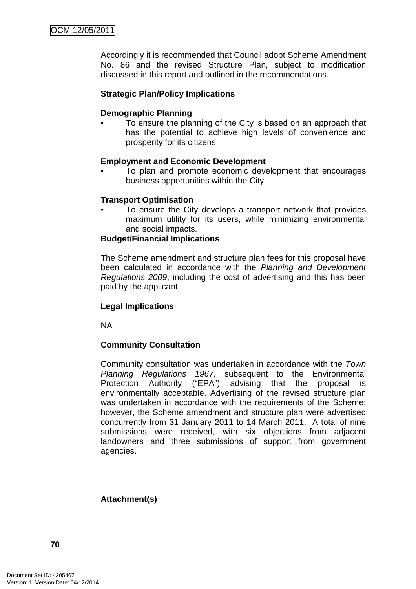Accordingly it is recommended that Council adopt Scheme Amendment No. 86 and the revised Structure Plan, subject to modification discussed in this report and outlined in the recommendations.

## **Strategic Plan/Policy Implications**

#### **Demographic Planning**

• To ensure the planning of the City is based on an approach that has the potential to achieve high levels of convenience and prosperity for its citizens.

#### **Employment and Economic Development**

• To plan and promote economic development that encourages business opportunities within the City.

#### **Transport Optimisation**

To ensure the City develops a transport network that provides maximum utility for its users, while minimizing environmental and social impacts.

#### **Budget/Financial Implications**

The Scheme amendment and structure plan fees for this proposal have been calculated in accordance with the Planning and Development Regulations 2009, including the cost of advertising and this has been paid by the applicant.

## **Legal Implications**

NA

## **Community Consultation**

Community consultation was undertaken in accordance with the Town Planning Regulations 1967, subsequent to the Environmental<br>Protection Authority ("EPA") advising that the proposal is advising that the proposal is environmentally acceptable. Advertising of the revised structure plan was undertaken in accordance with the requirements of the Scheme: however, the Scheme amendment and structure plan were advertised concurrently from 31 January 2011 to 14 March 2011. A total of nine submissions were received, with six objections from adjacent landowners and three submissions of support from government agencies.

## **Attachment(s)**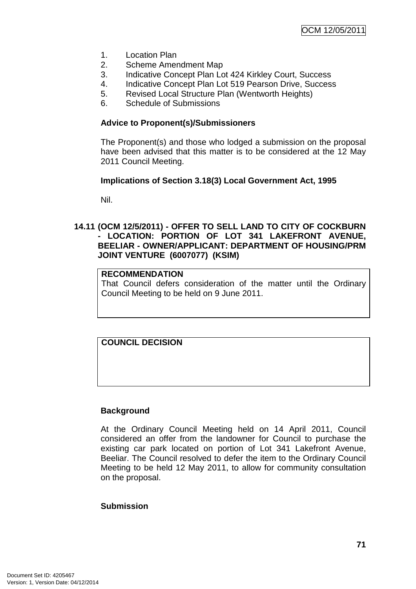- 1. Location Plan
- 2. Scheme Amendment Map
- 3. Indicative Concept Plan Lot 424 Kirkley Court, Success
- 4. Indicative Concept Plan Lot 519 Pearson Drive, Success
- 5. Revised Local Structure Plan (Wentworth Heights)
- 6. Schedule of Submissions

#### **Advice to Proponent(s)/Submissioners**

The Proponent(s) and those who lodged a submission on the proposal have been advised that this matter is to be considered at the 12 May 2011 Council Meeting.

#### **Implications of Section 3.18(3) Local Government Act, 1995**

Nil.

## **14.11 (OCM 12/5/2011) - OFFER TO SELL LAND TO CITY OF COCKBURN - LOCATION: PORTION OF LOT 341 LAKEFRONT AVENUE, BEELIAR - OWNER/APPLICANT: DEPARTMENT OF HOUSING/PRM JOINT VENTURE (6007077) (KSIM)**

## **RECOMMENDATION**

That Council defers consideration of the matter until the Ordinary Council Meeting to be held on 9 June 2011.

# **COUNCIL DECISION**

#### **Background**

At the Ordinary Council Meeting held on 14 April 2011, Council considered an offer from the landowner for Council to purchase the existing car park located on portion of Lot 341 Lakefront Avenue, Beeliar. The Council resolved to defer the item to the Ordinary Council Meeting to be held 12 May 2011, to allow for community consultation on the proposal.

#### **Submission**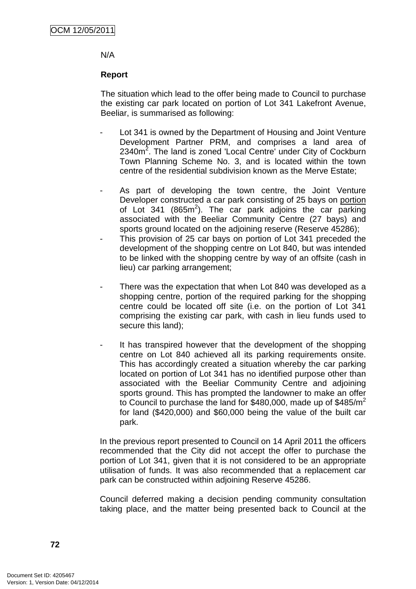#### N/A

## **Report**

The situation which lead to the offer being made to Council to purchase the existing car park located on portion of Lot 341 Lakefront Avenue, Beeliar, is summarised as following:

- Lot 341 is owned by the Department of Housing and Joint Venture Development Partner PRM, and comprises a land area of 2340 $m^2$ . The land is zoned 'Local Centre' under City of Cockburn Town Planning Scheme No. 3, and is located within the town centre of the residential subdivision known as the Merve Estate;
- As part of developing the town centre, the Joint Venture Developer constructed a car park consisting of 25 bays on portion of Lot 341 (865 $m^2$ ). The car park adjoins the car parking associated with the Beeliar Community Centre (27 bays) and sports ground located on the adjoining reserve (Reserve 45286);
- This provision of 25 car bays on portion of Lot 341 preceded the development of the shopping centre on Lot 840, but was intended to be linked with the shopping centre by way of an offsite (cash in lieu) car parking arrangement;
- There was the expectation that when Lot 840 was developed as a shopping centre, portion of the required parking for the shopping centre could be located off site (i.e. on the portion of Lot 341 comprising the existing car park, with cash in lieu funds used to secure this land);
- It has transpired however that the development of the shopping centre on Lot 840 achieved all its parking requirements onsite. This has accordingly created a situation whereby the car parking located on portion of Lot 341 has no identified purpose other than associated with the Beeliar Community Centre and adjoining sports ground. This has prompted the landowner to make an offer to Council to purchase the land for \$480,000, made up of  $$485/m^2$ for land (\$420,000) and \$60,000 being the value of the built car park.

In the previous report presented to Council on 14 April 2011 the officers recommended that the City did not accept the offer to purchase the portion of Lot 341, given that it is not considered to be an appropriate utilisation of funds. It was also recommended that a replacement car park can be constructed within adjoining Reserve 45286.

Council deferred making a decision pending community consultation taking place, and the matter being presented back to Council at the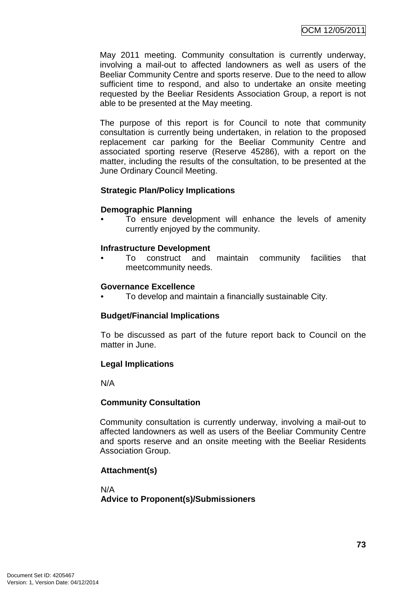May 2011 meeting. Community consultation is currently underway, involving a mail-out to affected landowners as well as users of the Beeliar Community Centre and sports reserve. Due to the need to allow sufficient time to respond, and also to undertake an onsite meeting requested by the Beeliar Residents Association Group, a report is not able to be presented at the May meeting.

The purpose of this report is for Council to note that community consultation is currently being undertaken, in relation to the proposed replacement car parking for the Beeliar Community Centre and associated sporting reserve (Reserve 45286), with a report on the matter, including the results of the consultation, to be presented at the June Ordinary Council Meeting.

## **Strategic Plan/Policy Implications**

#### **Demographic Planning**

To ensure development will enhance the levels of amenity currently enjoyed by the community.

#### **Infrastructure Development**

• To construct and maintain community facilities that meetcommunity needs.

#### **Governance Excellence**

• To develop and maintain a financially sustainable City.

## **Budget/Financial Implications**

To be discussed as part of the future report back to Council on the matter in June.

## **Legal Implications**

N/A

## **Community Consultation**

Community consultation is currently underway, involving a mail-out to affected landowners as well as users of the Beeliar Community Centre and sports reserve and an onsite meeting with the Beeliar Residents Association Group.

## **Attachment(s)**

N/A **Advice to Proponent(s)/Submissioners**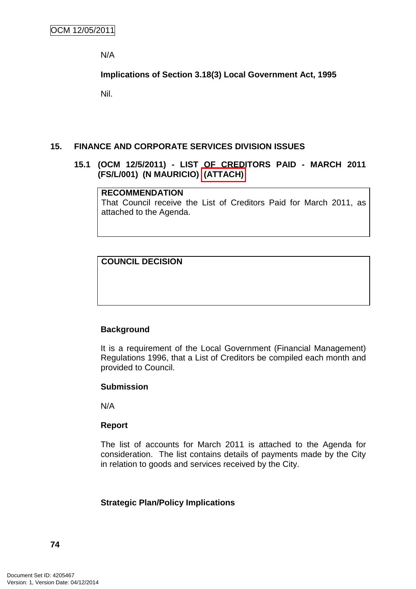N/A

**Implications of Section 3.18(3) Local Government Act, 1995**

Nil.

#### **15. FINANCE AND CORPORATE SERVICES DIVISION ISSUES**

## **15.1 (OCM 12/5/2011) - LIST OF CREDITORS PAID - MARCH 2011 (FS/L/001) (N MAURICIO) (ATTACH)**

#### **RECOMMENDATION**

That Council receive the List of Creditors Paid for March 2011, as attached to the Agenda.

# **COUNCIL DECISION**

## **Background**

It is a requirement of the Local Government (Financial Management) Regulations 1996, that a List of Creditors be compiled each month and provided to Council.

## **Submission**

N/A

## **Report**

The list of accounts for March 2011 is attached to the Agenda for consideration. The list contains details of payments made by the City in relation to goods and services received by the City.

## **Strategic Plan/Policy Implications**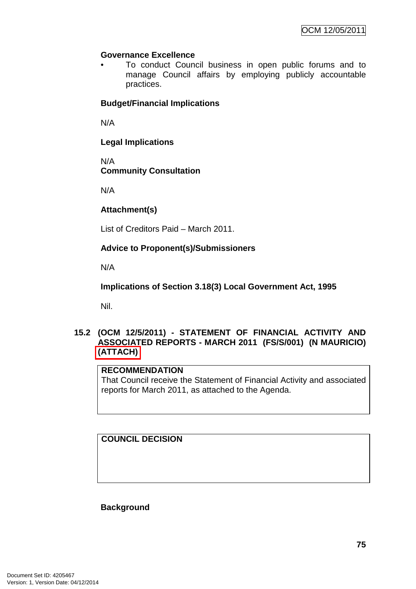# **Governance Excellence**

• To conduct Council business in open public forums and to manage Council affairs by employing publicly accountable practices.

# **Budget/Financial Implications**

N/A

**Legal Implications** 

N/A **Community Consultation** 

N/A

# **Attachment(s)**

List of Creditors Paid – March 2011.

# **Advice to Proponent(s)/Submissioners**

N/A

**Implications of Section 3.18(3) Local Government Act, 1995**

Nil.

# **15.2 (OCM 12/5/2011) - STATEMENT OF FINANCIAL ACTIVITY AND ASSOCIATED REPORTS - MARCH 2011 (FS/S/001) (N MAURICIO) (ATTACH)**

## **RECOMMENDATION**

That Council receive the Statement of Financial Activity and associated reports for March 2011, as attached to the Agenda.

**COUNCIL DECISION**

**Background**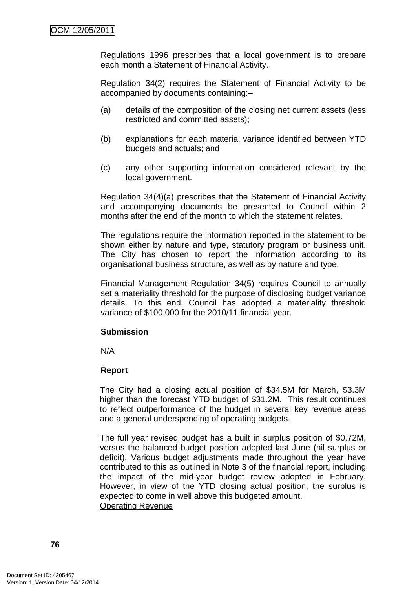Regulations 1996 prescribes that a local government is to prepare each month a Statement of Financial Activity.

Regulation 34(2) requires the Statement of Financial Activity to be accompanied by documents containing:–

- (a) details of the composition of the closing net current assets (less restricted and committed assets);
- (b) explanations for each material variance identified between YTD budgets and actuals; and
- (c) any other supporting information considered relevant by the local government.

Regulation 34(4)(a) prescribes that the Statement of Financial Activity and accompanying documents be presented to Council within 2 months after the end of the month to which the statement relates.

The regulations require the information reported in the statement to be shown either by nature and type, statutory program or business unit. The City has chosen to report the information according to its organisational business structure, as well as by nature and type.

Financial Management Regulation 34(5) requires Council to annually set a materiality threshold for the purpose of disclosing budget variance details. To this end, Council has adopted a materiality threshold variance of \$100,000 for the 2010/11 financial year.

# **Submission**

N/A

# **Report**

The City had a closing actual position of \$34.5M for March, \$3.3M higher than the forecast YTD budget of \$31.2M. This result continues to reflect outperformance of the budget in several key revenue areas and a general underspending of operating budgets.

The full year revised budget has a built in surplus position of \$0.72M, versus the balanced budget position adopted last June (nil surplus or deficit). Various budget adjustments made throughout the year have contributed to this as outlined in Note 3 of the financial report, including the impact of the mid-year budget review adopted in February. However, in view of the YTD closing actual position, the surplus is expected to come in well above this budgeted amount. Operating Revenue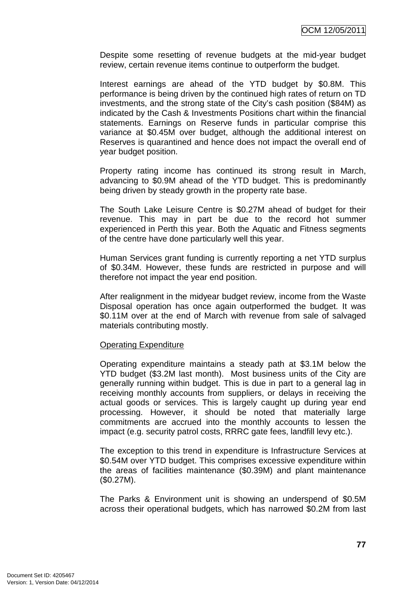Despite some resetting of revenue budgets at the mid-year budget review, certain revenue items continue to outperform the budget.

Interest earnings are ahead of the YTD budget by \$0.8M. This performance is being driven by the continued high rates of return on TD investments, and the strong state of the City's cash position (\$84M) as indicated by the Cash & Investments Positions chart within the financial statements. Earnings on Reserve funds in particular comprise this variance at \$0.45M over budget, although the additional interest on Reserves is quarantined and hence does not impact the overall end of year budget position.

Property rating income has continued its strong result in March, advancing to \$0.9M ahead of the YTD budget. This is predominantly being driven by steady growth in the property rate base.

The South Lake Leisure Centre is \$0.27M ahead of budget for their revenue. This may in part be due to the record hot summer experienced in Perth this year. Both the Aquatic and Fitness segments of the centre have done particularly well this year.

Human Services grant funding is currently reporting a net YTD surplus of \$0.34M. However, these funds are restricted in purpose and will therefore not impact the year end position.

After realignment in the midyear budget review, income from the Waste Disposal operation has once again outperformed the budget. It was \$0.11M over at the end of March with revenue from sale of salvaged materials contributing mostly.

#### Operating Expenditure

Operating expenditure maintains a steady path at \$3.1M below the YTD budget (\$3.2M last month). Most business units of the City are generally running within budget. This is due in part to a general lag in receiving monthly accounts from suppliers, or delays in receiving the actual goods or services. This is largely caught up during year end processing. However, it should be noted that materially large commitments are accrued into the monthly accounts to lessen the impact (e.g. security patrol costs, RRRC gate fees, landfill levy etc.).

The exception to this trend in expenditure is Infrastructure Services at \$0.54M over YTD budget. This comprises excessive expenditure within the areas of facilities maintenance (\$0.39M) and plant maintenance (\$0.27M).

The Parks & Environment unit is showing an underspend of \$0.5M across their operational budgets, which has narrowed \$0.2M from last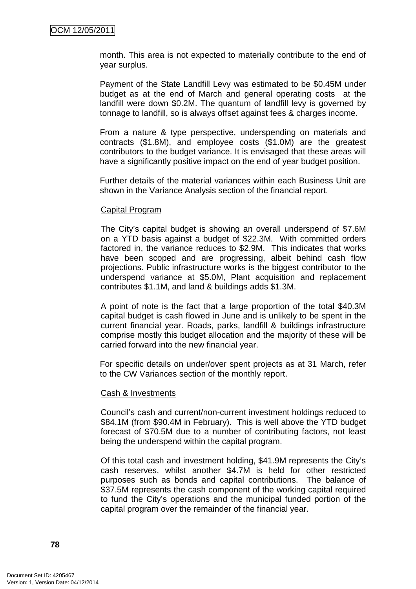month. This area is not expected to materially contribute to the end of year surplus.

Payment of the State Landfill Levy was estimated to be \$0.45M under budget as at the end of March and general operating costs at the landfill were down \$0.2M. The quantum of landfill levy is governed by tonnage to landfill, so is always offset against fees & charges income.

From a nature & type perspective, underspending on materials and contracts (\$1.8M), and employee costs (\$1.0M) are the greatest contributors to the budget variance. It is envisaged that these areas will have a significantly positive impact on the end of year budget position.

Further details of the material variances within each Business Unit are shown in the Variance Analysis section of the financial report.

#### Capital Program

The City's capital budget is showing an overall underspend of \$7.6M on a YTD basis against a budget of \$22.3M. With committed orders factored in, the variance reduces to \$2.9M. This indicates that works have been scoped and are progressing, albeit behind cash flow projections. Public infrastructure works is the biggest contributor to the underspend variance at \$5.0M, Plant acquisition and replacement contributes \$1.1M, and land & buildings adds \$1.3M.

A point of note is the fact that a large proportion of the total \$40.3M capital budget is cash flowed in June and is unlikely to be spent in the current financial year. Roads, parks, landfill & buildings infrastructure comprise mostly this budget allocation and the majority of these will be carried forward into the new financial year.

For specific details on under/over spent projects as at 31 March, refer to the CW Variances section of the monthly report.

#### Cash & Investments

Council's cash and current/non-current investment holdings reduced to \$84.1M (from \$90.4M in February). This is well above the YTD budget forecast of \$70.5M due to a number of contributing factors, not least being the underspend within the capital program.

Of this total cash and investment holding, \$41.9M represents the City's cash reserves, whilst another \$4.7M is held for other restricted purposes such as bonds and capital contributions. The balance of \$37.5M represents the cash component of the working capital required to fund the City's operations and the municipal funded portion of the capital program over the remainder of the financial year.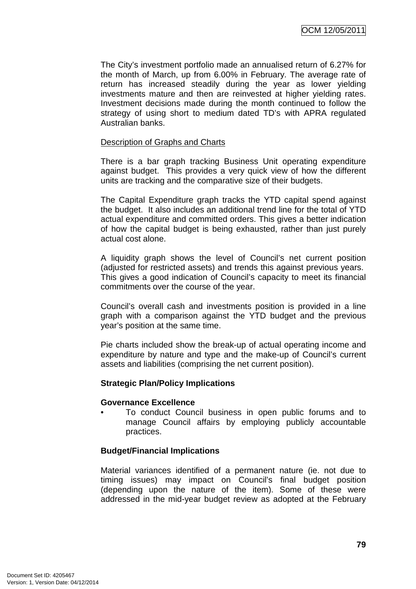The City's investment portfolio made an annualised return of 6.27% for the month of March, up from 6.00% in February. The average rate of return has increased steadily during the year as lower yielding investments mature and then are reinvested at higher yielding rates. Investment decisions made during the month continued to follow the strategy of using short to medium dated TD's with APRA regulated Australian banks.

#### Description of Graphs and Charts

There is a bar graph tracking Business Unit operating expenditure against budget. This provides a very quick view of how the different units are tracking and the comparative size of their budgets.

The Capital Expenditure graph tracks the YTD capital spend against the budget. It also includes an additional trend line for the total of YTD actual expenditure and committed orders. This gives a better indication of how the capital budget is being exhausted, rather than just purely actual cost alone.

A liquidity graph shows the level of Council's net current position (adjusted for restricted assets) and trends this against previous years. This gives a good indication of Council's capacity to meet its financial commitments over the course of the year.

Council's overall cash and investments position is provided in a line graph with a comparison against the YTD budget and the previous year's position at the same time.

Pie charts included show the break-up of actual operating income and expenditure by nature and type and the make-up of Council's current assets and liabilities (comprising the net current position).

## **Strategic Plan/Policy Implications**

#### **Governance Excellence**

• To conduct Council business in open public forums and to manage Council affairs by employing publicly accountable practices.

## **Budget/Financial Implications**

Material variances identified of a permanent nature (ie. not due to timing issues) may impact on Council's final budget position (depending upon the nature of the item). Some of these were addressed in the mid-year budget review as adopted at the February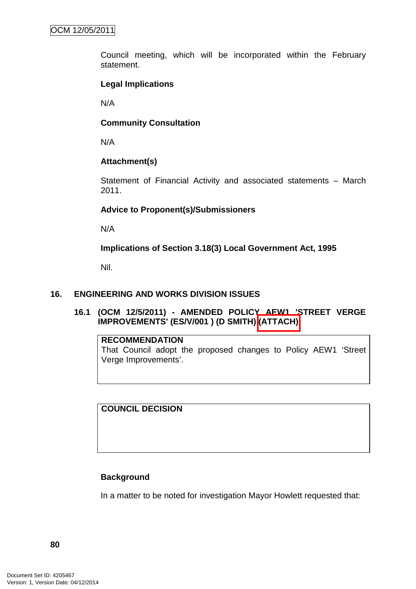Council meeting, which will be incorporated within the February statement.

# **Legal Implications**

N/A

## **Community Consultation**

N/A

# **Attachment(s)**

Statement of Financial Activity and associated statements – March 2011.

## **Advice to Proponent(s)/Submissioners**

N/A

**Implications of Section 3.18(3) Local Government Act, 1995**

Nil.

## **16. ENGINEERING AND WORKS DIVISION ISSUES**

**16.1 (OCM 12/5/2011) - AMENDED POLICY AEW1 'STREET VERGE IMPROVEMENTS' (ES/V/001 ) (D SMITH) (ATTACH)** 

## **RECOMMENDATION**

That Council adopt the proposed changes to Policy AEW1 'Street Verge Improvements'.

**COUNCIL DECISION**

# **Background**

In a matter to be noted for investigation Mayor Howlett requested that: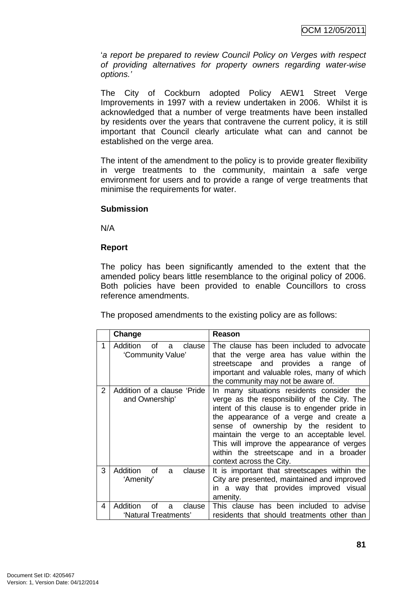'a report be prepared to review Council Policy on Verges with respect of providing alternatives for property owners regarding water-wise options.'

The City of Cockburn adopted Policy AEW1 Street Verge Improvements in 1997 with a review undertaken in 2006. Whilst it is acknowledged that a number of verge treatments have been installed by residents over the years that contravene the current policy, it is still important that Council clearly articulate what can and cannot be established on the verge area.

The intent of the amendment to the policy is to provide greater flexibility in verge treatments to the community, maintain a safe verge environment for users and to provide a range of verge treatments that minimise the requirements for water.

## **Submission**

N/A

#### **Report**

The policy has been significantly amended to the extent that the amended policy bears little resemblance to the original policy of 2006. Both policies have been provided to enable Councillors to cross reference amendments.

The proposed amendments to the existing policy are as follows:

|   | Change                                                | Reason                                                                                                                                                                                                                                                                                                                                                                                           |
|---|-------------------------------------------------------|--------------------------------------------------------------------------------------------------------------------------------------------------------------------------------------------------------------------------------------------------------------------------------------------------------------------------------------------------------------------------------------------------|
| 1 | Addition<br>of<br>clause<br>a<br>'Community Value'    | The clause has been included to advocate<br>that the verge area has value within the<br>streetscape and provides a range<br>of<br>important and valuable roles, many of which<br>the community may not be aware of.                                                                                                                                                                              |
| 2 | Addition of a clause 'Pride<br>and Ownership'         | In many situations residents consider the<br>verge as the responsibility of the City. The<br>intent of this clause is to engender pride in<br>the appearance of a verge and create a<br>sense of ownership by the resident to<br>maintain the verge to an acceptable level.<br>This will improve the appearance of verges<br>within the streetscape and in a broader<br>context across the City. |
| 3 | Addition<br>clause<br>of<br>a<br>'Amenity'            | It is important that streetscapes within the<br>City are presented, maintained and improved<br>in a way that provides improved visual<br>amenity.                                                                                                                                                                                                                                                |
| 4 | Addition<br>clause<br>∩f<br>a<br>'Natural Treatments' | This clause has been included to advise<br>residents that should treatments other than                                                                                                                                                                                                                                                                                                           |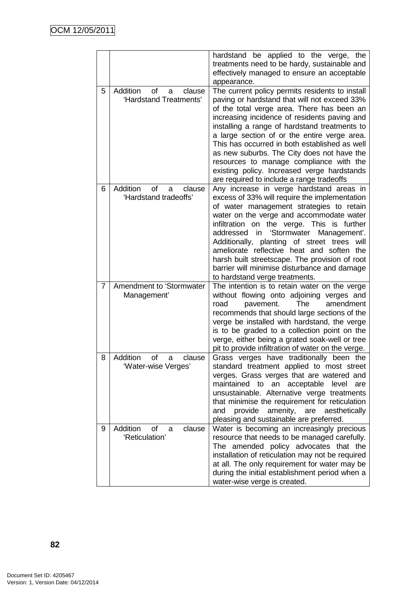|   |                                                         | hardstand be applied to the verge, the<br>treatments need to be hardy, sustainable and<br>effectively managed to ensure an acceptable<br>appearance.                                                                                                                                                                                                                                                                                                                                                                                 |
|---|---------------------------------------------------------|--------------------------------------------------------------------------------------------------------------------------------------------------------------------------------------------------------------------------------------------------------------------------------------------------------------------------------------------------------------------------------------------------------------------------------------------------------------------------------------------------------------------------------------|
| 5 | Addition<br>of<br>clause<br>a<br>'Hardstand Treatments' | The current policy permits residents to install<br>paving or hardstand that will not exceed 33%<br>of the total verge area. There has been an<br>increasing incidence of residents paving and<br>installing a range of hardstand treatments to<br>a large section of or the entire verge area.<br>This has occurred in both established as well<br>as new suburbs. The City does not have the<br>resources to manage compliance with the<br>existing policy. Increased verge hardstands<br>are required to include a range tradeoffs |
| 6 | Addition<br>0f<br>clause<br>a<br>'Hardstand tradeoffs'  | Any increase in verge hardstand areas in<br>excess of 33% will require the implementation<br>of water management strategies to retain<br>water on the verge and accommodate water<br>infiltration on the verge. This is further<br>Management'.<br>addressed in 'Stormwater<br>Additionally, planting<br>of street trees<br>will<br>ameliorate reflective heat and soften the<br>harsh built streetscape. The provision of root<br>barrier will minimise disturbance and damage<br>to hardstand verge treatments.                    |
| 7 | Amendment to 'Stormwater<br>Management'                 | The intention is to retain water on the verge<br>without flowing onto adjoining verges and<br>The<br>amendment<br>road<br>pavement.<br>recommends that should large sections of the<br>verge be installed with hardstand, the verge<br>is to be graded to a collection point on the<br>verge, either being a grated soak-well or tree<br>pit to provide infiltration of water on the verge.                                                                                                                                          |
| 8 | Addition<br>of<br>clause<br>a<br>'Water-wise Verges'    | Grass verges have traditionally been the<br>standard treatment applied to most street<br>verges. Grass verges that are watered and<br>maintained<br>to<br>an acceptable<br>level<br>are<br>unsustainable. Alternative verge treatments<br>that minimise the requirement for reticulation<br>provide<br>amenity, are<br>aesthetically<br>and<br>pleasing and sustainable are preferred.                                                                                                                                               |
| 9 | Addition<br>οf<br>clause<br>a<br>'Reticulation'         | Water is becoming an increasingly precious<br>resource that needs to be managed carefully.<br>The amended policy advocates that the<br>installation of reticulation may not be required<br>at all. The only requirement for water may be<br>during the initial establishment period when a<br>water-wise verge is created.                                                                                                                                                                                                           |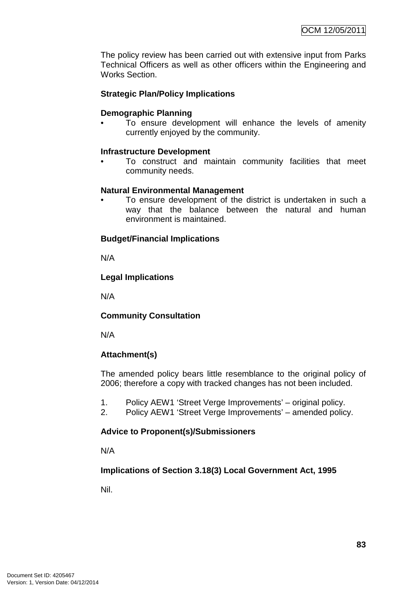The policy review has been carried out with extensive input from Parks Technical Officers as well as other officers within the Engineering and Works Section.

# **Strategic Plan/Policy Implications**

#### **Demographic Planning**

To ensure development will enhance the levels of amenity currently enjoyed by the community.

#### **Infrastructure Development**

• To construct and maintain community facilities that meet community needs.

#### **Natural Environmental Management**

To ensure development of the district is undertaken in such a way that the balance between the natural and human environment is maintained.

## **Budget/Financial Implications**

N/A

#### **Legal Implications**

N/A

## **Community Consultation**

N/A

## **Attachment(s)**

The amended policy bears little resemblance to the original policy of 2006; therefore a copy with tracked changes has not been included.

- 1. Policy AEW1 'Street Verge Improvements' original policy.
- 2. Policy AEW1 'Street Verge Improvements' amended policy.

## **Advice to Proponent(s)/Submissioners**

N/A

## **Implications of Section 3.18(3) Local Government Act, 1995**

Nil.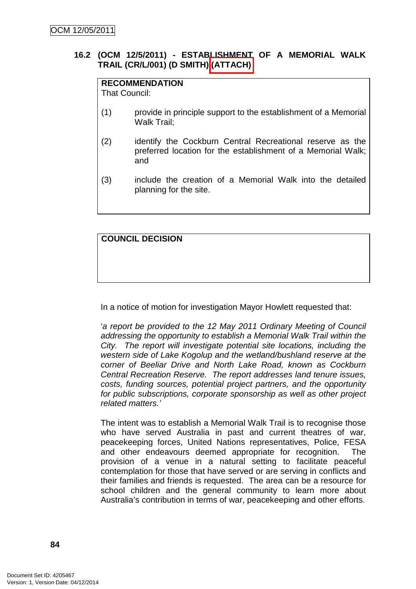# **16.2 (OCM 12/5/2011) - ESTABLISHMENT OF A MEMORIAL WALK TRAIL (CR/L/001) (D SMITH) (ATTACH)**

# **RECOMMENDATION**

That Council:

- (1) provide in principle support to the establishment of a Memorial Walk Trail;
- (2) identify the Cockburn Central Recreational reserve as the preferred location for the establishment of a Memorial Walk; and
- (3) include the creation of a Memorial Walk into the detailed planning for the site.

# **COUNCIL DECISION**

In a notice of motion for investigation Mayor Howlett requested that:

'a report be provided to the 12 May 2011 Ordinary Meeting of Council addressing the opportunity to establish a Memorial Walk Trail within the City. The report will investigate potential site locations, including the western side of Lake Kogolup and the wetland/bushland reserve at the corner of Beeliar Drive and North Lake Road, known as Cockburn Central Recreation Reserve. The report addresses land tenure issues, costs, funding sources, potential project partners, and the opportunity for public subscriptions, corporate sponsorship as well as other project related matters.'

The intent was to establish a Memorial Walk Trail is to recognise those who have served Australia in past and current theatres of war, peacekeeping forces, United Nations representatives, Police, FESA and other endeavours deemed appropriate for recognition. The provision of a venue in a natural setting to facilitate peaceful contemplation for those that have served or are serving in conflicts and their families and friends is requested. The area can be a resource for school children and the general community to learn more about Australia's contribution in terms of war, peacekeeping and other efforts.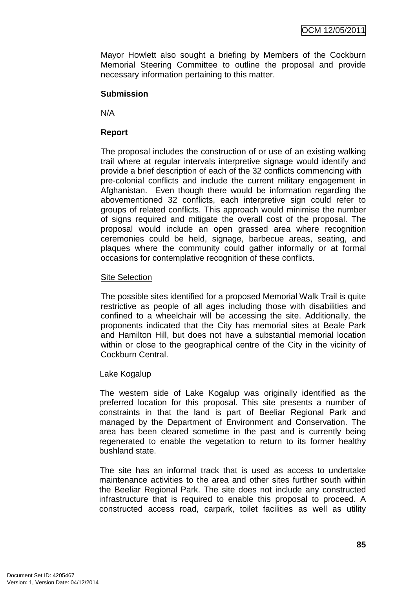Mayor Howlett also sought a briefing by Members of the Cockburn Memorial Steering Committee to outline the proposal and provide necessary information pertaining to this matter.

## **Submission**

N/A

## **Report**

The proposal includes the construction of or use of an existing walking trail where at regular intervals interpretive signage would identify and provide a brief description of each of the 32 conflicts commencing with pre-colonial conflicts and include the current military engagement in Afghanistan. Even though there would be information regarding the abovementioned 32 conflicts, each interpretive sign could refer to groups of related conflicts. This approach would minimise the number of signs required and mitigate the overall cost of the proposal. The proposal would include an open grassed area where recognition ceremonies could be held, signage, barbecue areas, seating, and plaques where the community could gather informally or at formal occasions for contemplative recognition of these conflicts.

#### Site Selection

The possible sites identified for a proposed Memorial Walk Trail is quite restrictive as people of all ages including those with disabilities and confined to a wheelchair will be accessing the site. Additionally, the proponents indicated that the City has memorial sites at Beale Park and Hamilton Hill, but does not have a substantial memorial location within or close to the geographical centre of the City in the vicinity of Cockburn Central.

## Lake Kogalup

The western side of Lake Kogalup was originally identified as the preferred location for this proposal. This site presents a number of constraints in that the land is part of Beeliar Regional Park and managed by the Department of Environment and Conservation. The area has been cleared sometime in the past and is currently being regenerated to enable the vegetation to return to its former healthy bushland state.

The site has an informal track that is used as access to undertake maintenance activities to the area and other sites further south within the Beeliar Regional Park. The site does not include any constructed infrastructure that is required to enable this proposal to proceed. A constructed access road, carpark, toilet facilities as well as utility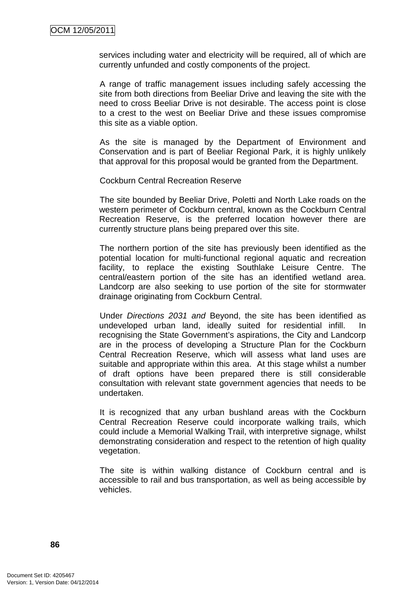services including water and electricity will be required, all of which are currently unfunded and costly components of the project.

A range of traffic management issues including safely accessing the site from both directions from Beeliar Drive and leaving the site with the need to cross Beeliar Drive is not desirable. The access point is close to a crest to the west on Beeliar Drive and these issues compromise this site as a viable option.

As the site is managed by the Department of Environment and Conservation and is part of Beeliar Regional Park, it is highly unlikely that approval for this proposal would be granted from the Department.

Cockburn Central Recreation Reserve

The site bounded by Beeliar Drive, Poletti and North Lake roads on the western perimeter of Cockburn central, known as the Cockburn Central Recreation Reserve, is the preferred location however there are currently structure plans being prepared over this site.

The northern portion of the site has previously been identified as the potential location for multi-functional regional aquatic and recreation facility, to replace the existing Southlake Leisure Centre. The central/eastern portion of the site has an identified wetland area. Landcorp are also seeking to use portion of the site for stormwater drainage originating from Cockburn Central.

Under Directions 2031 and Beyond, the site has been identified as undeveloped urban land, ideally suited for residential infill. In recognising the State Government's aspirations, the City and Landcorp are in the process of developing a Structure Plan for the Cockburn Central Recreation Reserve, which will assess what land uses are suitable and appropriate within this area. At this stage whilst a number of draft options have been prepared there is still considerable consultation with relevant state government agencies that needs to be undertaken.

It is recognized that any urban bushland areas with the Cockburn Central Recreation Reserve could incorporate walking trails, which could include a Memorial Walking Trail, with interpretive signage, whilst demonstrating consideration and respect to the retention of high quality vegetation.

The site is within walking distance of Cockburn central and is accessible to rail and bus transportation, as well as being accessible by vehicles.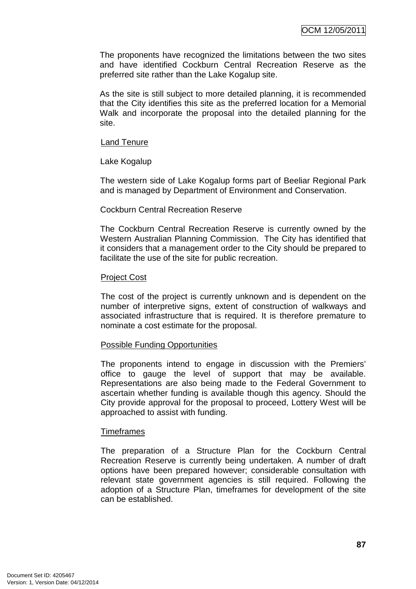The proponents have recognized the limitations between the two sites and have identified Cockburn Central Recreation Reserve as the preferred site rather than the Lake Kogalup site.

As the site is still subject to more detailed planning, it is recommended that the City identifies this site as the preferred location for a Memorial Walk and incorporate the proposal into the detailed planning for the site.

#### Land Tenure

Lake Kogalup

The western side of Lake Kogalup forms part of Beeliar Regional Park and is managed by Department of Environment and Conservation.

#### Cockburn Central Recreation Reserve

The Cockburn Central Recreation Reserve is currently owned by the Western Australian Planning Commission. The City has identified that it considers that a management order to the City should be prepared to facilitate the use of the site for public recreation.

#### Project Cost

The cost of the project is currently unknown and is dependent on the number of interpretive signs, extent of construction of walkways and associated infrastructure that is required. It is therefore premature to nominate a cost estimate for the proposal.

#### Possible Funding Opportunities

The proponents intend to engage in discussion with the Premiers' office to gauge the level of support that may be available. Representations are also being made to the Federal Government to ascertain whether funding is available though this agency. Should the City provide approval for the proposal to proceed, Lottery West will be approached to assist with funding.

#### **Timeframes**

The preparation of a Structure Plan for the Cockburn Central Recreation Reserve is currently being undertaken. A number of draft options have been prepared however; considerable consultation with relevant state government agencies is still required. Following the adoption of a Structure Plan, timeframes for development of the site can be established.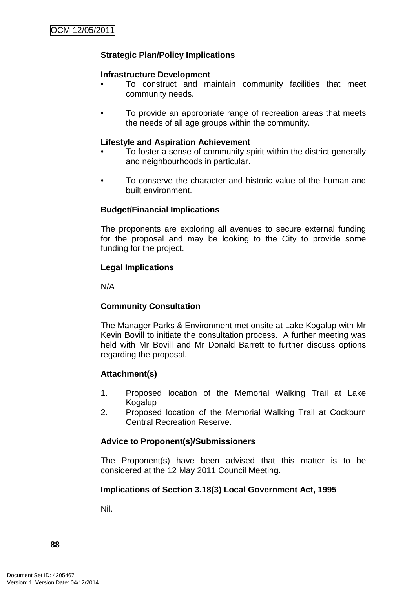# **Strategic Plan/Policy Implications**

#### **Infrastructure Development**

- To construct and maintain community facilities that meet community needs.
- To provide an appropriate range of recreation areas that meets the needs of all age groups within the community.

#### **Lifestyle and Aspiration Achievement**

- To foster a sense of community spirit within the district generally and neighbourhoods in particular.
- To conserve the character and historic value of the human and built environment.

## **Budget/Financial Implications**

The proponents are exploring all avenues to secure external funding for the proposal and may be looking to the City to provide some funding for the project.

#### **Legal Implications**

N/A

## **Community Consultation**

The Manager Parks & Environment met onsite at Lake Kogalup with Mr Kevin Bovill to initiate the consultation process. A further meeting was held with Mr Bovill and Mr Donald Barrett to further discuss options regarding the proposal.

## **Attachment(s)**

- 1. Proposed location of the Memorial Walking Trail at Lake Kogalup
- 2. Proposed location of the Memorial Walking Trail at Cockburn Central Recreation Reserve.

## **Advice to Proponent(s)/Submissioners**

The Proponent(s) have been advised that this matter is to be considered at the 12 May 2011 Council Meeting.

## **Implications of Section 3.18(3) Local Government Act, 1995**

Nil.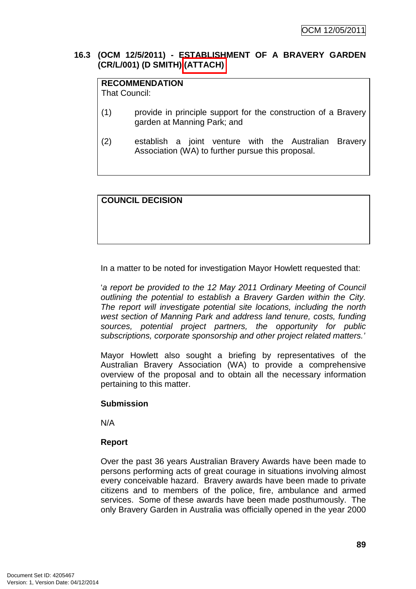## **16.3 (OCM 12/5/2011) - ESTABLISHMENT OF A BRAVERY GARDEN (CR/L/001) (D SMITH) (ATTACH)**

# **RECOMMENDATION**

That Council:

- (1) provide in principle support for the construction of a Bravery garden at Manning Park; and
- (2) establish a joint venture with the Australian Bravery Association (WA) to further pursue this proposal.

# **COUNCIL DECISION**

In a matter to be noted for investigation Mayor Howlett requested that:

'a report be provided to the 12 May 2011 Ordinary Meeting of Council outlining the potential to establish a Bravery Garden within the City. The report will investigate potential site locations, including the north west section of Manning Park and address land tenure, costs, funding sources, potential project partners, the opportunity for public subscriptions, corporate sponsorship and other project related matters.'

Mayor Howlett also sought a briefing by representatives of the Australian Bravery Association (WA) to provide a comprehensive overview of the proposal and to obtain all the necessary information pertaining to this matter.

## **Submission**

N/A

## **Report**

Over the past 36 years Australian Bravery Awards have been made to persons performing acts of great courage in situations involving almost every conceivable hazard. Bravery awards have been made to private citizens and to members of the police, fire, ambulance and armed services. Some of these awards have been made posthumously. The only Bravery Garden in Australia was officially opened in the year 2000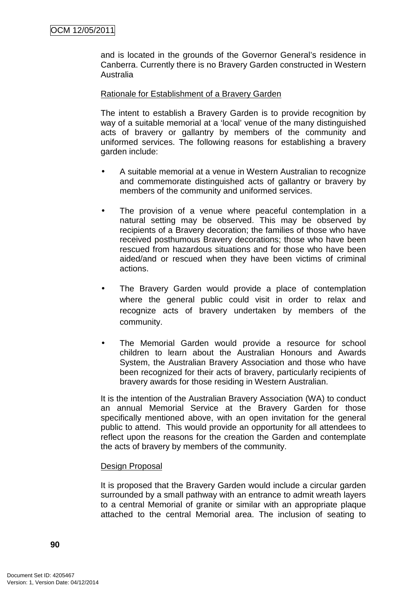and is located in the grounds of the Governor General's residence in Canberra. Currently there is no Bravery Garden constructed in Western Australia

#### Rationale for Establishment of a Bravery Garden

The intent to establish a Bravery Garden is to provide recognition by way of a suitable memorial at a 'local' venue of the many distinguished acts of bravery or gallantry by members of the community and uniformed services. The following reasons for establishing a bravery garden include:

- A suitable memorial at a venue in Western Australian to recognize and commemorate distinguished acts of gallantry or bravery by members of the community and uniformed services.
- The provision of a venue where peaceful contemplation in a natural setting may be observed. This may be observed by recipients of a Bravery decoration; the families of those who have received posthumous Bravery decorations; those who have been rescued from hazardous situations and for those who have been aided/and or rescued when they have been victims of criminal actions.
- The Bravery Garden would provide a place of contemplation where the general public could visit in order to relax and recognize acts of bravery undertaken by members of the community.
- The Memorial Garden would provide a resource for school children to learn about the Australian Honours and Awards System, the Australian Bravery Association and those who have been recognized for their acts of bravery, particularly recipients of bravery awards for those residing in Western Australian.

It is the intention of the Australian Bravery Association (WA) to conduct an annual Memorial Service at the Bravery Garden for those specifically mentioned above, with an open invitation for the general public to attend. This would provide an opportunity for all attendees to reflect upon the reasons for the creation the Garden and contemplate the acts of bravery by members of the community.

#### Design Proposal

It is proposed that the Bravery Garden would include a circular garden surrounded by a small pathway with an entrance to admit wreath layers to a central Memorial of granite or similar with an appropriate plaque attached to the central Memorial area. The inclusion of seating to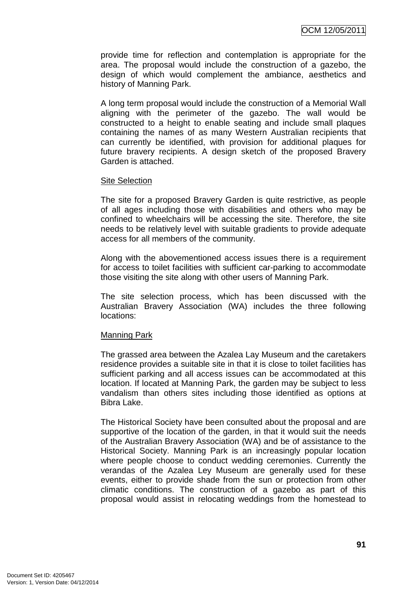provide time for reflection and contemplation is appropriate for the area. The proposal would include the construction of a gazebo, the design of which would complement the ambiance, aesthetics and history of Manning Park.

A long term proposal would include the construction of a Memorial Wall aligning with the perimeter of the gazebo. The wall would be constructed to a height to enable seating and include small plaques containing the names of as many Western Australian recipients that can currently be identified, with provision for additional plaques for future bravery recipients. A design sketch of the proposed Bravery Garden is attached.

#### Site Selection

The site for a proposed Bravery Garden is quite restrictive, as people of all ages including those with disabilities and others who may be confined to wheelchairs will be accessing the site. Therefore, the site needs to be relatively level with suitable gradients to provide adequate access for all members of the community.

Along with the abovementioned access issues there is a requirement for access to toilet facilities with sufficient car-parking to accommodate those visiting the site along with other users of Manning Park.

The site selection process, which has been discussed with the Australian Bravery Association (WA) includes the three following locations:

## Manning Park

The grassed area between the Azalea Lay Museum and the caretakers residence provides a suitable site in that it is close to toilet facilities has sufficient parking and all access issues can be accommodated at this location. If located at Manning Park, the garden may be subject to less vandalism than others sites including those identified as options at Bibra Lake.

The Historical Society have been consulted about the proposal and are supportive of the location of the garden, in that it would suit the needs of the Australian Bravery Association (WA) and be of assistance to the Historical Society. Manning Park is an increasingly popular location where people choose to conduct wedding ceremonies. Currently the verandas of the Azalea Ley Museum are generally used for these events, either to provide shade from the sun or protection from other climatic conditions. The construction of a gazebo as part of this proposal would assist in relocating weddings from the homestead to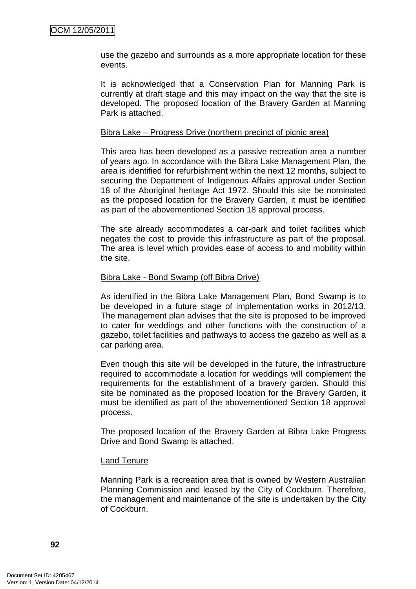use the gazebo and surrounds as a more appropriate location for these events.

It is acknowledged that a Conservation Plan for Manning Park is currently at draft stage and this may impact on the way that the site is developed. The proposed location of the Bravery Garden at Manning Park is attached.

#### Bibra Lake – Progress Drive (northern precinct of picnic area)

This area has been developed as a passive recreation area a number of years ago. In accordance with the Bibra Lake Management Plan, the area is identified for refurbishment within the next 12 months, subject to securing the Department of Indigenous Affairs approval under Section 18 of the Aboriginal heritage Act 1972. Should this site be nominated as the proposed location for the Bravery Garden, it must be identified as part of the abovementioned Section 18 approval process.

The site already accommodates a car-park and toilet facilities which negates the cost to provide this infrastructure as part of the proposal. The area is level which provides ease of access to and mobility within the site.

#### Bibra Lake - Bond Swamp (off Bibra Drive)

As identified in the Bibra Lake Management Plan, Bond Swamp is to be developed in a future stage of implementation works in 2012/13. The management plan advises that the site is proposed to be improved to cater for weddings and other functions with the construction of a gazebo, toilet facilities and pathways to access the gazebo as well as a car parking area.

Even though this site will be developed in the future, the infrastructure required to accommodate a location for weddings will complement the requirements for the establishment of a bravery garden. Should this site be nominated as the proposed location for the Bravery Garden, it must be identified as part of the abovementioned Section 18 approval process.

The proposed location of the Bravery Garden at Bibra Lake Progress Drive and Bond Swamp is attached.

#### Land Tenure

Manning Park is a recreation area that is owned by Western Australian Planning Commission and leased by the City of Cockburn. Therefore, the management and maintenance of the site is undertaken by the City of Cockburn.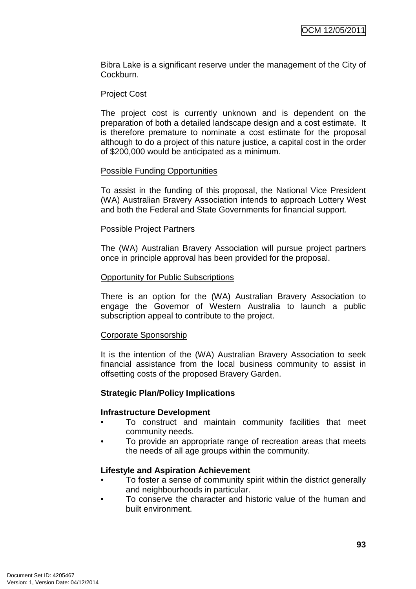Bibra Lake is a significant reserve under the management of the City of Cockburn.

#### Project Cost

The project cost is currently unknown and is dependent on the preparation of both a detailed landscape design and a cost estimate. It is therefore premature to nominate a cost estimate for the proposal although to do a project of this nature justice, a capital cost in the order of \$200,000 would be anticipated as a minimum.

#### Possible Funding Opportunities

To assist in the funding of this proposal, the National Vice President (WA) Australian Bravery Association intends to approach Lottery West and both the Federal and State Governments for financial support.

#### Possible Project Partners

The (WA) Australian Bravery Association will pursue project partners once in principle approval has been provided for the proposal.

#### Opportunity for Public Subscriptions

There is an option for the (WA) Australian Bravery Association to engage the Governor of Western Australia to launch a public subscription appeal to contribute to the project.

## Corporate Sponsorship

It is the intention of the (WA) Australian Bravery Association to seek financial assistance from the local business community to assist in offsetting costs of the proposed Bravery Garden.

#### **Strategic Plan/Policy Implications**

#### **Infrastructure Development**

- To construct and maintain community facilities that meet community needs.
- To provide an appropriate range of recreation areas that meets the needs of all age groups within the community.

## **Lifestyle and Aspiration Achievement**

- To foster a sense of community spirit within the district generally and neighbourhoods in particular.
- To conserve the character and historic value of the human and built environment.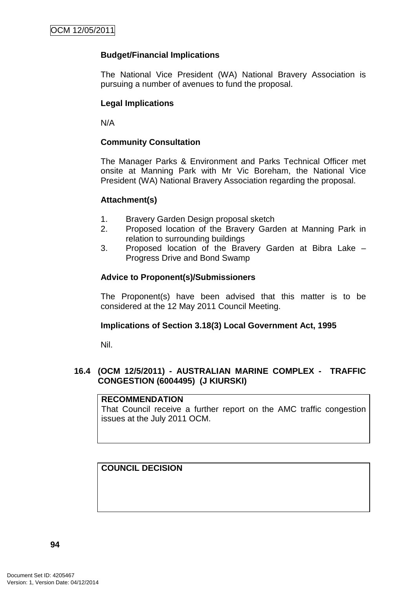# **Budget/Financial Implications**

The National Vice President (WA) National Bravery Association is pursuing a number of avenues to fund the proposal.

# **Legal Implications**

N/A

## **Community Consultation**

The Manager Parks & Environment and Parks Technical Officer met onsite at Manning Park with Mr Vic Boreham, the National Vice President (WA) National Bravery Association regarding the proposal.

#### **Attachment(s)**

- 1. Bravery Garden Design proposal sketch
- 2. Proposed location of the Bravery Garden at Manning Park in relation to surrounding buildings
- 3. Proposed location of the Bravery Garden at Bibra Lake Progress Drive and Bond Swamp

## **Advice to Proponent(s)/Submissioners**

The Proponent(s) have been advised that this matter is to be considered at the 12 May 2011 Council Meeting.

## **Implications of Section 3.18(3) Local Government Act, 1995**

Nil.

# **16.4 (OCM 12/5/2011) - AUSTRALIAN MARINE COMPLEX - TRAFFIC CONGESTION (6004495) (J KIURSKI)**

#### **RECOMMENDATION**

That Council receive a further report on the AMC traffic congestion issues at the July 2011 OCM.

# **COUNCIL DECISION**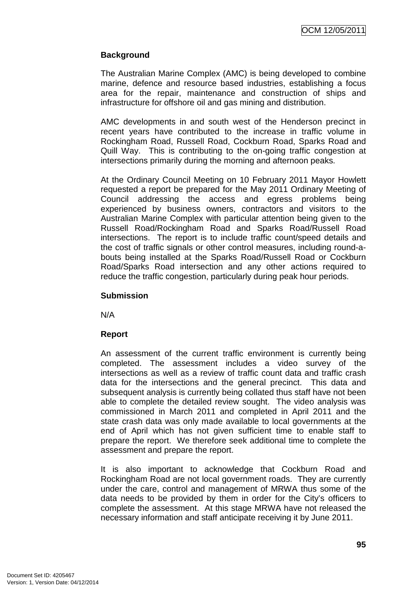# **Background**

The Australian Marine Complex (AMC) is being developed to combine marine, defence and resource based industries, establishing a focus area for the repair, maintenance and construction of ships and infrastructure for offshore oil and gas mining and distribution.

AMC developments in and south west of the Henderson precinct in recent years have contributed to the increase in traffic volume in Rockingham Road, Russell Road, Cockburn Road, Sparks Road and Quill Way. This is contributing to the on-going traffic congestion at intersections primarily during the morning and afternoon peaks.

At the Ordinary Council Meeting on 10 February 2011 Mayor Howlett requested a report be prepared for the May 2011 Ordinary Meeting of Council addressing the access and egress problems being experienced by business owners, contractors and visitors to the Australian Marine Complex with particular attention being given to the Russell Road/Rockingham Road and Sparks Road/Russell Road intersections. The report is to include traffic count/speed details and the cost of traffic signals or other control measures, including round-abouts being installed at the Sparks Road/Russell Road or Cockburn Road/Sparks Road intersection and any other actions required to reduce the traffic congestion, particularly during peak hour periods.

#### **Submission**

N/A

## **Report**

An assessment of the current traffic environment is currently being completed. The assessment includes a video survey of the intersections as well as a review of traffic count data and traffic crash data for the intersections and the general precinct. This data and subsequent analysis is currently being collated thus staff have not been able to complete the detailed review sought. The video analysis was commissioned in March 2011 and completed in April 2011 and the state crash data was only made available to local governments at the end of April which has not given sufficient time to enable staff to prepare the report. We therefore seek additional time to complete the assessment and prepare the report.

It is also important to acknowledge that Cockburn Road and Rockingham Road are not local government roads. They are currently under the care, control and management of MRWA thus some of the data needs to be provided by them in order for the City's officers to complete the assessment. At this stage MRWA have not released the necessary information and staff anticipate receiving it by June 2011.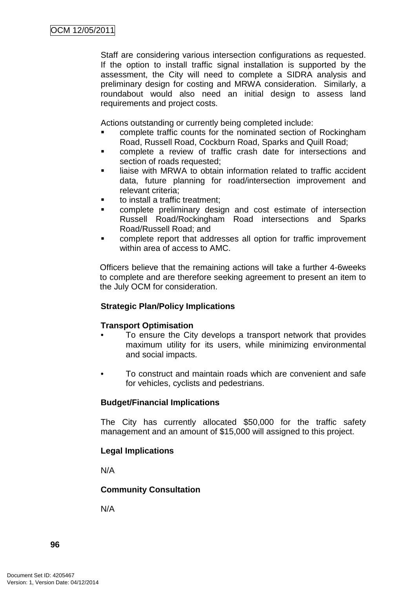Staff are considering various intersection configurations as requested. If the option to install traffic signal installation is supported by the assessment, the City will need to complete a SIDRA analysis and preliminary design for costing and MRWA consideration. Similarly, a roundabout would also need an initial design to assess land requirements and project costs.

Actions outstanding or currently being completed include:

- complete traffic counts for the nominated section of Rockingham Road, Russell Road, Cockburn Road, Sparks and Quill Road;
- complete a review of traffic crash date for intersections and section of roads requested;
- liaise with MRWA to obtain information related to traffic accident data, future planning for road/intersection improvement and relevant criteria;
- to install a traffic treatment;
- complete preliminary design and cost estimate of intersection Russell Road/Rockingham Road intersections and Sparks Road/Russell Road; and
- complete report that addresses all option for traffic improvement within area of access to AMC.

Officers believe that the remaining actions will take a further 4-6weeks to complete and are therefore seeking agreement to present an item to the July OCM for consideration.

## **Strategic Plan/Policy Implications**

#### **Transport Optimisation**

- To ensure the City develops a transport network that provides maximum utility for its users, while minimizing environmental and social impacts.
- To construct and maintain roads which are convenient and safe for vehicles, cyclists and pedestrians.

## **Budget/Financial Implications**

The City has currently allocated \$50,000 for the traffic safety management and an amount of \$15,000 will assigned to this project.

## **Legal Implications**

N/A

## **Community Consultation**

N/A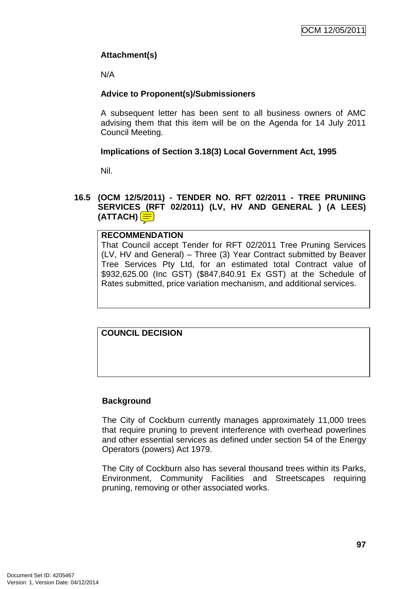# **Attachment(s)**

N/A

# **Advice to Proponent(s)/Submissioners**

A subsequent letter has been sent to all business owners of AMC advising them that this item will be on the Agenda for 14 July 2011 Council Meeting.

# **Implications of Section 3.18(3) Local Government Act, 1995**

Nil.

**16.5 (OCM 12/5/2011) - TENDER NO. RFT 02/2011 - TREE PRUNIING SERVICES (RFT 02/2011) (LV, HV AND GENERAL ) (A LEES) (ATTACH)** 

# **RECOMMENDATION**

That Council accept Tender for RFT 02/2011 Tree Pruning Services (LV, HV and General) – Three (3) Year Contract submitted by Beaver Tree Services Pty Ltd, for an estimated total Contract value of \$932,625.00 (Inc GST) (\$847,840.91 Ex GST) at the Schedule of Rates submitted, price variation mechanism, and additional services.

# **COUNCIL DECISION**

## **Background**

The City of Cockburn currently manages approximately 11,000 trees that require pruning to prevent interference with overhead powerlines and other essential services as defined under section 54 of the Energy Operators (powers) Act 1979.

The City of Cockburn also has several thousand trees within its Parks, Environment, Community Facilities and Streetscapes requiring pruning, removing or other associated works.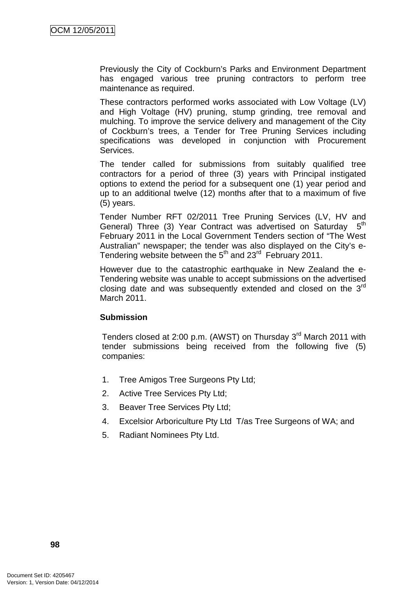Previously the City of Cockburn's Parks and Environment Department has engaged various tree pruning contractors to perform tree maintenance as required.

These contractors performed works associated with Low Voltage (LV) and High Voltage (HV) pruning, stump grinding, tree removal and mulching. To improve the service delivery and management of the City of Cockburn's trees, a Tender for Tree Pruning Services including specifications was developed in conjunction with Procurement Services.

The tender called for submissions from suitably qualified tree contractors for a period of three (3) years with Principal instigated options to extend the period for a subsequent one (1) year period and up to an additional twelve (12) months after that to a maximum of five (5) years.

Tender Number RFT 02/2011 Tree Pruning Services (LV, HV and General) Three (3) Year Contract was advertised on Saturday  $5<sup>th</sup>$ February 2011 in the Local Government Tenders section of "The West Australian" newspaper; the tender was also displayed on the City's e-Tendering website between the 5<sup>th</sup> and 23<sup>rd</sup> February 2011.

However due to the catastrophic earthquake in New Zealand the e-Tendering website was unable to accept submissions on the advertised closing date and was subsequently extended and closed on the 3rd March 2011.

## **Submission**

Tenders closed at 2:00 p.m. (AWST) on Thursday 3<sup>rd</sup> March 2011 with tender submissions being received from the following five (5) companies:

- 1. Tree Amigos Tree Surgeons Pty Ltd;
- 2. Active Tree Services Pty Ltd;
- 3. Beaver Tree Services Pty Ltd;
- 4. Excelsior Arboriculture Pty Ltd T/as Tree Surgeons of WA; and
- 5. Radiant Nominees Pty Ltd.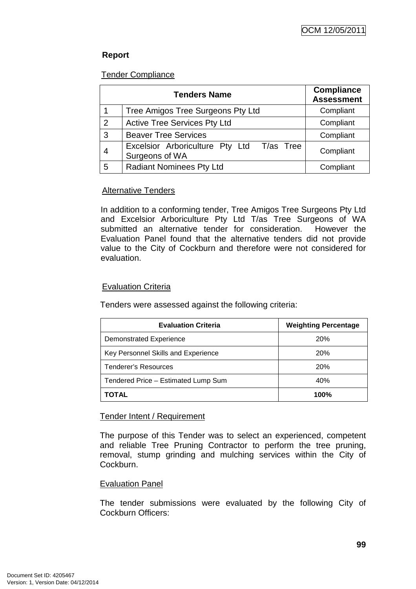# **Report**

## Tender Compliance

|   | <b>Tenders Name</b>                                         | <b>Compliance</b><br><b>Assessment</b> |
|---|-------------------------------------------------------------|----------------------------------------|
|   | Tree Amigos Tree Surgeons Pty Ltd                           | Compliant                              |
| 2 | <b>Active Tree Services Pty Ltd</b>                         | Compliant                              |
| 3 | <b>Beaver Tree Services</b>                                 | Compliant                              |
|   | Excelsior Arboriculture Pty Ltd T/as Tree<br>Surgeons of WA | Compliant                              |
| 5 | <b>Radiant Nominees Pty Ltd</b>                             | Compliant                              |

# **Alternative Tenders**

In addition to a conforming tender, Tree Amigos Tree Surgeons Pty Ltd and Excelsior Arboriculture Pty Ltd T/as Tree Surgeons of WA submitted an alternative tender for consideration. However the Evaluation Panel found that the alternative tenders did not provide value to the City of Cockburn and therefore were not considered for evaluation.

# Evaluation Criteria

Tenders were assessed against the following criteria:

| <b>Evaluation Criteria</b>          | <b>Weighting Percentage</b> |
|-------------------------------------|-----------------------------|
| <b>Demonstrated Experience</b>      | <b>20%</b>                  |
| Key Personnel Skills and Experience | 20%                         |
| Tenderer's Resources                | <b>20%</b>                  |
| Tendered Price - Estimated Lump Sum | 40%                         |
| TOTAL                               | 100%                        |

## Tender Intent / Requirement

The purpose of this Tender was to select an experienced, competent and reliable Tree Pruning Contractor to perform the tree pruning, removal, stump grinding and mulching services within the City of Cockburn.

## Evaluation Panel

The tender submissions were evaluated by the following City of Cockburn Officers: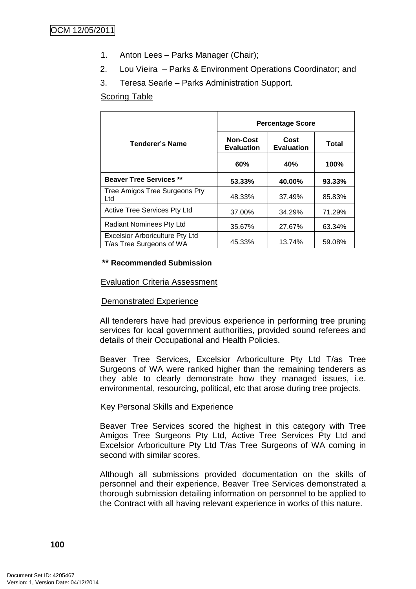- 1. Anton Lees Parks Manager (Chair);
- 2. Lou Vieira Parks & Environment Operations Coordinator; and
- 3. Teresa Searle Parks Administration Support.

## Scoring Table

|                                                                    | <b>Percentage Score</b>              |                           |        |
|--------------------------------------------------------------------|--------------------------------------|---------------------------|--------|
| <b>Tenderer's Name</b>                                             | <b>Non-Cost</b><br><b>Evaluation</b> | Cost<br><b>Evaluation</b> | Total  |
|                                                                    | 60%                                  | 40%                       | 100%   |
| <b>Beaver Tree Services **</b>                                     | 53.33%                               | 40.00%                    | 93.33% |
| Tree Amigos Tree Surgeons Pty<br>Ltd                               | 48.33%                               | 37.49%                    | 85.83% |
| <b>Active Tree Services Pty Ltd</b>                                | 37.00%                               | 34.29%                    | 71.29% |
| Radiant Nominees Pty Ltd                                           | 35.67%                               | 27.67%                    | 63.34% |
| <b>Excelsior Arboriculture Pty Ltd</b><br>T/as Tree Surgeons of WA | 45.33%                               | 13.74%                    | 59.08% |

#### **\*\* Recommended Submission**

#### Evaluation Criteria Assessment

## Demonstrated Experience

All tenderers have had previous experience in performing tree pruning services for local government authorities, provided sound referees and details of their Occupational and Health Policies.

Beaver Tree Services, Excelsior Arboriculture Pty Ltd T/as Tree Surgeons of WA were ranked higher than the remaining tenderers as they able to clearly demonstrate how they managed issues, i.e. environmental, resourcing, political, etc that arose during tree projects.

#### Key Personal Skills and Experience

Beaver Tree Services scored the highest in this category with Tree Amigos Tree Surgeons Pty Ltd, Active Tree Services Pty Ltd and Excelsior Arboriculture Pty Ltd T/as Tree Surgeons of WA coming in second with similar scores.

Although all submissions provided documentation on the skills of personnel and their experience, Beaver Tree Services demonstrated a thorough submission detailing information on personnel to be applied to the Contract with all having relevant experience in works of this nature.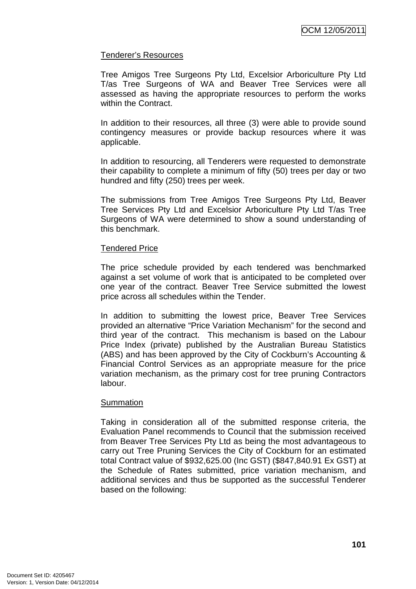## Tenderer's Resources

Tree Amigos Tree Surgeons Pty Ltd, Excelsior Arboriculture Pty Ltd T/as Tree Surgeons of WA and Beaver Tree Services were all assessed as having the appropriate resources to perform the works within the Contract.

In addition to their resources, all three (3) were able to provide sound contingency measures or provide backup resources where it was applicable.

In addition to resourcing, all Tenderers were requested to demonstrate their capability to complete a minimum of fifty (50) trees per day or two hundred and fifty (250) trees per week.

The submissions from Tree Amigos Tree Surgeons Pty Ltd, Beaver Tree Services Pty Ltd and Excelsior Arboriculture Pty Ltd T/as Tree Surgeons of WA were determined to show a sound understanding of this benchmark.

## Tendered Price

The price schedule provided by each tendered was benchmarked against a set volume of work that is anticipated to be completed over one year of the contract. Beaver Tree Service submitted the lowest price across all schedules within the Tender.

In addition to submitting the lowest price, Beaver Tree Services provided an alternative "Price Variation Mechanism" for the second and third year of the contract. This mechanism is based on the Labour Price Index (private) published by the Australian Bureau Statistics (ABS) and has been approved by the City of Cockburn's Accounting & Financial Control Services as an appropriate measure for the price variation mechanism, as the primary cost for tree pruning Contractors labour.

## **Summation**

Taking in consideration all of the submitted response criteria, the Evaluation Panel recommends to Council that the submission received from Beaver Tree Services Pty Ltd as being the most advantageous to carry out Tree Pruning Services the City of Cockburn for an estimated total Contract value of \$932,625.00 (Inc GST) (\$847,840.91 Ex GST) at the Schedule of Rates submitted, price variation mechanism, and additional services and thus be supported as the successful Tenderer based on the following: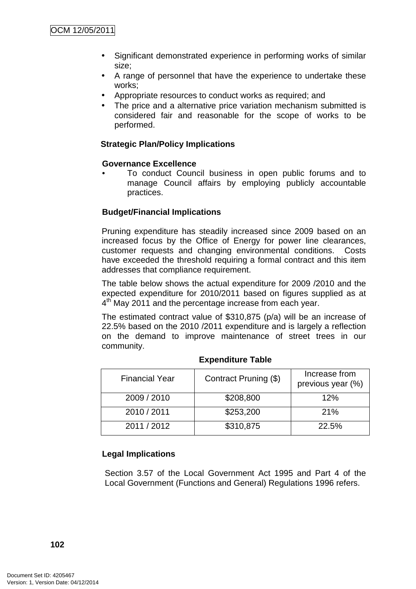- Significant demonstrated experience in performing works of similar size;
- A range of personnel that have the experience to undertake these works;
- Appropriate resources to conduct works as required; and
- The price and a alternative price variation mechanism submitted is considered fair and reasonable for the scope of works to be performed.

## **Strategic Plan/Policy Implications**

#### **Governance Excellence**

• To conduct Council business in open public forums and to manage Council affairs by employing publicly accountable practices.

## **Budget/Financial Implications**

Pruning expenditure has steadily increased since 2009 based on an increased focus by the Office of Energy for power line clearances, customer requests and changing environmental conditions. Costs have exceeded the threshold requiring a formal contract and this item addresses that compliance requirement.

The table below shows the actual expenditure for 2009 /2010 and the expected expenditure for 2010/2011 based on figures supplied as at 4<sup>th</sup> May 2011 and the percentage increase from each year.

The estimated contract value of \$310,875 (p/a) will be an increase of 22.5% based on the 2010 /2011 expenditure and is largely a reflection on the demand to improve maintenance of street trees in our community.

| <b>Financial Year</b> | Contract Pruning (\$) | Increase from<br>previous year (%) |
|-----------------------|-----------------------|------------------------------------|
| 2009 / 2010           | \$208,800             | 12%                                |
| 2010 / 2011           | \$253,200             | 21%                                |
| 2011 / 2012           | \$310,875             | 22.5%                              |

## **Expenditure Table**

## **Legal Implications**

Section 3.57 of the Local Government Act 1995 and Part 4 of the Local Government (Functions and General) Regulations 1996 refers.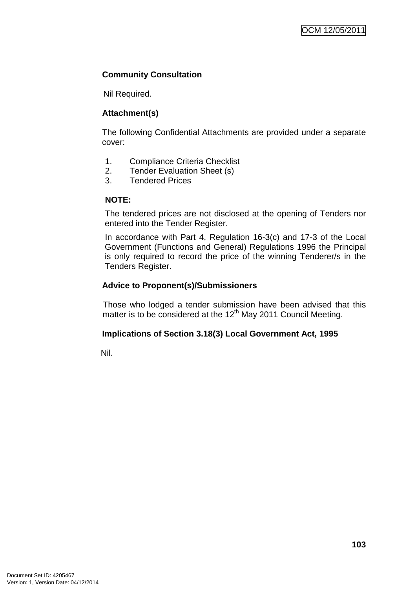# **Community Consultation**

Nil Required.

# **Attachment(s)**

The following Confidential Attachments are provided under a separate cover:

- 1. Compliance Criteria Checklist
- 2. Tender Evaluation Sheet (s)
- 3. Tendered Prices

# **NOTE:**

The tendered prices are not disclosed at the opening of Tenders nor entered into the Tender Register.

In accordance with Part 4, Regulation 16-3(c) and 17-3 of the Local Government (Functions and General) Regulations 1996 the Principal is only required to record the price of the winning Tenderer/s in the Tenders Register.

# **Advice to Proponent(s)/Submissioners**

Those who lodged a tender submission have been advised that this matter is to be considered at the  $12<sup>th</sup>$  May 2011 Council Meeting.

# **Implications of Section 3.18(3) Local Government Act, 1995**

Nil.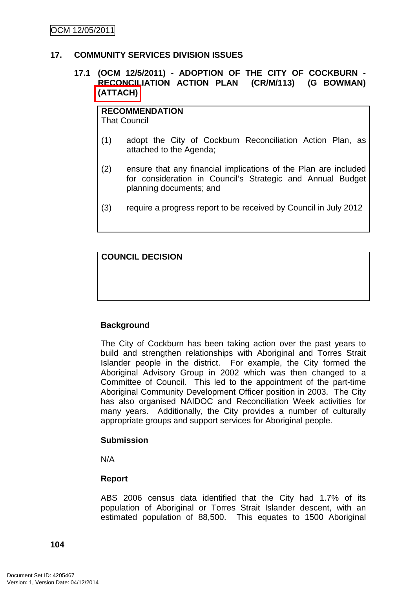#### **17. COMMUNITY SERVICES DIVISION ISSUES**

## **17.1 (OCM 12/5/2011) - ADOPTION OF THE CITY OF COCKBURN - RECONCILIATION ACTION PLAN (CR/M/113) (G BOWMAN) (ATTACH)**

**RECOMMENDATION** That Council

- (1) adopt the City of Cockburn Reconciliation Action Plan, as attached to the Agenda;
- (2) ensure that any financial implications of the Plan are included for consideration in Council's Strategic and Annual Budget planning documents; and
- (3) require a progress report to be received by Council in July 2012

**COUNCIL DECISION**

## **Background**

The City of Cockburn has been taking action over the past years to build and strengthen relationships with Aboriginal and Torres Strait Islander people in the district. For example, the City formed the Aboriginal Advisory Group in 2002 which was then changed to a Committee of Council. This led to the appointment of the part-time Aboriginal Community Development Officer position in 2003. The City has also organised NAIDOC and Reconciliation Week activities for many years. Additionally, the City provides a number of culturally appropriate groups and support services for Aboriginal people.

## **Submission**

N/A

## **Report**

ABS 2006 census data identified that the City had 1.7% of its population of Aboriginal or Torres Strait Islander descent, with an estimated population of 88,500. This equates to 1500 Aboriginal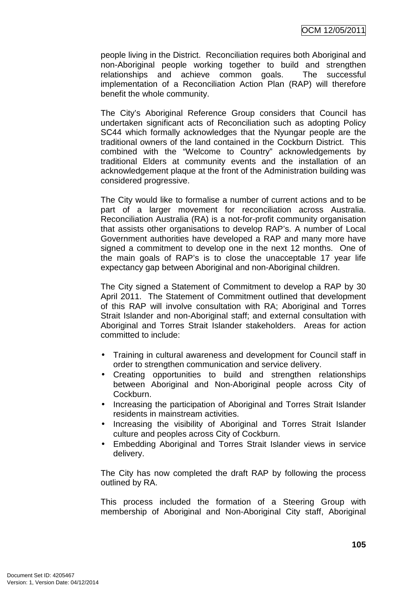people living in the District. Reconciliation requires both Aboriginal and non-Aboriginal people working together to build and strengthen relationships and achieve common goals. The successful implementation of a Reconciliation Action Plan (RAP) will therefore benefit the whole community.

The City's Aboriginal Reference Group considers that Council has undertaken significant acts of Reconciliation such as adopting Policy SC44 which formally acknowledges that the Nyungar people are the traditional owners of the land contained in the Cockburn District. This combined with the "Welcome to Country" acknowledgements by traditional Elders at community events and the installation of an acknowledgement plaque at the front of the Administration building was considered progressive.

The City would like to formalise a number of current actions and to be part of a larger movement for reconciliation across Australia. Reconciliation Australia (RA) is a not-for-profit community organisation that assists other organisations to develop RAP's. A number of Local Government authorities have developed a RAP and many more have signed a commitment to develop one in the next 12 months. One of the main goals of RAP's is to close the unacceptable 17 year life expectancy gap between Aboriginal and non-Aboriginal children.

The City signed a Statement of Commitment to develop a RAP by 30 April 2011. The Statement of Commitment outlined that development of this RAP will involve consultation with RA; Aboriginal and Torres Strait Islander and non-Aboriginal staff; and external consultation with Aboriginal and Torres Strait Islander stakeholders. Areas for action committed to include:

- Training in cultural awareness and development for Council staff in order to strengthen communication and service delivery.
- Creating opportunities to build and strengthen relationships between Aboriginal and Non-Aboriginal people across City of Cockburn.
- Increasing the participation of Aboriginal and Torres Strait Islander residents in mainstream activities.
- Increasing the visibility of Aboriginal and Torres Strait Islander culture and peoples across City of Cockburn.
- Embedding Aboriginal and Torres Strait Islander views in service delivery.

The City has now completed the draft RAP by following the process outlined by RA.

This process included the formation of a Steering Group with membership of Aboriginal and Non-Aboriginal City staff, Aboriginal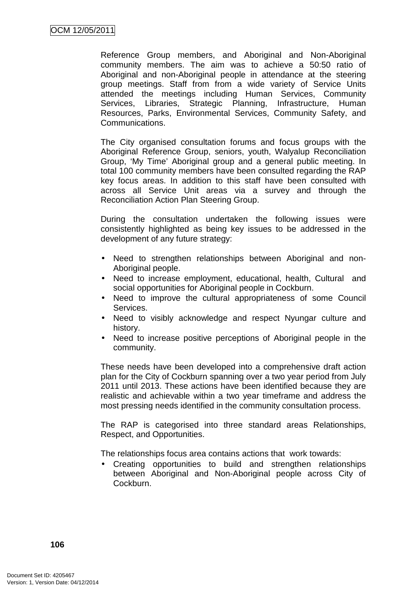Reference Group members, and Aboriginal and Non-Aboriginal community members. The aim was to achieve a 50:50 ratio of Aboriginal and non-Aboriginal people in attendance at the steering group meetings. Staff from from a wide variety of Service Units attended the meetings including Human Services, Community Services, Libraries, Strategic Planning, Infrastructure, Human Resources, Parks, Environmental Services, Community Safety, and Communications.

The City organised consultation forums and focus groups with the Aboriginal Reference Group, seniors, youth, Walyalup Reconciliation Group, 'My Time' Aboriginal group and a general public meeting. In total 100 community members have been consulted regarding the RAP key focus areas. In addition to this staff have been consulted with across all Service Unit areas via a survey and through the Reconciliation Action Plan Steering Group.

During the consultation undertaken the following issues were consistently highlighted as being key issues to be addressed in the development of any future strategy:

- Need to strengthen relationships between Aboriginal and non-Aboriginal people.
- Need to increase employment, educational, health, Cultural and social opportunities for Aboriginal people in Cockburn.
- Need to improve the cultural appropriateness of some Council Services.
- Need to visibly acknowledge and respect Nyungar culture and history.
- Need to increase positive perceptions of Aboriginal people in the community.

These needs have been developed into a comprehensive draft action plan for the City of Cockburn spanning over a two year period from July 2011 until 2013. These actions have been identified because they are realistic and achievable within a two year timeframe and address the most pressing needs identified in the community consultation process.

The RAP is categorised into three standard areas Relationships, Respect, and Opportunities.

The relationships focus area contains actions that work towards:

• Creating opportunities to build and strengthen relationships between Aboriginal and Non-Aboriginal people across City of Cockburn.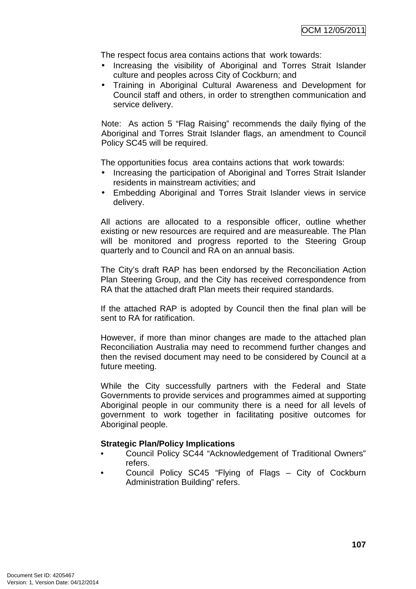The respect focus area contains actions that work towards:

- Increasing the visibility of Aboriginal and Torres Strait Islander culture and peoples across City of Cockburn; and
- Training in Aboriginal Cultural Awareness and Development for Council staff and others, in order to strengthen communication and service delivery.

Note: As action 5 "Flag Raising" recommends the daily flying of the Aboriginal and Torres Strait Islander flags, an amendment to Council Policy SC45 will be required.

The opportunities focus area contains actions that work towards:

- Increasing the participation of Aboriginal and Torres Strait Islander residents in mainstream activities; and
- Embedding Aboriginal and Torres Strait Islander views in service delivery.

All actions are allocated to a responsible officer, outline whether existing or new resources are required and are measureable. The Plan will be monitored and progress reported to the Steering Group quarterly and to Council and RA on an annual basis.

The City's draft RAP has been endorsed by the Reconciliation Action Plan Steering Group, and the City has received correspondence from RA that the attached draft Plan meets their required standards.

If the attached RAP is adopted by Council then the final plan will be sent to RA for ratification.

However, if more than minor changes are made to the attached plan Reconciliation Australia may need to recommend further changes and then the revised document may need to be considered by Council at a future meeting.

While the City successfully partners with the Federal and State Governments to provide services and programmes aimed at supporting Aboriginal people in our community there is a need for all levels of government to work together in facilitating positive outcomes for Aboriginal people.

### **Strategic Plan/Policy Implications**

- Council Policy SC44 "Acknowledgement of Traditional Owners" refers.
- Council Policy SC45 "Flying of Flags City of Cockburn Administration Building" refers.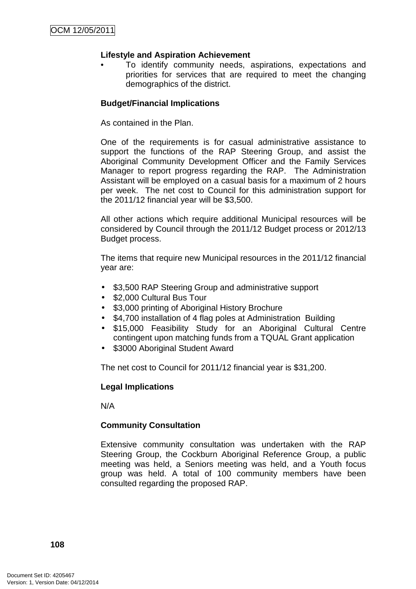### **Lifestyle and Aspiration Achievement**

• To identify community needs, aspirations, expectations and priorities for services that are required to meet the changing demographics of the district.

### **Budget/Financial Implications**

As contained in the Plan.

One of the requirements is for casual administrative assistance to support the functions of the RAP Steering Group, and assist the Aboriginal Community Development Officer and the Family Services Manager to report progress regarding the RAP. The Administration Assistant will be employed on a casual basis for a maximum of 2 hours per week. The net cost to Council for this administration support for the 2011/12 financial year will be \$3,500.

All other actions which require additional Municipal resources will be considered by Council through the 2011/12 Budget process or 2012/13 Budget process.

The items that require new Municipal resources in the 2011/12 financial year are:

- \$3,500 RAP Steering Group and administrative support
- \$2,000 Cultural Bus Tour
- \$3,000 printing of Aboriginal History Brochure
- \$4,700 installation of 4 flag poles at Administration Building
- \$15,000 Feasibility Study for an Aboriginal Cultural Centre contingent upon matching funds from a TQUAL Grant application
- \$3000 Aboriginal Student Award

The net cost to Council for 2011/12 financial year is \$31,200.

### **Legal Implications**

N/A

### **Community Consultation**

Extensive community consultation was undertaken with the RAP Steering Group, the Cockburn Aboriginal Reference Group, a public meeting was held, a Seniors meeting was held, and a Youth focus group was held. A total of 100 community members have been consulted regarding the proposed RAP.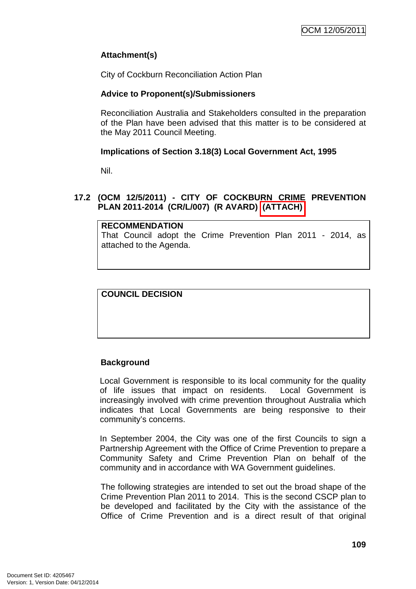## **Attachment(s)**

City of Cockburn Reconciliation Action Plan

### **Advice to Proponent(s)/Submissioners**

Reconciliation Australia and Stakeholders consulted in the preparation of the Plan have been advised that this matter is to be considered at the May 2011 Council Meeting.

### **Implications of Section 3.18(3) Local Government Act, 1995**

Nil.

## **17.2 (OCM 12/5/2011) - CITY OF COCKBURN CRIME PREVENTION PLAN 2011-2014 (CR/L/007) (R AVARD) (ATTACH)**

#### **RECOMMENDATION**

That Council adopt the Crime Prevention Plan 2011 - 2014, as attached to the Agenda.

# **COUNCIL DECISION**

## **Background**

Local Government is responsible to its local community for the quality of life issues that impact on residents. Local Government is increasingly involved with crime prevention throughout Australia which indicates that Local Governments are being responsive to their community's concerns.

In September 2004, the City was one of the first Councils to sign a Partnership Agreement with the Office of Crime Prevention to prepare a Community Safety and Crime Prevention Plan on behalf of the community and in accordance with WA Government guidelines.

The following strategies are intended to set out the broad shape of the Crime Prevention Plan 2011 to 2014. This is the second CSCP plan to be developed and facilitated by the City with the assistance of the Office of Crime Prevention and is a direct result of that original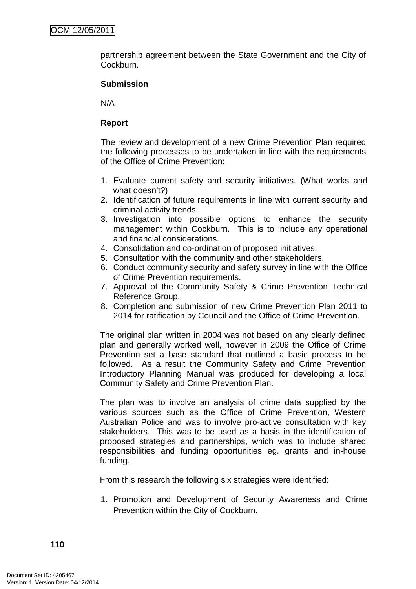partnership agreement between the State Government and the City of Cockburn.

### **Submission**

N/A

### **Report**

The review and development of a new Crime Prevention Plan required the following processes to be undertaken in line with the requirements of the Office of Crime Prevention:

- 1. Evaluate current safety and security initiatives. (What works and what doesn't?)
- 2. Identification of future requirements in line with current security and criminal activity trends.
- 3. Investigation into possible options to enhance the security management within Cockburn. This is to include any operational and financial considerations.
- 4. Consolidation and co-ordination of proposed initiatives.
- 5. Consultation with the community and other stakeholders.
- 6. Conduct community security and safety survey in line with the Office of Crime Prevention requirements.
- 7. Approval of the Community Safety & Crime Prevention Technical Reference Group.
- 8. Completion and submission of new Crime Prevention Plan 2011 to 2014 for ratification by Council and the Office of Crime Prevention.

The original plan written in 2004 was not based on any clearly defined plan and generally worked well, however in 2009 the Office of Crime Prevention set a base standard that outlined a basic process to be followed. As a result the Community Safety and Crime Prevention Introductory Planning Manual was produced for developing a local Community Safety and Crime Prevention Plan.

The plan was to involve an analysis of crime data supplied by the various sources such as the Office of Crime Prevention, Western Australian Police and was to involve pro-active consultation with key stakeholders. This was to be used as a basis in the identification of proposed strategies and partnerships, which was to include shared responsibilities and funding opportunities eg. grants and in-house funding.

From this research the following six strategies were identified:

1. Promotion and Development of Security Awareness and Crime Prevention within the City of Cockburn.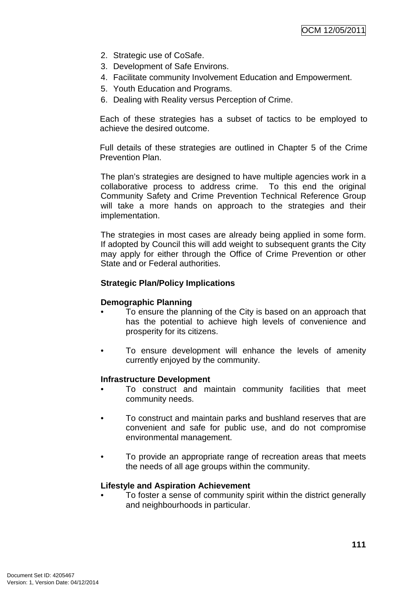- 2. Strategic use of CoSafe.
- 3. Development of Safe Environs.
- 4. Facilitate community Involvement Education and Empowerment.
- 5. Youth Education and Programs.
- 6. Dealing with Reality versus Perception of Crime.

Each of these strategies has a subset of tactics to be employed to achieve the desired outcome.

Full details of these strategies are outlined in Chapter 5 of the Crime Prevention Plan.

The plan's strategies are designed to have multiple agencies work in a collaborative process to address crime. To this end the original Community Safety and Crime Prevention Technical Reference Group will take a more hands on approach to the strategies and their implementation.

The strategies in most cases are already being applied in some form. If adopted by Council this will add weight to subsequent grants the City may apply for either through the Office of Crime Prevention or other State and or Federal authorities.

### **Strategic Plan/Policy Implications**

### **Demographic Planning**

- To ensure the planning of the City is based on an approach that has the potential to achieve high levels of convenience and prosperity for its citizens.
- To ensure development will enhance the levels of amenity currently enjoyed by the community.

### **Infrastructure Development**

- To construct and maintain community facilities that meet community needs.
- To construct and maintain parks and bushland reserves that are convenient and safe for public use, and do not compromise environmental management.
- To provide an appropriate range of recreation areas that meets the needs of all age groups within the community.

### **Lifestyle and Aspiration Achievement**

• To foster a sense of community spirit within the district generally and neighbourhoods in particular.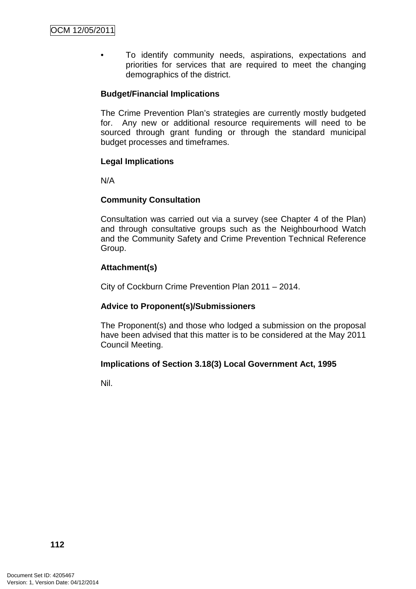To identify community needs, aspirations, expectations and priorities for services that are required to meet the changing demographics of the district.

### **Budget/Financial Implications**

The Crime Prevention Plan's strategies are currently mostly budgeted for. Any new or additional resource requirements will need to be sourced through grant funding or through the standard municipal budget processes and timeframes.

### **Legal Implications**

N/A

### **Community Consultation**

Consultation was carried out via a survey (see Chapter 4 of the Plan) and through consultative groups such as the Neighbourhood Watch and the Community Safety and Crime Prevention Technical Reference Group.

### **Attachment(s)**

City of Cockburn Crime Prevention Plan 2011 – 2014.

### **Advice to Proponent(s)/Submissioners**

The Proponent(s) and those who lodged a submission on the proposal have been advised that this matter is to be considered at the May 2011 Council Meeting.

### **Implications of Section 3.18(3) Local Government Act, 1995**

Nil.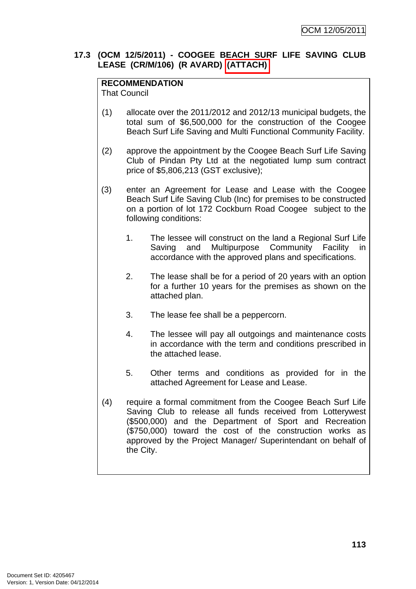### **17.3 (OCM 12/5/2011) - COOGEE BEACH SURF LIFE SAVING CLUB LEASE (CR/M/106) (R AVARD) (ATTACH)**

# **RECOMMENDATION**

That Council

- (1) allocate over the 2011/2012 and 2012/13 municipal budgets, the total sum of \$6,500,000 for the construction of the Coogee Beach Surf Life Saving and Multi Functional Community Facility.
- (2) approve the appointment by the Coogee Beach Surf Life Saving Club of Pindan Pty Ltd at the negotiated lump sum contract price of \$5,806,213 (GST exclusive);
- (3) enter an Agreement for Lease and Lease with the Coogee Beach Surf Life Saving Club (Inc) for premises to be constructed on a portion of lot 172 Cockburn Road Coogee subject to the following conditions:
	- 1. The lessee will construct on the land a Regional Surf Life Saving and Multipurpose Community Facility in accordance with the approved plans and specifications.
	- 2. The lease shall be for a period of 20 years with an option for a further 10 years for the premises as shown on the attached plan.
	- 3. The lease fee shall be a peppercorn.
	- 4. The lessee will pay all outgoings and maintenance costs in accordance with the term and conditions prescribed in the attached lease.
	- 5. Other terms and conditions as provided for in the attached Agreement for Lease and Lease.
- (4) require a formal commitment from the Coogee Beach Surf Life Saving Club to release all funds received from Lotterywest (\$500,000) and the Department of Sport and Recreation (\$750,000) toward the cost of the construction works as approved by the Project Manager/ Superintendant on behalf of the City.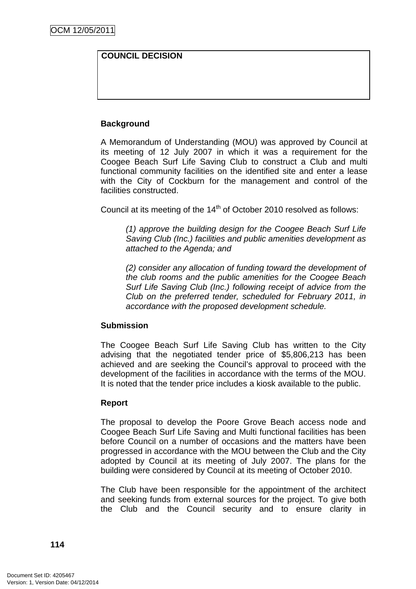### **COUNCIL DECISION**

### **Background**

A Memorandum of Understanding (MOU) was approved by Council at its meeting of 12 July 2007 in which it was a requirement for the Coogee Beach Surf Life Saving Club to construct a Club and multi functional community facilities on the identified site and enter a lease with the City of Cockburn for the management and control of the facilities constructed.

Council at its meeting of the 14<sup>th</sup> of October 2010 resolved as follows:

(1) approve the building design for the Coogee Beach Surf Life Saving Club (Inc.) facilities and public amenities development as attached to the Agenda; and

 (2) consider any allocation of funding toward the development of the club rooms and the public amenities for the Coogee Beach Surf Life Saving Club (Inc.) following receipt of advice from the Club on the preferred tender, scheduled for February 2011, in accordance with the proposed development schedule.

### **Submission**

The Coogee Beach Surf Life Saving Club has written to the City advising that the negotiated tender price of \$5,806,213 has been achieved and are seeking the Council's approval to proceed with the development of the facilities in accordance with the terms of the MOU. It is noted that the tender price includes a kiosk available to the public.

### **Report**

The proposal to develop the Poore Grove Beach access node and Coogee Beach Surf Life Saving and Multi functional facilities has been before Council on a number of occasions and the matters have been progressed in accordance with the MOU between the Club and the City adopted by Council at its meeting of July 2007. The plans for the building were considered by Council at its meeting of October 2010.

The Club have been responsible for the appointment of the architect and seeking funds from external sources for the project. To give both the Club and the Council security and to ensure clarity in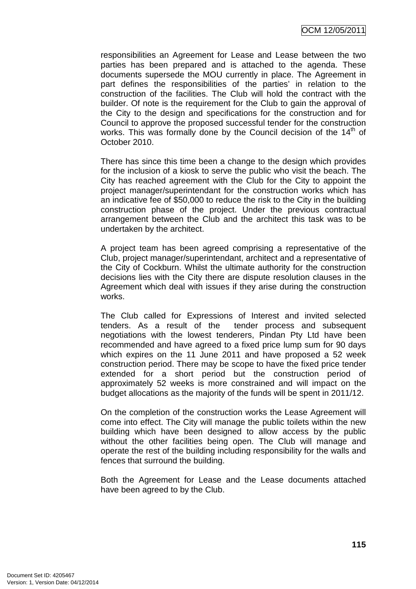OCM 12/05/2011

responsibilities an Agreement for Lease and Lease between the two parties has been prepared and is attached to the agenda. These documents supersede the MOU currently in place. The Agreement in part defines the responsibilities of the parties' in relation to the construction of the facilities. The Club will hold the contract with the builder. Of note is the requirement for the Club to gain the approval of the City to the design and specifications for the construction and for Council to approve the proposed successful tender for the construction works. This was formally done by the Council decision of the  $14<sup>th</sup>$  of October 2010.

There has since this time been a change to the design which provides for the inclusion of a kiosk to serve the public who visit the beach. The City has reached agreement with the Club for the City to appoint the project manager/superintendant for the construction works which has an indicative fee of \$50,000 to reduce the risk to the City in the building construction phase of the project. Under the previous contractual arrangement between the Club and the architect this task was to be undertaken by the architect.

A project team has been agreed comprising a representative of the Club, project manager/superintendant, architect and a representative of the City of Cockburn. Whilst the ultimate authority for the construction decisions lies with the City there are dispute resolution clauses in the Agreement which deal with issues if they arise during the construction works.

The Club called for Expressions of Interest and invited selected tenders. As a result of the tender process and subsequent negotiations with the lowest tenderers, Pindan Pty Ltd have been recommended and have agreed to a fixed price lump sum for 90 days which expires on the 11 June 2011 and have proposed a 52 week construction period. There may be scope to have the fixed price tender extended for a short period but the construction period of approximately 52 weeks is more constrained and will impact on the budget allocations as the majority of the funds will be spent in 2011/12.

On the completion of the construction works the Lease Agreement will come into effect. The City will manage the public toilets within the new building which have been designed to allow access by the public without the other facilities being open. The Club will manage and operate the rest of the building including responsibility for the walls and fences that surround the building.

Both the Agreement for Lease and the Lease documents attached have been agreed to by the Club.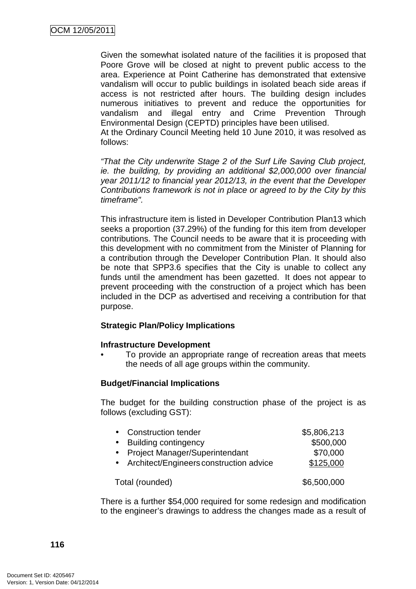Given the somewhat isolated nature of the facilities it is proposed that Poore Grove will be closed at night to prevent public access to the area. Experience at Point Catherine has demonstrated that extensive vandalism will occur to public buildings in isolated beach side areas if access is not restricted after hours. The building design includes numerous initiatives to prevent and reduce the opportunities for vandalism and illegal entry and Crime Prevention Through Environmental Design (CEPTD) principles have been utilised.

At the Ordinary Council Meeting held 10 June 2010, it was resolved as follows:

"That the City underwrite Stage 2 of the Surf Life Saving Club project, ie. the building, by providing an additional \$2,000,000 over financial year 2011/12 to financial year 2012/13, in the event that the Developer Contributions framework is not in place or agreed to by the City by this timeframe".

This infrastructure item is listed in Developer Contribution Plan13 which seeks a proportion (37.29%) of the funding for this item from developer contributions. The Council needs to be aware that it is proceeding with this development with no commitment from the Minister of Planning for a contribution through the Developer Contribution Plan. It should also be note that SPP3.6 specifies that the City is unable to collect any funds until the amendment has been gazetted. It does not appear to prevent proceeding with the construction of a project which has been included in the DCP as advertised and receiving a contribution for that purpose.

### **Strategic Plan/Policy Implications**

### **Infrastructure Development**

• To provide an appropriate range of recreation areas that meets the needs of all age groups within the community.

### **Budget/Financial Implications**

The budget for the building construction phase of the project is as follows (excluding GST):

| $\bullet$       | <b>Construction tender</b>                | \$5,806,213 |
|-----------------|-------------------------------------------|-------------|
| $\bullet$       | <b>Building contingency</b>               | \$500,000   |
|                 | • Project Manager/Superintendant          | \$70,000    |
|                 | • Architect/Engineers construction advice | \$125,000   |
| Total (rounded) |                                           | \$6,500,000 |
|                 |                                           |             |

There is a further \$54,000 required for some redesign and modification to the engineer's drawings to address the changes made as a result of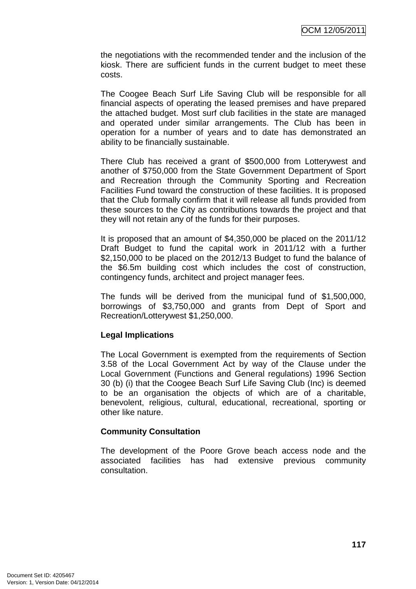the negotiations with the recommended tender and the inclusion of the kiosk. There are sufficient funds in the current budget to meet these costs.

The Coogee Beach Surf Life Saving Club will be responsible for all financial aspects of operating the leased premises and have prepared the attached budget. Most surf club facilities in the state are managed and operated under similar arrangements. The Club has been in operation for a number of years and to date has demonstrated an ability to be financially sustainable.

There Club has received a grant of \$500,000 from Lotterywest and another of \$750,000 from the State Government Department of Sport and Recreation through the Community Sporting and Recreation Facilities Fund toward the construction of these facilities. It is proposed that the Club formally confirm that it will release all funds provided from these sources to the City as contributions towards the project and that they will not retain any of the funds for their purposes.

It is proposed that an amount of \$4,350,000 be placed on the 2011/12 Draft Budget to fund the capital work in 2011/12 with a further \$2,150,000 to be placed on the 2012/13 Budget to fund the balance of the \$6.5m building cost which includes the cost of construction, contingency funds, architect and project manager fees.

The funds will be derived from the municipal fund of \$1,500,000, borrowings of \$3,750,000 and grants from Dept of Sport and Recreation/Lotterywest \$1,250,000.

### **Legal Implications**

The Local Government is exempted from the requirements of Section 3.58 of the Local Government Act by way of the Clause under the Local Government (Functions and General regulations) 1996 Section 30 (b) (i) that the Coogee Beach Surf Life Saving Club (Inc) is deemed to be an organisation the objects of which are of a charitable, benevolent, religious, cultural, educational, recreational, sporting or other like nature.

### **Community Consultation**

The development of the Poore Grove beach access node and the associated facilities has had extensive previous community consultation.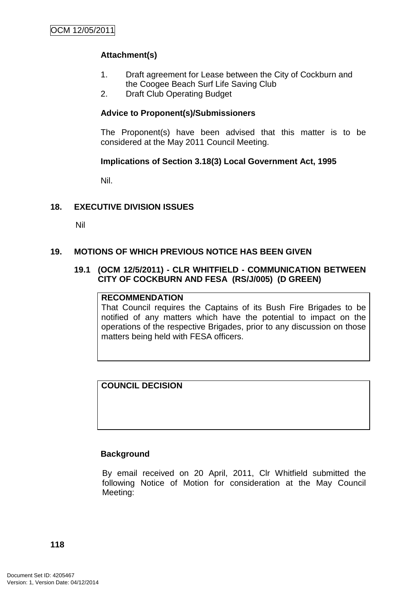## **Attachment(s)**

- 1. Draft agreement for Lease between the City of Cockburn and the Coogee Beach Surf Life Saving Club
- 2. Draft Club Operating Budget

### **Advice to Proponent(s)/Submissioners**

The Proponent(s) have been advised that this matter is to be considered at the May 2011 Council Meeting.

### **Implications of Section 3.18(3) Local Government Act, 1995**

Nil.

## **18. EXECUTIVE DIVISION ISSUES**

Nil

### **19. MOTIONS OF WHICH PREVIOUS NOTICE HAS BEEN GIVEN**

### **19.1 (OCM 12/5/2011) - CLR WHITFIELD - COMMUNICATION BETWEEN CITY OF COCKBURN AND FESA (RS/J/005) (D GREEN)**

### **RECOMMENDATION**

That Council requires the Captains of its Bush Fire Brigades to be notified of any matters which have the potential to impact on the operations of the respective Brigades, prior to any discussion on those matters being held with FESA officers.

### **COUNCIL DECISION**

### **Background**

By email received on 20 April, 2011, Clr Whitfield submitted the following Notice of Motion for consideration at the May Council Meeting: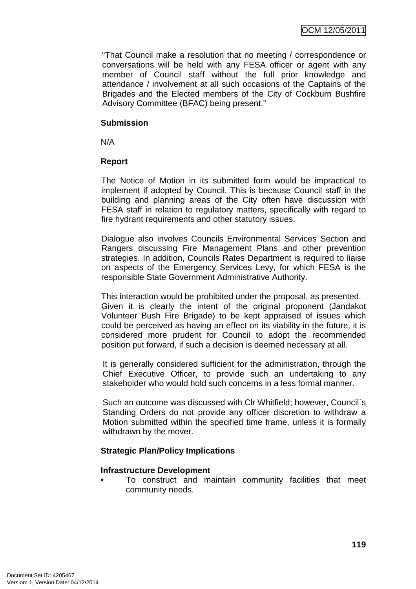"That Council make a resolution that no meeting / correspondence or conversations will be held with any FESA officer or agent with any member of Council staff without the full prior knowledge and attendance / involvement at all such occasions of the Captains of the Brigades and the Elected members of the City of Cockburn Bushfire Advisory Committee (BFAC) being present."

#### **Submission**

N/A

### **Report**

The Notice of Motion in its submitted form would be impractical to implement if adopted by Council. This is because Council staff in the building and planning areas of the City often have discussion with FESA staff in relation to regulatory matters, specifically with regard to fire hydrant requirements and other statutory issues.

Dialogue also involves Councils Environmental Services Section and Rangers discussing Fire Management Plans and other prevention strategies. In addition, Councils Rates Department is required to liaise on aspects of the Emergency Services Levy, for which FESA is the responsible State Government Administrative Authority.

This interaction would be prohibited under the proposal, as presented. Given it is clearly the intent of the original proponent (Jandakot Volunteer Bush Fire Brigade) to be kept appraised of issues which could be perceived as having an effect on its viability in the future, it is considered more prudent for Council to adopt the recommended position put forward, if such a decision is deemed necessary at all.

It is generally considered sufficient for the administration, through the Chief Executive Officer, to provide such an undertaking to any stakeholder who would hold such concerns in a less formal manner.

Such an outcome was discussed with Clr Whitfield; however, Council`s Standing Orders do not provide any officer discretion to withdraw a Motion submitted within the specified time frame, unless it is formally withdrawn by the mover.

## **Strategic Plan/Policy Implications**

### **Infrastructure Development**

• To construct and maintain community facilities that meet community needs.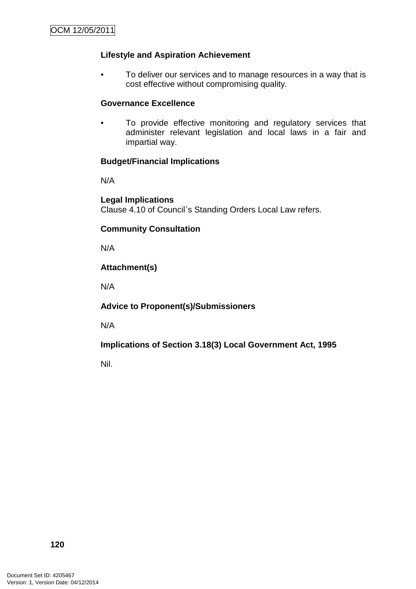### **Lifestyle and Aspiration Achievement**

• To deliver our services and to manage resources in a way that is cost effective without compromising quality.

### **Governance Excellence**

• To provide effective monitoring and regulatory services that administer relevant legislation and local laws in a fair and impartial way.

### **Budget/Financial Implications**

N/A

**Legal Implications**  Clause 4.10 of Council`s Standing Orders Local Law refers.

### **Community Consultation**

N/A

### **Attachment(s)**

N/A

### **Advice to Proponent(s)/Submissioners**

N/A

## **Implications of Section 3.18(3) Local Government Act, 1995**

Nil.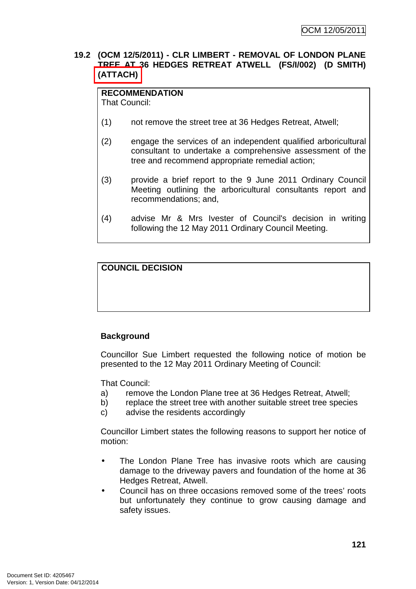### **19.2 (OCM 12/5/2011) - CLR LIMBERT - REMOVAL OF LONDON PLANE TREE AT 36 HEDGES RETREAT ATWELL (FS/I/002) (D SMITH) (ATTACH)**

**RECOMMENDATION** That Council:

- (1) not remove the street tree at 36 Hedges Retreat, Atwell;
- (2) engage the services of an independent qualified arboricultural consultant to undertake a comprehensive assessment of the tree and recommend appropriate remedial action;
- (3) provide a brief report to the 9 June 2011 Ordinary Council Meeting outlining the arboricultural consultants report and recommendations; and,
- (4) advise Mr & Mrs Ivester of Council's decision in writing following the 12 May 2011 Ordinary Council Meeting.

# **COUNCIL DECISION**

## **Background**

Councillor Sue Limbert requested the following notice of motion be presented to the 12 May 2011 Ordinary Meeting of Council:

That Council:

- a) remove the London Plane tree at 36 Hedges Retreat, Atwell;
- b) replace the street tree with another suitable street tree species
- c) advise the residents accordingly

Councillor Limbert states the following reasons to support her notice of motion:

- The London Plane Tree has invasive roots which are causing damage to the driveway pavers and foundation of the home at 36 Hedges Retreat, Atwell.
- Council has on three occasions removed some of the trees' roots but unfortunately they continue to grow causing damage and safety issues.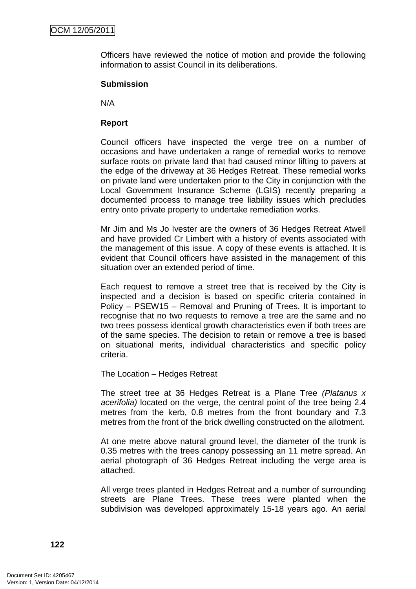Officers have reviewed the notice of motion and provide the following information to assist Council in its deliberations.

#### **Submission**

N/A

#### **Report**

Council officers have inspected the verge tree on a number of occasions and have undertaken a range of remedial works to remove surface roots on private land that had caused minor lifting to pavers at the edge of the driveway at 36 Hedges Retreat. These remedial works on private land were undertaken prior to the City in conjunction with the Local Government Insurance Scheme (LGIS) recently preparing a documented process to manage tree liability issues which precludes entry onto private property to undertake remediation works.

Mr Jim and Ms Jo Ivester are the owners of 36 Hedges Retreat Atwell and have provided Cr Limbert with a history of events associated with the management of this issue. A copy of these events is attached. It is evident that Council officers have assisted in the management of this situation over an extended period of time.

Each request to remove a street tree that is received by the City is inspected and a decision is based on specific criteria contained in Policy – PSEW15 – Removal and Pruning of Trees. It is important to recognise that no two requests to remove a tree are the same and no two trees possess identical growth characteristics even if both trees are of the same species. The decision to retain or remove a tree is based on situational merits, individual characteristics and specific policy criteria.

#### The Location – Hedges Retreat

The street tree at 36 Hedges Retreat is a Plane Tree (Platanus x acerifolia) located on the verge, the central point of the tree being 2.4 metres from the kerb, 0.8 metres from the front boundary and 7.3 metres from the front of the brick dwelling constructed on the allotment.

At one metre above natural ground level, the diameter of the trunk is 0.35 metres with the trees canopy possessing an 11 metre spread. An aerial photograph of 36 Hedges Retreat including the verge area is attached.

All verge trees planted in Hedges Retreat and a number of surrounding streets are Plane Trees. These trees were planted when the subdivision was developed approximately 15-18 years ago. An aerial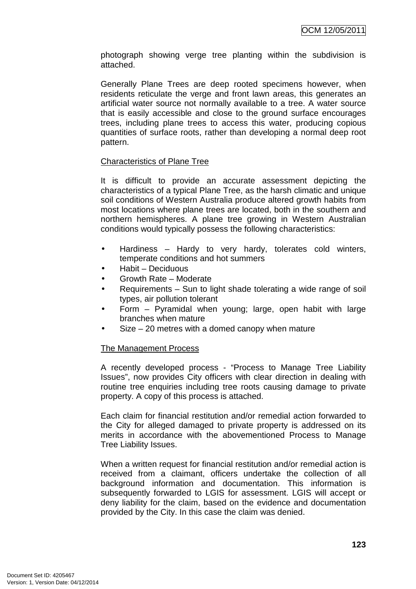photograph showing verge tree planting within the subdivision is attached.

Generally Plane Trees are deep rooted specimens however, when residents reticulate the verge and front lawn areas, this generates an artificial water source not normally available to a tree. A water source that is easily accessible and close to the ground surface encourages trees, including plane trees to access this water, producing copious quantities of surface roots, rather than developing a normal deep root pattern.

### Characteristics of Plane Tree

It is difficult to provide an accurate assessment depicting the characteristics of a typical Plane Tree, as the harsh climatic and unique soil conditions of Western Australia produce altered growth habits from most locations where plane trees are located, both in the southern and northern hemispheres. A plane tree growing in Western Australian conditions would typically possess the following characteristics:

- Hardiness Hardy to very hardy, tolerates cold winters, temperate conditions and hot summers
- Habit Deciduous
- Growth Rate Moderate
- Requirements Sun to light shade tolerating a wide range of soil types, air pollution tolerant
- Form Pyramidal when young; large, open habit with large branches when mature
- $Size 20$  metres with a domed canopy when mature

### The Management Process

A recently developed process - "Process to Manage Tree Liability Issues", now provides City officers with clear direction in dealing with routine tree enquiries including tree roots causing damage to private property. A copy of this process is attached.

Each claim for financial restitution and/or remedial action forwarded to the City for alleged damaged to private property is addressed on its merits in accordance with the abovementioned Process to Manage Tree Liability Issues.

When a written request for financial restitution and/or remedial action is received from a claimant, officers undertake the collection of all background information and documentation. This information is subsequently forwarded to LGIS for assessment. LGIS will accept or deny liability for the claim, based on the evidence and documentation provided by the City. In this case the claim was denied.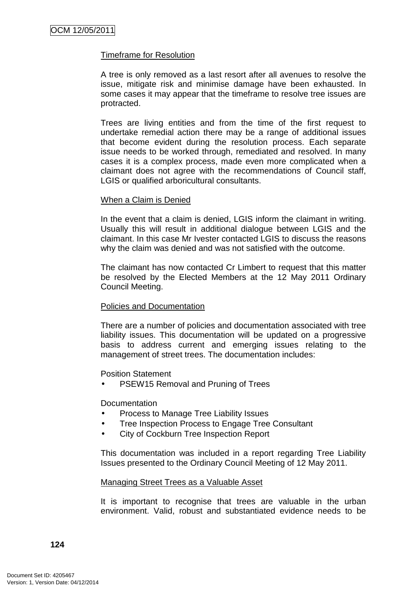#### Timeframe for Resolution

A tree is only removed as a last resort after all avenues to resolve the issue, mitigate risk and minimise damage have been exhausted. In some cases it may appear that the timeframe to resolve tree issues are protracted.

Trees are living entities and from the time of the first request to undertake remedial action there may be a range of additional issues that become evident during the resolution process. Each separate issue needs to be worked through, remediated and resolved. In many cases it is a complex process, made even more complicated when a claimant does not agree with the recommendations of Council staff, LGIS or qualified arboricultural consultants.

#### When a Claim is Denied

In the event that a claim is denied, LGIS inform the claimant in writing. Usually this will result in additional dialogue between LGIS and the claimant. In this case Mr Ivester contacted LGIS to discuss the reasons why the claim was denied and was not satisfied with the outcome.

The claimant has now contacted Cr Limbert to request that this matter be resolved by the Elected Members at the 12 May 2011 Ordinary Council Meeting.

### Policies and Documentation

There are a number of policies and documentation associated with tree liability issues. This documentation will be updated on a progressive basis to address current and emerging issues relating to the management of street trees. The documentation includes:

Position Statement

PSEW15 Removal and Pruning of Trees

**Documentation** 

- Process to Manage Tree Liability Issues
- Tree Inspection Process to Engage Tree Consultant
- City of Cockburn Tree Inspection Report

This documentation was included in a report regarding Tree Liability Issues presented to the Ordinary Council Meeting of 12 May 2011.

#### Managing Street Trees as a Valuable Asset

It is important to recognise that trees are valuable in the urban environment. Valid, robust and substantiated evidence needs to be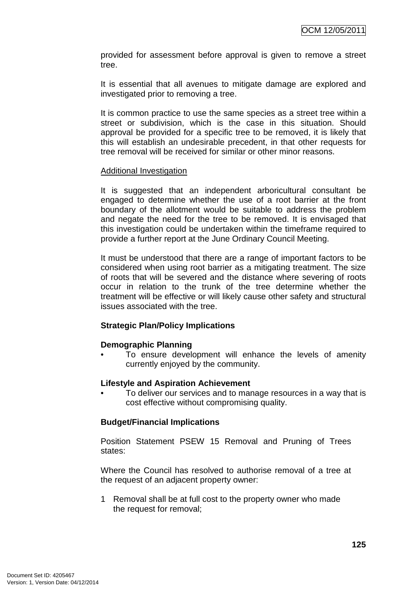provided for assessment before approval is given to remove a street tree.

It is essential that all avenues to mitigate damage are explored and investigated prior to removing a tree.

It is common practice to use the same species as a street tree within a street or subdivision, which is the case in this situation. Should approval be provided for a specific tree to be removed, it is likely that this will establish an undesirable precedent, in that other requests for tree removal will be received for similar or other minor reasons.

#### Additional Investigation

It is suggested that an independent arboricultural consultant be engaged to determine whether the use of a root barrier at the front boundary of the allotment would be suitable to address the problem and negate the need for the tree to be removed. It is envisaged that this investigation could be undertaken within the timeframe required to provide a further report at the June Ordinary Council Meeting.

It must be understood that there are a range of important factors to be considered when using root barrier as a mitigating treatment. The size of roots that will be severed and the distance where severing of roots occur in relation to the trunk of the tree determine whether the treatment will be effective or will likely cause other safety and structural issues associated with the tree.

### **Strategic Plan/Policy Implications**

#### **Demographic Planning**

• To ensure development will enhance the levels of amenity currently enjoyed by the community.

#### **Lifestyle and Aspiration Achievement**

• To deliver our services and to manage resources in a way that is cost effective without compromising quality.

### **Budget/Financial Implications**

Position Statement PSEW 15 Removal and Pruning of Trees states:

Where the Council has resolved to authorise removal of a tree at the request of an adjacent property owner:

1 Removal shall be at full cost to the property owner who made the request for removal;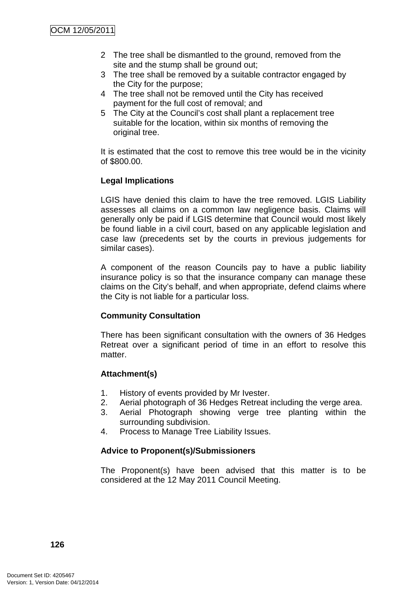- 2 The tree shall be dismantled to the ground, removed from the site and the stump shall be ground out;
- 3 The tree shall be removed by a suitable contractor engaged by the City for the purpose;
- 4 The tree shall not be removed until the City has received payment for the full cost of removal; and
- 5 The City at the Council's cost shall plant a replacement tree suitable for the location, within six months of removing the original tree.

It is estimated that the cost to remove this tree would be in the vicinity of \$800.00.

## **Legal Implications**

LGIS have denied this claim to have the tree removed. LGIS Liability assesses all claims on a common law negligence basis. Claims will generally only be paid if LGIS determine that Council would most likely be found liable in a civil court, based on any applicable legislation and case law (precedents set by the courts in previous judgements for similar cases).

A component of the reason Councils pay to have a public liability insurance policy is so that the insurance company can manage these claims on the City's behalf, and when appropriate, defend claims where the City is not liable for a particular loss.

## **Community Consultation**

There has been significant consultation with the owners of 36 Hedges Retreat over a significant period of time in an effort to resolve this matter.

### **Attachment(s)**

- 1. History of events provided by Mr Ivester.
- 2. Aerial photograph of 36 Hedges Retreat including the verge area.
- 3. Aerial Photograph showing verge tree planting within the surrounding subdivision.
- 4. Process to Manage Tree Liability Issues.

## **Advice to Proponent(s)/Submissioners**

The Proponent(s) have been advised that this matter is to be considered at the 12 May 2011 Council Meeting.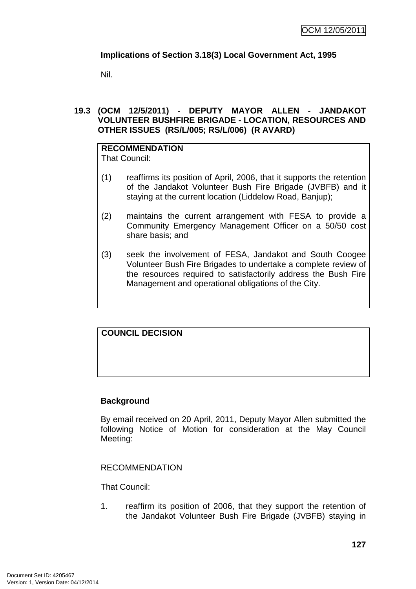### **Implications of Section 3.18(3) Local Government Act, 1995**

Nil.

### **19.3 (OCM 12/5/2011) - DEPUTY MAYOR ALLEN - JANDAKOT VOLUNTEER BUSHFIRE BRIGADE - LOCATION, RESOURCES AND OTHER ISSUES (RS/L/005; RS/L/006) (R AVARD)**

#### **RECOMMENDATION** That Council:

- (1) reaffirms its position of April, 2006, that it supports the retention of the Jandakot Volunteer Bush Fire Brigade (JVBFB) and it staying at the current location (Liddelow Road, Banjup);
- (2) maintains the current arrangement with FESA to provide a Community Emergency Management Officer on a 50/50 cost share basis; and
- (3) seek the involvement of FESA, Jandakot and South Coogee Volunteer Bush Fire Brigades to undertake a complete review of the resources required to satisfactorily address the Bush Fire Management and operational obligations of the City.

# **COUNCIL DECISION**

## **Background**

By email received on 20 April, 2011, Deputy Mayor Allen submitted the following Notice of Motion for consideration at the May Council Meeting:

### RECOMMENDATION

That Council:

1. reaffirm its position of 2006, that they support the retention of the Jandakot Volunteer Bush Fire Brigade (JVBFB) staying in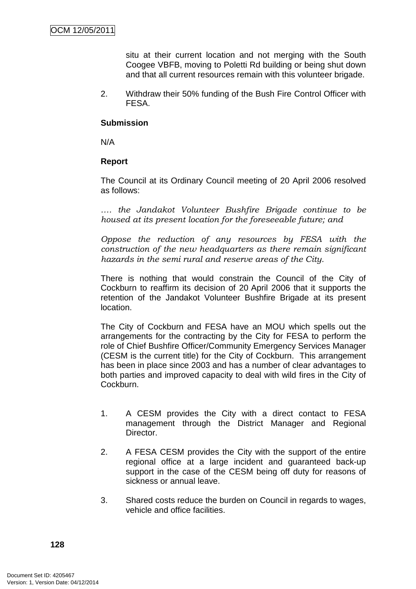situ at their current location and not merging with the South Coogee VBFB, moving to Poletti Rd building or being shut down and that all current resources remain with this volunteer brigade.

2. Withdraw their 50% funding of the Bush Fire Control Officer with FESA.

### **Submission**

N/A

### **Report**

The Council at its Ordinary Council meeting of 20 April 2006 resolved as follows:

*…. the Jandakot Volunteer Bushfire Brigade continue to be housed at its present location for the foreseeable future; and* 

*Oppose the reduction of any resources by FESA with the construction of the new headquarters as there remain significant hazards in the semi rural and reserve areas of the City.*

There is nothing that would constrain the Council of the City of Cockburn to reaffirm its decision of 20 April 2006 that it supports the retention of the Jandakot Volunteer Bushfire Brigade at its present location.

The City of Cockburn and FESA have an MOU which spells out the arrangements for the contracting by the City for FESA to perform the role of Chief Bushfire Officer/Community Emergency Services Manager (CESM is the current title) for the City of Cockburn. This arrangement has been in place since 2003 and has a number of clear advantages to both parties and improved capacity to deal with wild fires in the City of Cockburn.

- 1. A CESM provides the City with a direct contact to FESA management through the District Manager and Regional Director.
- 2. A FESA CESM provides the City with the support of the entire regional office at a large incident and guaranteed back-up support in the case of the CESM being off duty for reasons of sickness or annual leave.
- 3. Shared costs reduce the burden on Council in regards to wages, vehicle and office facilities.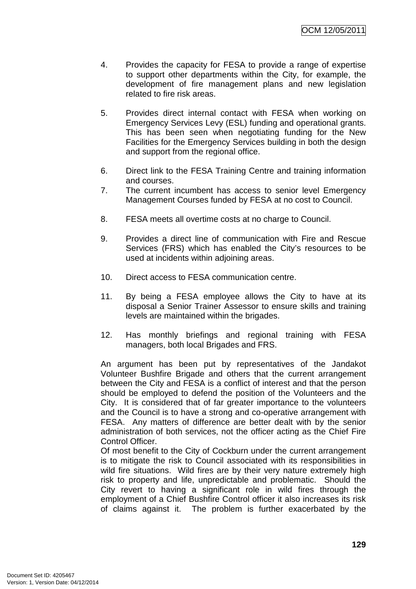- 4. Provides the capacity for FESA to provide a range of expertise to support other departments within the City, for example, the development of fire management plans and new legislation related to fire risk areas.
- 5. Provides direct internal contact with FESA when working on Emergency Services Levy (ESL) funding and operational grants. This has been seen when negotiating funding for the New Facilities for the Emergency Services building in both the design and support from the regional office.
- 6. Direct link to the FESA Training Centre and training information and courses.
- 7. The current incumbent has access to senior level Emergency Management Courses funded by FESA at no cost to Council.
- 8. FESA meets all overtime costs at no charge to Council.
- 9. Provides a direct line of communication with Fire and Rescue Services (FRS) which has enabled the City's resources to be used at incidents within adjoining areas.
- 10. Direct access to FESA communication centre.
- 11. By being a FESA employee allows the City to have at its disposal a Senior Trainer Assessor to ensure skills and training levels are maintained within the brigades.
- 12. Has monthly briefings and regional training with FESA managers, both local Brigades and FRS.

An argument has been put by representatives of the Jandakot Volunteer Bushfire Brigade and others that the current arrangement between the City and FESA is a conflict of interest and that the person should be employed to defend the position of the Volunteers and the City. It is considered that of far greater importance to the volunteers and the Council is to have a strong and co-operative arrangement with FESA. Any matters of difference are better dealt with by the senior administration of both services, not the officer acting as the Chief Fire Control Officer.

Of most benefit to the City of Cockburn under the current arrangement is to mitigate the risk to Council associated with its responsibilities in wild fire situations. Wild fires are by their very nature extremely high risk to property and life, unpredictable and problematic. Should the City revert to having a significant role in wild fires through the employment of a Chief Bushfire Control officer it also increases its risk of claims against it. The problem is further exacerbated by the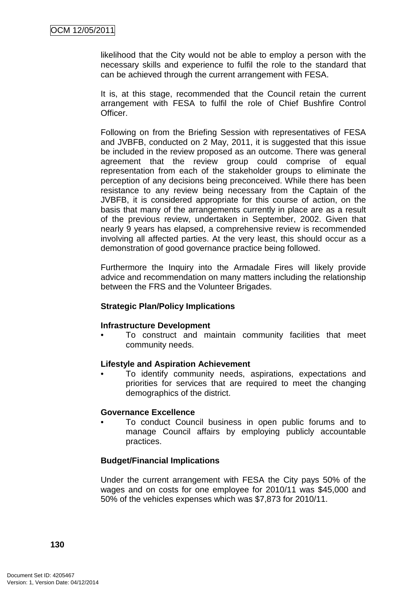likelihood that the City would not be able to employ a person with the necessary skills and experience to fulfil the role to the standard that can be achieved through the current arrangement with FESA.

It is, at this stage, recommended that the Council retain the current arrangement with FESA to fulfil the role of Chief Bushfire Control Officer.

Following on from the Briefing Session with representatives of FESA and JVBFB, conducted on 2 May, 2011, it is suggested that this issue be included in the review proposed as an outcome. There was general agreement that the review group could comprise of equal representation from each of the stakeholder groups to eliminate the perception of any decisions being preconceived. While there has been resistance to any review being necessary from the Captain of the JVBFB, it is considered appropriate for this course of action, on the basis that many of the arrangements currently in place are as a result of the previous review, undertaken in September, 2002. Given that nearly 9 years has elapsed, a comprehensive review is recommended involving all affected parties. At the very least, this should occur as a demonstration of good governance practice being followed.

Furthermore the Inquiry into the Armadale Fires will likely provide advice and recommendation on many matters including the relationship between the FRS and the Volunteer Brigades.

### **Strategic Plan/Policy Implications**

### **Infrastructure Development**

• To construct and maintain community facilities that meet community needs.

### **Lifestyle and Aspiration Achievement**

• To identify community needs, aspirations, expectations and priorities for services that are required to meet the changing demographics of the district.

### **Governance Excellence**

• To conduct Council business in open public forums and to manage Council affairs by employing publicly accountable practices.

### **Budget/Financial Implications**

Under the current arrangement with FESA the City pays 50% of the wages and on costs for one employee for 2010/11 was \$45,000 and 50% of the vehicles expenses which was \$7,873 for 2010/11.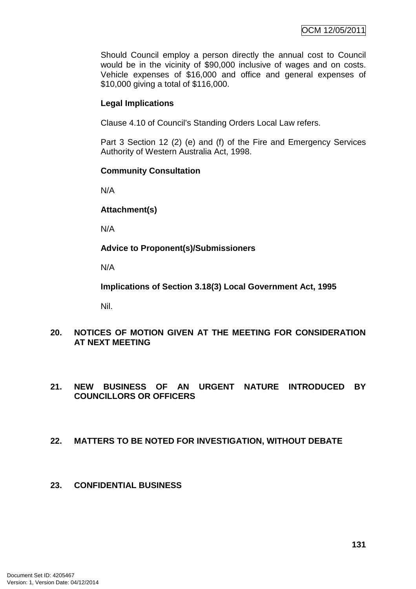Should Council employ a person directly the annual cost to Council would be in the vicinity of \$90,000 inclusive of wages and on costs. Vehicle expenses of \$16,000 and office and general expenses of \$10,000 giving a total of \$116,000.

### **Legal Implications**

Clause 4.10 of Council's Standing Orders Local Law refers.

Part 3 Section 12 (2) (e) and (f) of the Fire and Emergency Services Authority of Western Australia Act, 1998.

### **Community Consultation**

N/A

**Attachment(s)**

N/A

**Advice to Proponent(s)/Submissioners** 

N/A

**Implications of Section 3.18(3) Local Government Act, 1995**

Nil.

### **20. NOTICES OF MOTION GIVEN AT THE MEETING FOR CONSIDERATION AT NEXT MEETING**

### **21. NEW BUSINESS OF AN URGENT NATURE INTRODUCED BY COUNCILLORS OR OFFICERS**

### **22. MATTERS TO BE NOTED FOR INVESTIGATION, WITHOUT DEBATE**

### **23. CONFIDENTIAL BUSINESS**